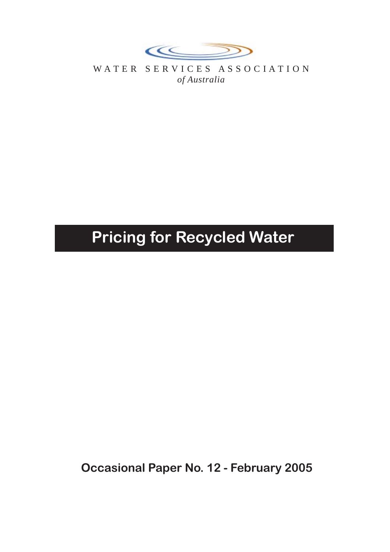

WATER SERVICES ASSOCIATION *of Australia*

# **Pricing for Recycled Water**

**Occasional Paper No. 12 - February 2005**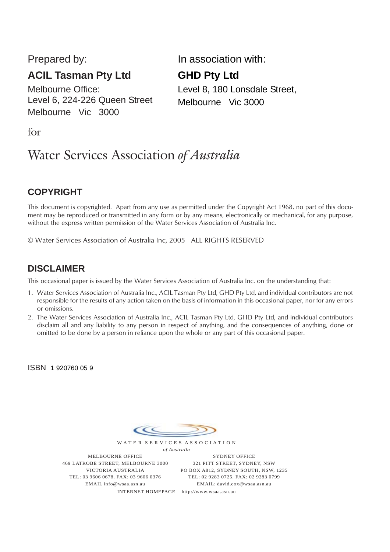Prepared by:

# **ACIL Tasman Pty Ltd**

Melbourne Office: Level 6, 224-226 Queen Street Melbourne Vic 3000

In association with:

## **GHD Pty Ltd**

Level 8, 180 Lonsdale Street, Melbourne Vic 3000

for

# Water Services Association *of Australia*

## **COPYRIGHT**

This document is copyrighted. Apart from any use as permitted under the Copyright Act 1968, no part of this document may be reproduced or transmitted in any form or by any means, electronically or mechanical, for any purpose, without the express written permission of the Water Services Association of Australia Inc.

© Water Services Association of Australia Inc, 2005 ALL RIGHTS RESERVED

## **DISCLAIMER**

This occasional paper is issued by the Water Services Association of Australia Inc. on the understanding that:

- 1. Water Services Association of Australia Inc., ACIL Tasman Pty Ltd, GHD Pty Ltd, and individual contributors are not responsible for the results of any action taken on the basis of information in this occasional paper, nor for any errors or omissions.
- 2. The Water Services Association of Australia Inc., ACIL Tasman Pty Ltd, GHD Pty Ltd, and individual contributors disclaim all and any liability to any person in respect of anything, and the consequences of anything, done or omitted to be done by a person in reliance upon the whole or any part of this occasional paper.

ISBN 1 920760 05 9



*of Australia* MELBOURNE OFFICE 469 LATROBE STREET, MELBOURNE 3000 VICTORIA AUSTRALIA TEL: 03 9606 0678. FAX: 03 9606 0376 EMAIL info@wsaa.asn.au

SYDNEY OFFICE 321 PITT STREET, SYDNEY, NSW PO BOX A812, SYDNEY SOUTH, NSW, 1235 TEL: 02 9283 0725. FAX: 02 9283 0799 EMAIL: david.cox@wsaa.asn.au

INTERNET HOMEPAGE http://www.wsaa.asn.au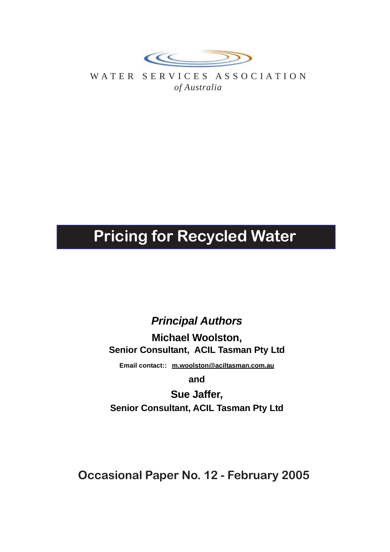

WATER SERVICES ASSOCIATION *of Australia*

# **Pricing for Recycled Water**

# *Principal Authors*

**Michael Woolston, Senior Consultant, ACIL Tasman Pty Ltd**

**Email contact:: m.woolston@aciltasman.com.au**

**and**

**Sue Jaffer, Senior Consultant, ACIL Tasman Pty Ltd**

**Occasional Paper No. 12 - February 2005**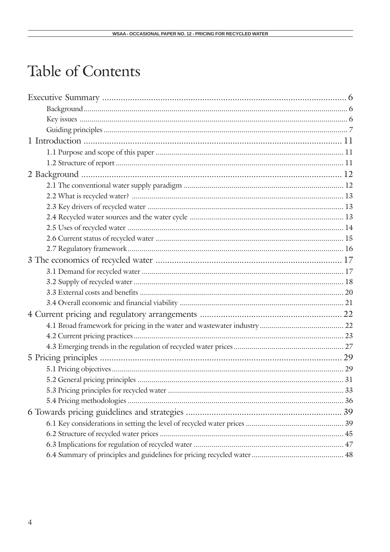# Table of Contents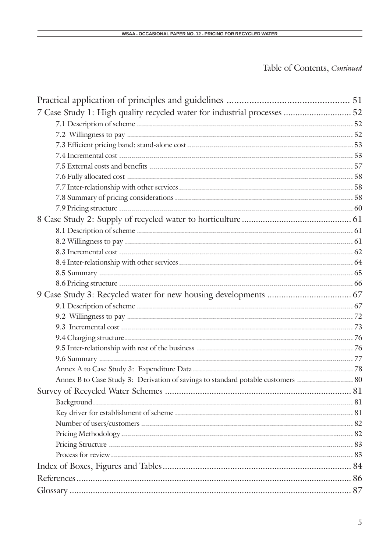## Table of Contents, Continued

| 7 Case Study 1: High quality recycled water for industrial processes  52         |  |
|----------------------------------------------------------------------------------|--|
|                                                                                  |  |
|                                                                                  |  |
|                                                                                  |  |
|                                                                                  |  |
|                                                                                  |  |
|                                                                                  |  |
|                                                                                  |  |
|                                                                                  |  |
|                                                                                  |  |
|                                                                                  |  |
|                                                                                  |  |
|                                                                                  |  |
|                                                                                  |  |
|                                                                                  |  |
|                                                                                  |  |
|                                                                                  |  |
|                                                                                  |  |
|                                                                                  |  |
|                                                                                  |  |
|                                                                                  |  |
|                                                                                  |  |
|                                                                                  |  |
|                                                                                  |  |
|                                                                                  |  |
| Annex B to Case Study 3: Derivation of savings to standard potable customers  80 |  |
|                                                                                  |  |
|                                                                                  |  |
|                                                                                  |  |
|                                                                                  |  |
|                                                                                  |  |
|                                                                                  |  |
|                                                                                  |  |
|                                                                                  |  |
|                                                                                  |  |
|                                                                                  |  |
|                                                                                  |  |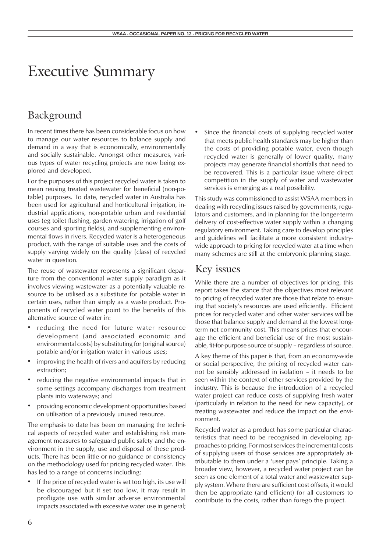# Executive Summary

# Background

In recent times there has been considerable focus on how to manage our water resources to balance supply and demand in a way that is economically, environmentally and socially sustainable. Amongst other measures, various types of water recycling projects are now being explored and developed.

For the purposes of this project recycled water is taken to mean reusing treated wastewater for beneficial (non-potable) purposes. To date, recycled water in Australia has been used for agricultural and horticultural irrigation, industrial applications, non-potable urban and residential uses (eg toilet flushing, garden watering, irrigation of golf courses and sporting fields), and supplementing environmental flows in rivers. Recycled water is a heterogeneous product, with the range of suitable uses and the costs of supply varying widely on the quality (class) of recycled water in question.

The reuse of wastewater represents a significant departure from the conventional water supply paradigm as it involves viewing wastewater as a potentially valuable resource to be utilised as a substitute for potable water in certain uses, rather than simply as a waste product. Proponents of recycled water point to the benefits of this alternative source of water in:

- reducing the need for future water resource development (and associated economic and environmental costs) by substituting for (original source) potable and/or irrigation water in various uses;
- improving the health of rivers and aquifers by reducing extraction;
- reducing the negative environmental impacts that in some settings accompany discharges from treatment plants into waterways; and
- providing economic development opportunities based on utilisation of a previously unused resource.

The emphasis to date has been on managing the technical aspects of recycled water and establishing risk management measures to safeguard public safety and the environment in the supply, use and disposal of these products. There has been little or no guidance or consistency on the methodology used for pricing recycled water. This has led to a range of concerns including:

If the price of recycled water is set too high, its use will be discouraged but if set too low, it may result in profligate use with similar adverse environmental impacts associated with excessive water use in general; Since the financial costs of supplying recycled water that meets public health standards may be higher than the costs of providing potable water, even though recycled water is generally of lower quality, many projects may generate financial shortfalls that need to be recovered. This is a particular issue where direct competition in the supply of water and wastewater services is emerging as a real possibility.

This study was commissioned to assist WSAA members in dealing with recycling issues raised by governments, regulators and customers, and in planning for the longer-term delivery of cost-effective water supply within a changing regulatory environment. Taking care to develop principles and guidelines will facilitate a more consistent industrywide approach to pricing for recycled water at a time when many schemes are still at the embryonic planning stage.

## Key issues

While there are a number of objectives for pricing, this report takes the stance that the objectives most relevant to pricing of recycled water are those that relate to ensuring that society's resources are used efficiently. Efficient prices for recycled water and other water services will be those that balance supply and demand at the lowest longterm net community cost. This means prices that encourage the efficient and beneficial use of the most sustainable, fit-for-purpose source of supply – regardless of source.

A key theme of this paper is that, from an economy-wide or social perspective, the pricing of recycled water cannot be sensibly addressed in isolation – it needs to be seen within the context of other services provided by the industry. This is because the introduction of a recycled water project can reduce costs of supplying fresh water (particularly in relation to the need for new capacity), or treating wastewater and reduce the impact on the environment.

Recycled water as a product has some particular characteristics that need to be recognised in developing approaches to pricing. For most services the incremental costs of supplying users of those services are appropriately attributable to them under a 'user pays' principle. Taking a broader view, however, a recycled water project can be seen as one element of a total water and wastewater supply system. Where there are sufficient cost offsets, it would then be appropriate (and efficient) for all customers to contribute to the costs, rather than forego the project.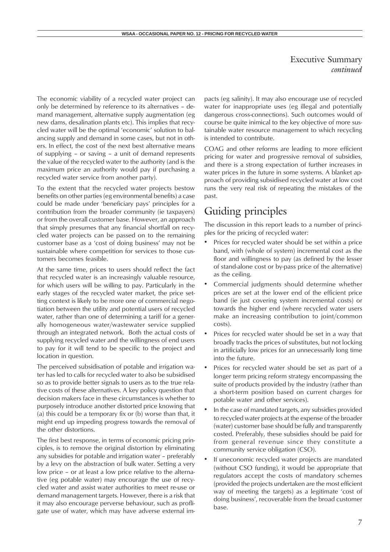The economic viability of a recycled water project can only be determined by reference to its alternatives – demand management, alternative supply augmentation (eg new dams, desalination plants etc). This implies that recycled water will be the optimal 'economic' solution to balancing supply and demand in some cases, but not in others. In effect, the cost of the next best alternative means of supplying – or saving – a unit of demand represents the value of the recycled water to the authority (and is the maximum price an authority would pay if purchasing a recycled water service from another party).

To the extent that the recycled water projects bestow benefits on other parties (eg environmental benefits) a case could be made under 'beneficiary pays' principles for a contribution from the broader community (ie taxpayers) or from the overall customer base. However, an approach that simply presumes that any financial shortfall on recycled water projects can be passed on to the remaining customer base as a 'cost of doing business' may not be sustainable where competition for services to those customers becomes feasible.

At the same time, prices to users should reflect the fact that recycled water is an increasingly valuable resource, for which users will be willing to pay. Particularly in the early stages of the recycled water market, the price setting context is likely to be more one of commercial negotiation between the utility and potential users of recycled water, rather than one of determining a tariff for a generally homogeneous water/wastewater service supplied through an integrated network. Both the actual costs of supplying recycled water and the willingness of end users to pay for it will tend to be specific to the project and location in question.

The perceived subsidisation of potable and irrigation water has led to calls for recycled water to also be subsidised so as to provide better signals to users as to the true relative costs of these alternatives. A key policy question that decision makers face in these circumstances is whether to purposely introduce another distorted price knowing that (a) this could be a temporary fix or (b) worse than that, it might end up impeding progress towards the removal of the other distortions.

The first best response, in terms of economic pricing principles, is to remove the original distortion by eliminating any subsidies for potable and irrigation water – preferably by a levy on the abstraction of bulk water. Setting a very low price – or at least a low price relative to the alternative (eg potable water) may encourage the use of recycled water and assist water authorities to meet re-use or demand management targets. However, there is a risk that it may also encourage perverse behaviour, such as profligate use of water, which may have adverse external impacts (eg salinity). It may also encourage use of recycled water for inappropriate uses (eg illegal and potentially dangerous cross-connections). Such outcomes would of course be quite inimical to the key objective of more sustainable water resource management to which recycling is intended to contribute.

COAG and other reforms are leading to more efficient pricing for water and progressive removal of subsidies, and there is a strong expectation of further increases in water prices in the future in some systems. A blanket approach of providing subsidised recycled water at low cost runs the very real risk of repeating the mistakes of the past.

## Guiding principles

The discussion in this report leads to a number of principles for the pricing of recycled water:

- Prices for recycled water should be set within a price band, with (whole of system) incremental cost as the floor and willingness to pay (as defined by the lesser of stand-alone cost or by-pass price of the alternative) as the ceiling.
- Commercial judgments should determine whether prices are set at the lower end of the efficient price band (ie just covering system incremental costs) or towards the higher end (where recycled water users make an increasing contribution to joint/common costs).
- Prices for recycled water should be set in a way that broadly tracks the prices of substitutes, but not locking in artificially low prices for an unnecessarily long time into the future.
- Prices for recycled water should be set as part of a longer term pricing reform strategy encompassing the suite of products provided by the industry (rather than a short-term position based on current charges for potable water and other services).
- In the case of mandated targets, any subsidies provided to recycled water projects at the expense of the broader (water) customer base should be fully and transparently costed. Preferably, these subsidies should be paid for from general revenue since they constitute a community service obligation (CSO).
- If uneconomic recycled water projects are mandated (without CSO funding), it would be appropriate that regulators accept the costs of mandatory schemes (provided the projects undertaken are the most efficient way of meeting the targets) as a legitimate 'cost of doing business', recoverable from the broad customer base.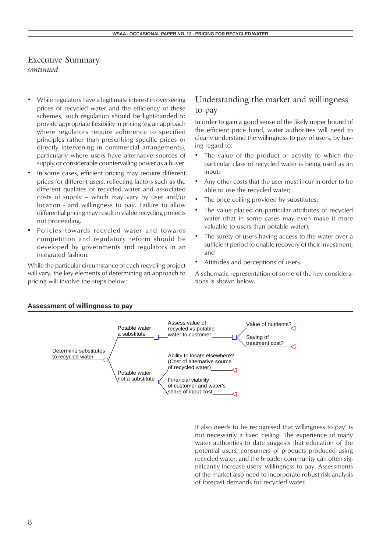- While regulators have a legitimate interest in overseeing prices of recycled water and the efficiency of these schemes, such regulation should be light-handed to provide appropriate flexibility in pricing (eg an approach where regulators require adherence to specified principles rather than prescribing specific prices or directly intervening in commercial arrangements), particularly where users have alternative sources of supply or considerable countervailing power as a buyer.
- In some cases, efficient pricing may require different prices for different users, reflecting factors such as the different qualities of recycled water and associated costs of supply – which may vary by user and/or location - and willingness to pay. Failure to allow differential pricing may result in viable recycling projects not proceeding.
- Policies towards recycled water and towards competition and regulatory reform should be developed by governments and regulators in an integrated fashion.

While the particular circumstance of each recycling project will vary, the key elements of determining an approach to pricing will involve the steps below:

## Understanding the market and willingness to pay

In order to gain a good sense of the likely upper bound of the efficient price band, water authorities will need to clearly understand the willingness to pay of users, by having regard to:

- The value of the product or activity to which the particular class of recycled water is being used as an input;
- Any other costs that the user must incur in order to be able to use the recycled water;
- The price ceiling provided by substitutes;
- The value placed on particular attributes of recycled water (that in some cases may even make it more valuable to users than potable water);
- The surety of users having access to the water over a sufficient period to enable recovery of their investment; and
- Attitudes and perceptions of users.

A schematic representation of some of the key considerations is shown below.



It also needs to be recognised that willingness to pay' is not necessarily a fixed ceiling. The experience of many water authorities to date suggests that education of the potential users, consumers of products produced using recycled water, and the broader community can often significantly increase users' willingness to pay. Assessments of the market also need to incorporate robust risk analysis of forecast demands for recycled water.

#### **Assessment of willingness to pay**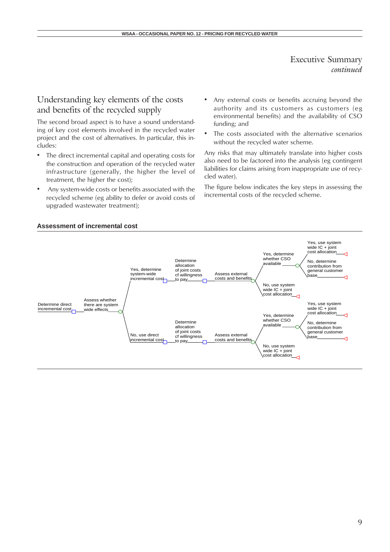## Understanding key elements of the costs and benefits of the recycled supply

The second broad aspect is to have a sound understanding of key cost elements involved in the recycled water project and the cost of alternatives. In particular, this includes:

- The direct incremental capital and operating costs for the construction and operation of the recycled water infrastructure (generally, the higher the level of treatment, the higher the cost);
- Any system-wide costs or benefits associated with the recycled scheme (eg ability to defer or avoid costs of upgraded wastewater treatment);
- Any external costs or benefits accruing beyond the authority and its customers as customers (eg environmental benefits) and the availability of CSO funding; and
- The costs associated with the alternative scenarios without the recycled water scheme.

Any risks that may ultimately translate into higher costs also need to be factored into the analysis (eg contingent liabilities for claims arising from inappropriate use of recycled water).

The figure below indicates the key steps in assessing the incremental costs of the recycled scheme.



#### **Assessment of incremental cost**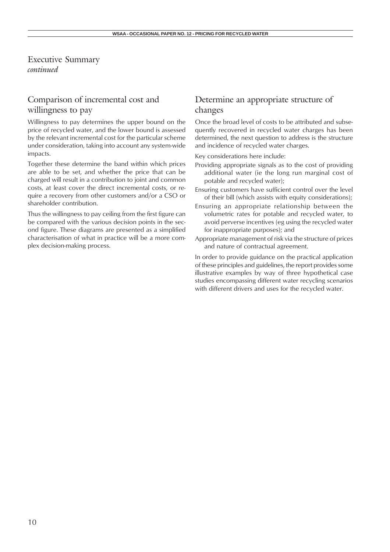## Comparison of incremental cost and willingness to pay

Willingness to pay determines the upper bound on the price of recycled water, and the lower bound is assessed by the relevant incremental cost for the particular scheme under consideration, taking into account any system-wide impacts.

Together these determine the band within which prices are able to be set, and whether the price that can be charged will result in a contribution to joint and common costs, at least cover the direct incremental costs, or require a recovery from other customers and/or a CSO or shareholder contribution.

Thus the willingness to pay ceiling from the first figure can be compared with the various decision points in the second figure. These diagrams are presented as a simplified characterisation of what in practice will be a more complex decision-making process.

## Determine an appropriate structure of changes

Once the broad level of costs to be attributed and subsequently recovered in recycled water charges has been determined, the next question to address is the structure and incidence of recycled water charges.

Key considerations here include:

- Providing appropriate signals as to the cost of providing additional water (ie the long run marginal cost of potable and recycled water);
- Ensuring customers have sufficient control over the level of their bill (which assists with equity considerations);
- Ensuring an appropriate relationship between the volumetric rates for potable and recycled water, to avoid perverse incentives (eg using the recycled water for inappropriate purposes); and
- Appropriate management of risk via the structure of prices and nature of contractual agreement.

In order to provide guidance on the practical application of these principles and guidelines, the report provides some illustrative examples by way of three hypothetical case studies encompassing different water recycling scenarios with different drivers and uses for the recycled water.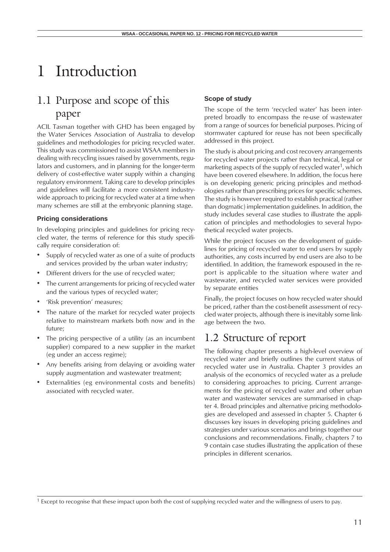# 1 Introduction

# 1.1 Purpose and scope of this paper

ACIL Tasman together with GHD has been engaged by the Water Services Association of Australia to develop guidelines and methodologies for pricing recycled water. This study was commissioned to assist WSAA members in dealing with recycling issues raised by governments, regulators and customers, and in planning for the longer-term delivery of cost-effective water supply within a changing regulatory environment. Taking care to develop principles and guidelines will facilitate a more consistent industrywide approach to pricing for recycled water at a time when many schemes are still at the embryonic planning stage.

## **Pricing considerations**

In developing principles and guidelines for pricing recycled water, the terms of reference for this study specifically require consideration of:

- Supply of recycled water as one of a suite of products and services provided by the urban water industry;
- Different drivers for the use of recycled water;
- The current arrangements for pricing of recycled water and the various types of recycled water;
- 'Risk prevention' measures;
- The nature of the market for recycled water projects relative to mainstream markets both now and in the future;
- The pricing perspective of a utility (as an incumbent supplier) compared to a new supplier in the market (eg under an access regime);
- Any benefits arising from delaying or avoiding water supply augmentation and wastewater treatment;
- Externalities (eg environmental costs and benefits) associated with recycled water.

## **Scope of study**

The scope of the term 'recycled water' has been interpreted broadly to encompass the re-use of wastewater from a range of sources for beneficial purposes. Pricing of stormwater captured for reuse has not been specifically addressed in this project.

The study is about pricing and cost recovery arrangements for recycled water projects rather than technical, legal or marketing aspects of the supply of recycled water<sup>1</sup>, which have been covered elsewhere. In addition, the focus here is on developing generic pricing principles and methodologies rather than prescribing prices for specific schemes. The study is however required to establish practical (rather than dogmatic) implementation guidelines. In addition, the study includes several case studies to illustrate the application of principles and methodologies to several hypothetical recycled water projects.

While the project focuses on the development of guidelines for pricing of recycled water to end users by supply authorities, any costs incurred by end users are also to be identified. In addition, the framework espoused in the report is applicable to the situation where water and wastewater, and recycled water services were provided by separate entities

Finally, the project focuses on how recycled water should be priced, rather than the cost-benefit assessment of recycled water projects, although there is inevitably some linkage between the two.

# 1.2 Structure of report

The following chapter presents a high-level overview of recycled water and briefly outlines the current status of recycled water use in Australia. Chapter 3 provides an analysis of the economics of recycled water as a prelude to considering approaches to pricing. Current arrangements for the pricing of recycled water and other urban water and wastewater services are summarised in chapter 4. Broad principles and alternative pricing methodologies are developed and assessed in chapter 5. Chapter 6 discusses key issues in developing pricing guidelines and strategies under various scenarios and brings together our conclusions and recommendations. Finally, chapters 7 to 9 contain case studies illustrating the application of these principles in different scenarios.

<sup>1</sup> Except to recognise that these impact upon both the cost of supplying recycled water and the willingness of users to pay.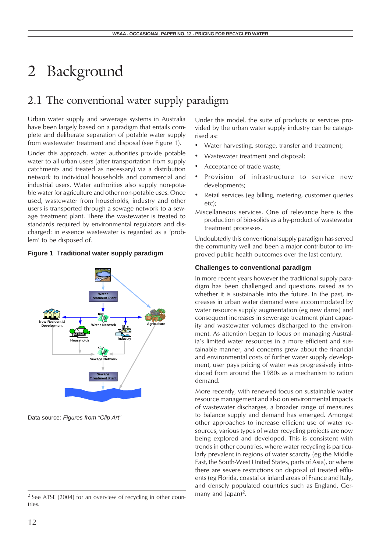# 2 Background

# 2.1 The conventional water supply paradigm

Urban water supply and sewerage systems in Australia have been largely based on a paradigm that entails complete and deliberate separation of potable water supply from wastewater treatment and disposal (see Figure 1).

Under this approach, water authorities provide potable water to all urban users (after transportation from supply catchments and treated as necessary) via a distribution network to individual households and commercial and industrial users. Water authorities also supply non-potable water for agriculture and other non-potable uses. Once used, wastewater from households, industry and other users is transported through a sewage network to a sewage treatment plant. There the wastewater is treated to standards required by environmental regulators and discharged: in essence wastewater is regarded as a 'problem' to be disposed of.

## **Figure 1** T**raditional water supply paradigm**



Data source: *Figures from "Clip Art"*

Under this model, the suite of products or services provided by the urban water supply industry can be categorised as:

- Water harvesting, storage, transfer and treatment;
- Wastewater treatment and disposal;
- Acceptance of trade waste;
- Provision of infrastructure to service new developments;
- Retail services (eg billing, metering, customer queries etc);
- Miscellaneous services. One of relevance here is the production of bio-solids as a by-product of wastewater treatment processes.

Undoubtedly this conventional supply paradigm has served the community well and been a major contributor to improved public health outcomes over the last century.

#### **Challenges to conventional paradigm**

In more recent years however the traditional supply paradigm has been challenged and questions raised as to whether it is sustainable into the future. In the past, increases in urban water demand were accommodated by water resource supply augmentation (eg new dams) and consequent increases in sewerage treatment plant capacity and wastewater volumes discharged to the environment. As attention began to focus on managing Australia's limited water resources in a more efficient and sustainable manner, and concerns grew about the financial and environmental costs of further water supply development, user pays pricing of water was progressively introduced from around the 1980s as a mechanism to ration demand.

More recently, with renewed focus on sustainable water resource management and also on environmental impacts of wastewater discharges, a broader range of measures to balance supply and demand has emerged. Amongst other approaches to increase efficient use of water resources, various types of water recycling projects are now being explored and developed. This is consistent with trends in other countries, where water recycling is particularly prevalent in regions of water scarcity (eg the Middle East, the South-West United States, parts of Asia), or where there are severe restrictions on disposal of treated effluents (eg Florida, coastal or inland areas of France and Italy, and densely populated countries such as England, Germany and Japan $)^2$ .

 $2$  See ATSE (2004) for an overview of recycling in other countries.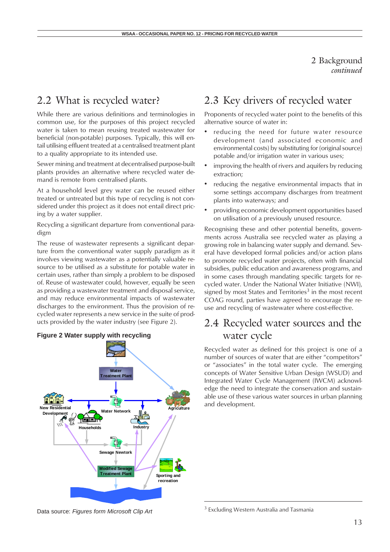2 Background *continued*

## 2.2 What is recycled water?

While there are various definitions and terminologies in common use, for the purposes of this project recycled water is taken to mean reusing treated wastewater for beneficial (non-potable) purposes. Typically, this will entail utilising effluent treated at a centralised treatment plant to a quality appropriate to its intended use.

Sewer mining and treatment at decentralised purpose-built plants provides an alternative where recycled water demand is remote from centralised plants.

At a household level grey water can be reused either treated or untreated but this type of recycling is not considered under this project as it does not entail direct pricing by a water supplier.

Recycling a significant departure from conventional paradigm

The reuse of wastewater represents a significant departure from the conventional water supply paradigm as it involves viewing wastewater as a potentially valuable resource to be utilised as a substitute for potable water in certain uses, rather than simply a problem to be disposed of. Reuse of wastewater could, however, equally be seen as providing a wastewater treatment and disposal service, and may reduce environmental impacts of wastewater discharges to the environment. Thus the provision of recycled water represents a new service in the suite of products provided by the water industry (see Figure 2).



## 2.3 Key drivers of recycled water

Proponents of recycled water point to the benefits of this alternative source of water in:

- reducing the need for future water resource development (and associated economic and environmental costs) by substituting for (original source) potable and/or irrigation water in various uses;
- improving the health of rivers and aquifers by reducing extraction;
- reducing the negative environmental impacts that in some settings accompany discharges from treatment plants into waterways; and
- providing economic development opportunities based on utilisation of a previously unused resource.

Recognising these and other potential benefits, governments across Australia see recycled water as playing a growing role in balancing water supply and demand. Several have developed formal policies and/or action plans to promote recycled water projects, often with financial subsidies, public education and awareness programs, and in some cases through mandating specific targets for recycled water. Under the National Water Initiative (NWI), signed by most States and Territories<sup>3</sup> in the most recent COAG round, parties have agreed to encourage the reuse and recycling of wastewater where cost-effective.

## 2.4 Recycled water sources and the water cycle

Recycled water as defined for this project is one of a number of sources of water that are either "competitors" or "associates" in the total water cycle. The emerging concepts of Water Sensitive Urban Design (WSUD) and Integrated Water Cycle Management (IWCM) acknowledge the need to integrate the conservation and sustainable use of these various water sources in urban planning and development.

Data source: *Figures form Microsoft Clip Art*

<sup>&</sup>lt;sup>3</sup> Excluding Western Australia and Tasmania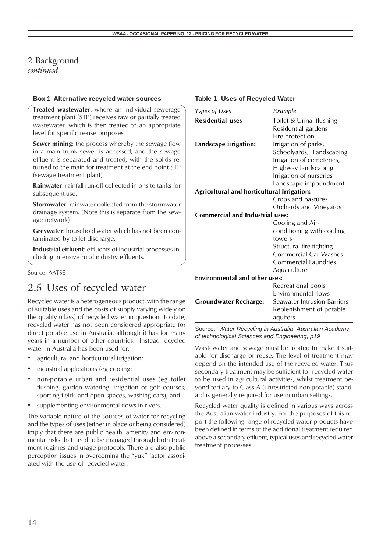## 2 Background

*continued*

## **Box 1 Alternative recycled water sources**

**Treated wastewater**: where an individual sewerage treatment plant (STP) receives raw or partially treated wastewater, which is then treated to an appropriate level for specific re-use purposes

**Sewer mining**: the process whereby the sewage flow in a main trunk sewer is accessed, and the sewage effluent is separated and treated, with the solids returned to the main for treatment at the end point STP (sewage treatment plant)

**Rainwater**: rainfall run-off collected in onsite tanks for subsequent use.

**Stormwater**: rainwater collected from the stormwater drainage system. (Note this is separate from the sewage network)

**Greywater**: household water which has not been contaminated by toilet discharge.

**Industrial effluent**: effluents of industrial processes including intensive rural industry effluents.

Source: AATSE

# 2.5 Uses of recycled water

Recycled water is a heterogeneous product, with the range of suitable uses and the costs of supply varying widely on the quality (class) of recycled water in question. To date, recycled water has not been considered appropriate for direct potable use in Australia, although it has for many years in a number of other countries. Instead recycled water in Australia has been used for:

- agricultural and horticultural irrigation;
- industrial applications (eg cooling;
- non-potable urban and residential uses (eg toilet flushing, garden watering, irrigation of golf courses, sporting fields and open spaces, washing cars); and
- supplementing environmental flows in rivers.

The variable nature of the sources of water for recycling and the types of uses (either in place or being considered) imply that there are public health, amenity and environmental risks that need to be managed through both treatment regimes and usage protocols. There are also public perception issues in overcoming the "yuk" factor associated with the use of recycled water.

|  |  |  | Table 1 Uses of Recycled Water |  |
|--|--|--|--------------------------------|--|
|--|--|--|--------------------------------|--|

| Types of Uses                              | Example                     |  |
|--------------------------------------------|-----------------------------|--|
| <b>Residential uses</b>                    | Toilet & Urinal flushing    |  |
|                                            | Residential gardens         |  |
|                                            | Fire protection             |  |
| Landscape irrigation:                      | Irrigation of parks,        |  |
|                                            | Schoolyards, Landscaping    |  |
|                                            | Irrigation of cemeteries,   |  |
|                                            | Highway landscaping         |  |
|                                            | Irrigation of nurseries     |  |
|                                            | Landscape impoundment       |  |
| Agricultural and horticultural Irrigation: |                             |  |
|                                            | Crops and pastures          |  |
|                                            | Orchards and Vineyards      |  |
| <b>Commercial and Industrial uses:</b>     |                             |  |
|                                            | Cooling and Air-            |  |
|                                            | conditioning with cooling   |  |
|                                            | towers                      |  |
|                                            | Structural fire-fighting    |  |
|                                            | Commercial Car Washes       |  |
|                                            | Commercial Laundries        |  |
|                                            | Aquaculture                 |  |
| <b>Environmental and other uses:</b>       |                             |  |
|                                            | Recreational pools          |  |
|                                            | Environmental flows         |  |
| <b>Groundwater Recharge:</b>               | Seawater Intrusion Barriers |  |
|                                            | Replenishment of potable    |  |
|                                            | aquifers                    |  |

Source: *"Water Recycling in Australia" Australian Academy of technological Sciences and Engineering, p19*

Wastewater and sewage must be treated to make it suitable for discharge or reuse. The level of treatment may depend on the intended use of the recycled water. Thus secondary treatment may be sufficient for recycled water to be used in agricultural activities, whilst treatment beyond tertiary to Class A (unrestricted non-potable) standard is generally required for use in urban settings.

Recycled water quality is defined in various ways across the Australian water industry. For the purposes of this report the following range of recycled water products have been defined in terms of the additional treatment required above a secondary effluent, typical uses and recycled water treatment processes.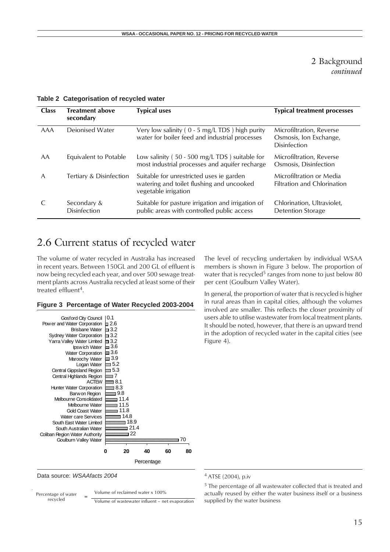## 2 Background *continued*

| <b>Class</b> | <b>Treatment above</b><br>secondary | <b>Typical uses</b>                                                                                           | <b>Typical treatment processes</b>                                 |
|--------------|-------------------------------------|---------------------------------------------------------------------------------------------------------------|--------------------------------------------------------------------|
| <b>AAA</b>   | Dejonised Water                     | Very low salinity ( $0 - 5$ mg/L TDS) high purity<br>water for boiler feed and industrial processes           | Microfiltration, Reverse<br>Osmosis, Ion Exchange,<br>Disinfection |
| AA           | Equivalent to Potable               | Low salinity ( $50 - 500$ mg/L TDS) suitable for<br>most industrial processes and aquifer recharge            | Microfiltration, Reverse<br>Osmosis, Disinfection                  |
| A            | Tertiary & Disinfection             | Suitable for unrestricted uses ie garden<br>watering and toilet flushing and uncooked<br>vegetable irrigation | Microfiltration or Media<br><b>Filtration and Chlorination</b>     |
|              | Secondary &<br><b>Disinfection</b>  | Suitable for pasture irrigation and irrigation of<br>public areas with controlled public access               | Chlorination, Ultraviolet,<br><b>Detention Storage</b>             |

### **Table 2 Categorisation of recycled water**

# 2.6 Current status of recycled water

The volume of water recycled in Australia has increased in recent years. Between 150GL and 200 GL of effluent is now being recycled each year, and over 500 sewage treatment plants across Australia recycled at least some of their treated effluent<sup>4</sup>.

#### **Figure 3 Percentage of Water Recycled 2003-2004**



Data source: *WSAAfacts 2004*

Volume of reclaimed water x 100% Percentage of water

 $r = 2$   $\frac{v}{\text{Volume of}}$  wastewater influent – net evaporation

The level of recycling undertaken by individual WSAA members is shown in Figure 3 below. The proportion of water that is recycled<sup>5</sup> ranges from none to just below 80 per cent (Goulburn Valley Water).

In general, the proportion of water that is recycled is higher in rural areas than in capital cities, although the volumes involved are smaller. This reflects the closer proximity of users able to utilise wastewater from local treatment plants. It should be noted, however, that there is an upward trend in the adoption of recycled water in the capital cities (see Figure 4).

<sup>4</sup> ATSE (2004), p.iv

<sup>&</sup>lt;sup>5</sup> The percentage of all wastewater collected that is treated and actually reused by either the water business itself or a business supplied by the water business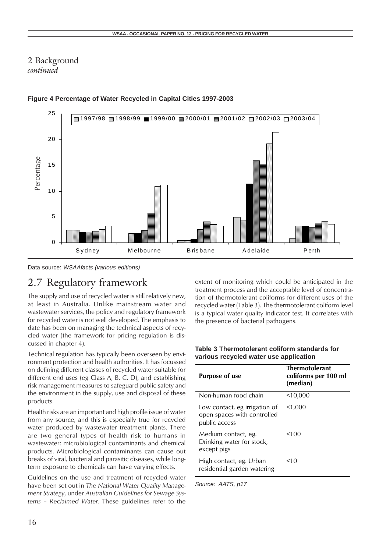## 2 Background *continued*



## **Figure 4 Percentage of Water Recycled in Capital Cities 1997-2003**

Data source: *WSAAfacts (various editions)*

# 2.7 Regulatory framework

The supply and use of recycled water is still relatively new, at least in Australia. Unlike mainstream water and wastewater services, the policy and regulatory framework for recycled water is not well developed. The emphasis to date has been on managing the technical aspects of recycled water (the framework for pricing regulation is discussed in chapter 4).

Technical regulation has typically been overseen by environment protection and health authorities. It has focussed on defining different classes of recycled water suitable for different end uses (eg Class A, B, C, D), and establishing risk management measures to safeguard public safety and the environment in the supply, use and disposal of these products.

Health risks are an important and high profile issue of water from any source, and this is especially true for recycled water produced by wastewater treatment plants. There are two general types of health risk to humans in wastewater: microbiological contaminants and chemical products. Microbiological contaminants can cause out breaks of viral, bacterial and parasitic diseases, while longterm exposure to chemicals can have varying effects.

Guidelines on the use and treatment of recycled water have been set out in *The National Water Quality Management Strategy*, under *Australian Guidelines for Sewage Systems – Reclaimed Water*. These guidelines refer to the

extent of monitoring which could be anticipated in the treatment process and the acceptable level of concentration of thermotolerant coliforms for different uses of the recycled water (Table 3). The thermotolerant coliform level is a typical water quality indicator test. It correlates with the presence of bacterial pathogens.

| Table 3 Thermotolerant coliform standards for |
|-----------------------------------------------|
| various recycled water use application        |

| <b>Purpose of use</b>                                                         | <b>Thermotolerant</b><br>coliforms per 100 ml<br>(median) |
|-------------------------------------------------------------------------------|-----------------------------------------------------------|
| Non-human food chain                                                          | 10,000                                                    |
| Low contact, eg irrigation of<br>open spaces with controlled<br>public access | 1,000                                                     |
| Medium contact, eg.<br>Drinking water for stock,<br>except pigs               | 100                                                       |
| High contact, eg. Urban<br>residential garden watering                        | 10<                                                       |

*Source: AATS, p17*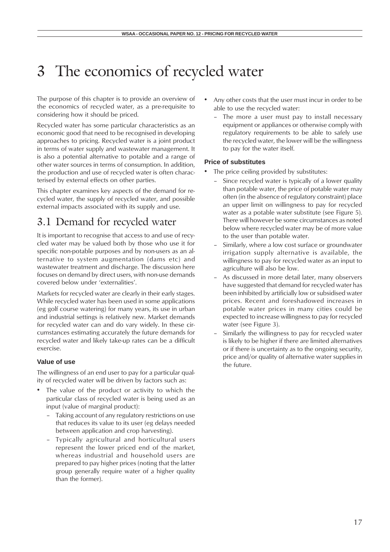# 3 The economics of recycled water

The purpose of this chapter is to provide an overview of the economics of recycled water, as a pre-requisite to considering how it should be priced.

Recycled water has some particular characteristics as an economic good that need to be recognised in developing approaches to pricing. Recycled water is a joint product in terms of water supply and wastewater management. It is also a potential alternative to potable and a range of other water sources in terms of consumption. In addition, the production and use of recycled water is often characterised by external effects on other parties.

This chapter examines key aspects of the demand for recycled water, the supply of recycled water, and possible external impacts associated with its supply and use.

# 3.1 Demand for recycled water

It is important to recognise that access to and use of recycled water may be valued both by those who use it for specific non-potable purposes and by non-users as an alternative to system augmentation (dams etc) and wastewater treatment and discharge. The discussion here focuses on demand by direct users, with non-use demands covered below under 'externalities'.

Markets for recycled water are clearly in their early stages. While recycled water has been used in some applications (eg golf course watering) for many years, its use in urban and industrial settings is relatively new. Market demands for recycled water can and do vary widely. In these circumstances estimating accurately the future demands for recycled water and likely take-up rates can be a difficult exercise.

## **Value of use**

The willingness of an end user to pay for a particular quality of recycled water will be driven by factors such as:

- The value of the product or activity to which the particular class of recycled water is being used as an input (value of marginal product):
	- Taking account of any regulatory restrictions on use that reduces its value to its user (eg delays needed between application and crop harvesting).
	- Typically agricultural and horticultural users represent the lower priced end of the market, whereas industrial and household users are prepared to pay higher prices (noting that the latter group generally require water of a higher quality than the former).
- Any other costs that the user must incur in order to be able to use the recycled water:
	- The more a user must pay to install necessary equipment or appliances or otherwise comply with regulatory requirements to be able to safely use the recycled water, the lower will be the willingness to pay for the water itself.

## **Price of substitutes**

- The price ceiling provided by substitutes:
	- Since recycled water is typically of a lower quality than potable water, the price of potable water may often (in the absence of regulatory constraint) place an upper limit on willingness to pay for recycled water as a potable water substitute (see Figure 5). There will however be some circumstances as noted below where recycled water may be of more value to the user than potable water.
	- Similarly, where a low cost surface or groundwater irrigation supply alternative is available, the willingness to pay for recycled water as an input to agriculture will also be low.
	- As discussed in more detail later, many observers have suggested that demand for recycled water has been inhibited by artificially low or subsidised water prices. Recent and foreshadowed increases in potable water prices in many cities could be expected to increase willingness to pay for recycled water (see Figure 3).
	- Similarly the willingness to pay for recycled water is likely to be higher if there are limited alternatives or if there is uncertainty as to the ongoing security, price and/or quality of alternative water supplies in the future.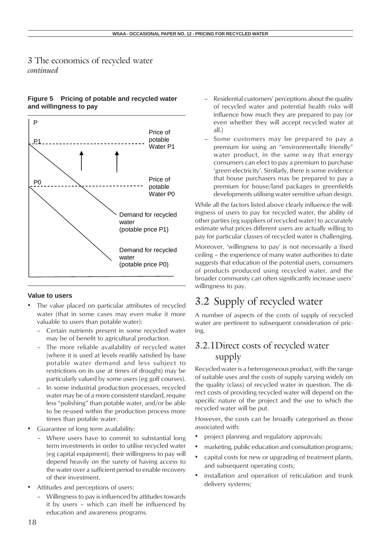## **Figure 5 Pricing of potable and recycled water and willingness to pay**



#### **Value to users**

- The value placed on particular attributes of recycled water (that in some cases may even make it more valuable to users than potable water):
	- Certain nutrients present in some recycled water may be of benefit to agricultural production.
	- The more reliable availability of recycled water (where it is used at levels readily satisfied by base potable water demand and less subject to restrictions on its use at times of drought) may be particularly valued by some users (eg golf courses).
	- In some industrial production processes, recycled water may be of a more consistent standard, require less "polishing" than potable water, and/or be able to be re-used within the production process more times than potable water.
- Guarantee of long term availability:
	- Where users have to commit to substantial long term investments in order to utilise recycled water (eg capital equipment), their willingness to pay will depend heavily on the surety of having access to the water over a sufficient period to enable recovery of their investment.
- Attitudes and perceptions of users:
	- Willingness to pay is influenced by attitudes towards it by users – which can itself be influenced by education and awareness programs.
- Residential customers' perceptions about the quality of recycled water and potential health risks will influence how much they are prepared to pay (or even whether they will accept recycled water at all.)
- Some customers may be prepared to pay a premium for using an "environmentally friendly" water product, in the same way that energy consumers can elect to pay a premium to purchase 'green electricity'. Similarly, there is some evidence that house purchasers may be prepared to pay a premium for house/land packages in greenfields developments utilising water sensitive urban design.

While all the factors listed above clearly influence the willingness of users to pay for recycled water, the ability of other parties (eg suppliers of recycled water) to accurately estimate what prices different users are actually willing to pay for particular classes of recycled water is challenging.

Moreover, 'willingness to pay' is not necessarily a fixed ceiling – the experience of many water authorities to date suggests that education of the potential users, consumers of products produced using recycled water, and the broader community can often significantly increase users' willingness to pay.

# 3.2 Supply of recycled water

A number of aspects of the costs of supply of recycled water are pertinent to subsequent consideration of pricing.

## 3.2.1Direct costs of recycled water supply

Recycled water is a heterogeneous product, with the range of suitable uses and the costs of supply varying widely on the quality (class) of recycled water in question. The direct costs of providing recycled water will depend on the specific nature of the project and the use to which the recycled water will be put.

However, the costs can be broadly categorised as those associated with:

- project planning and regulatory approvals;
- marketing, public education and consultation programs;
- capital costs for new or upgrading of treatment plants, and subsequent operating costs;
- installation and operation of reticulation and trunk delivery systems;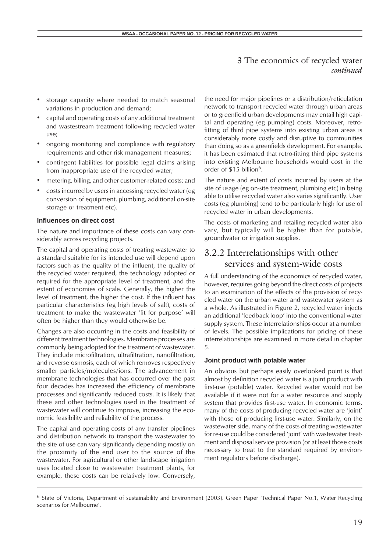- storage capacity where needed to match seasonal variations in production and demand;
- capital and operating costs of any additional treatment and wastestream treatment following recycled water use;
- ongoing monitoring and compliance with regulatory requirements and other risk management measures;
- contingent liabilities for possible legal claims arising from inappropriate use of the recycled water;
- metering, billing, and other customer-related costs; and
- costs incurred by users in accessing recycled water (eg conversion of equipment, plumbing, additional on-site storage or treatment etc).

### **Influences on direct cost**

The nature and importance of these costs can vary considerably across recycling projects.

The capital and operating costs of treating wastewater to a standard suitable for its intended use will depend upon factors such as the quality of the influent, the quality of the recycled water required, the technology adopted or required for the appropriate level of treatment, and the extent of economies of scale. Generally, the higher the level of treatment, the higher the cost. If the influent has particular characteristics (eg high levels of salt), costs of treatment to make the wastewater 'fit for purpose' will often be higher than they would otherwise be.

Changes are also occurring in the costs and feasibility of different treatment technologies. Membrane processes are commonly being adopted for the treatment of wastewater. They include microfiltration, ultrafiltration, nanofiltration, and reverse osmosis, each of which removes respectively smaller particles/molecules/ions. The advancement in membrane technologies that has occurred over the past four decades has increased the efficiency of membrane processes and significantly reduced costs. It is likely that these and other technologies used in the treatment of wastewater will continue to improve, increasing the economic feasibility and reliability of the process.

The capital and operating costs of any transfer pipelines and distribution network to transport the wastewater to the site of use can vary significantly depending mostly on the proximity of the end user to the source of the wastewater. For agricultural or other landscape irrigation uses located close to wastewater treatment plants, for example, these costs can be relatively low. Conversely, the need for major pipelines or a distribution/reticulation network to transport recycled water through urban areas or to greenfield urban developments may entail high capital and operating (eg pumping) costs. Moreover, retrofitting of third pipe systems into existing urban areas is considerably more costly and disruptive to communities than doing so as a greenfields development. For example, it has been estimated that retro-fitting third pipe systems into existing Melbourne households would cost in the order of \$15 billion<sup>6</sup>.

The nature and extent of costs incurred by users at the site of usage (eg on-site treatment, plumbing etc) in being able to utilise recycled water also varies significantly. User costs (eg plumbing) tend to be particularly high for use of recycled water in urban developments.

The costs of marketing and retailing recycled water also vary, but typically will be higher than for potable, groundwater or irrigation supplies.

## 3.2.2 Interrelationships with other services and system-wide costs

A full understanding of the economics of recycled water, however, requires going beyond the direct costs of projects to an examination of the effects of the provision of recycled water on the urban water and wastewater system as a whole. As illustrated in Figure 2, recycled water injects an additional 'feedback loop' into the conventional water supply system. These interrelationships occur at a number of levels. The possible implications for pricing of these interrelationships are examined in more detail in chapter 5.

## **Joint product with potable water**

An obvious but perhaps easily overlooked point is that almost by definition recycled water is a joint product with first-use (potable) water. Recycled water would not be available if it were not for a water resource and supply system that provides first-use water. In economic terms, many of the costs of producing recycled water are 'joint' with those of producing first-use water. Similarly, on the wastewater side, many of the costs of treating wastewater for re-use could be considered 'joint' with wastewater treatment and disposal service provision (or at least those costs necessary to treat to the standard required by environment regulators before discharge).

<sup>6</sup> State of Victoria, Department of sustainability and Environment (2003). Green Paper 'Technical Paper No.1, Water Recycling scenarios for Melbourne'.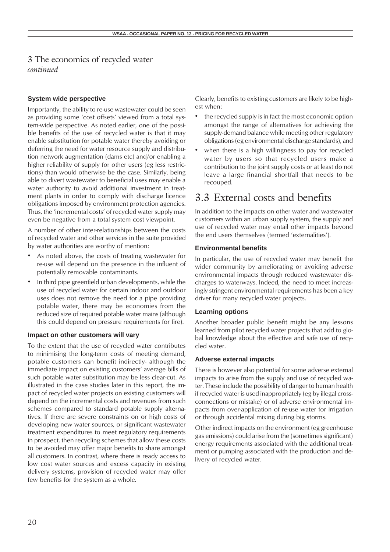## **System wide perspective**

Importantly, the ability to re-use wastewater could be seen as providing some 'cost offsets' viewed from a total system-wide perspective. As noted earlier, one of the possible benefits of the use of recycled water is that it may enable substitution for potable water thereby avoiding or deferring the need for water resource supply and distribution network augmentation (dams etc) and/or enabling a higher reliability of supply for other users (eg less restrictions) than would otherwise be the case. Similarly, being able to divert wastewater to beneficial uses may enable a water authority to avoid additional investment in treatment plants in order to comply with discharge licence obligations imposed by environment protection agencies. Thus, the 'incremental costs' of recycled water supply may even be negative from a total system cost viewpoint.

A number of other inter-relationships between the costs of recycled water and other services in the suite provided by water authorities are worthy of mention:

- As noted above, the costs of treating wastewater for re-use will depend on the presence in the influent of potentially removable contaminants.
- In third pipe greenfield urban developments, while the use of recycled water for certain indoor and outdoor uses does not remove the need for a pipe providing potable water, there may be economies from the reduced size of required potable water mains (although this could depend on pressure requirements for fire).

### **Impact on other customers will vary**

To the extent that the use of recycled water contributes to minimising the long-term costs of meeting demand, potable customers can benefit indirectly- although the immediate impact on existing customers' average bills of such potable water substitution may be less clear-cut. As illustrated in the case studies later in this report, the impact of recycled water projects on existing customers will depend on the incremental costs and revenues from such schemes compared to standard potable supply alternatives. If there are severe constraints on or high costs of developing new water sources, or significant wastewater treatment expenditures to meet regulatory requirements in prospect, then recycling schemes that allow these costs to be avoided may offer major benefits to share amongst all customers. In contrast, where there is ready access to low cost water sources and excess capacity in existing delivery systems, provision of recycled water may offer few benefits for the system as a whole.

Clearly, benefits to existing customers are likely to be highest when:

- the recycled supply is in fact the most economic option amongst the range of alternatives for achieving the supply-demand balance while meeting other regulatory obligations (eg environmental discharge standards), and
- when there is a high willingness to pay for recycled water by users so that recycled users make a contribution to the joint supply costs or at least do not leave a large financial shortfall that needs to be recouped.

## 3.3 External costs and benefits

In addition to the impacts on other water and wastewater customers within an urban supply system, the supply and use of recycled water may entail other impacts beyond the end users themselves (termed 'externalities').

#### **Environmental benefits**

In particular, the use of recycled water may benefit the wider community by ameliorating or avoiding adverse environmental impacts through reduced wastewater discharges to waterways. Indeed, the need to meet increasingly stringent environmental requirements has been a key driver for many recycled water projects.

#### **Learning options**

Another broader public benefit might be any lessons learned from pilot recycled water projects that add to global knowledge about the effective and safe use of recycled water.

#### **Adverse external impacts**

There is however also potential for some adverse external impacts to arise from the supply and use of recycled water. These include the possibility of danger to human health if recycled water is used inappropriately (eg by illegal crossconnections or mistake) or of adverse environmental impacts from over-application of re-use water for irrigation or through accidental mixing during big storms.

Other indirect impacts on the environment (eg greenhouse gas emissions) could arise from the (sometimes significant) energy requirements associated with the additional treatment or pumping associated with the production and delivery of recycled water.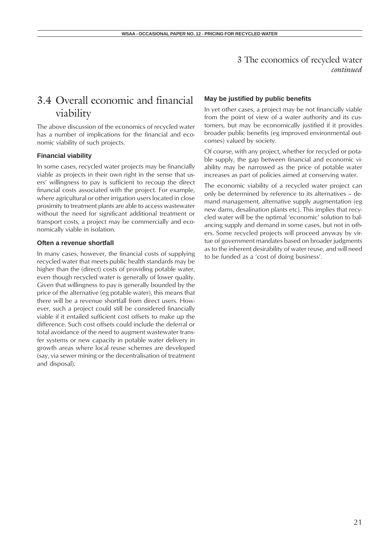# 3.4 Overall economic and financial viability

The above discussion of the economics of recycled water has a number of implications for the financial and economic viability of such projects.

#### **Financial viability**

In some cases, recycled water projects may be financially viable as projects in their own right in the sense that users' willingness to pay is sufficient to recoup the direct financial costs associated with the project. For example, where agricultural or other irrigation users located in close proximity to treatment plants are able to access wastewater without the need for significant additional treatment or transport costs, a project may be commercially and economically viable in isolation.

#### **Often a revenue shortfall**

In many cases, however, the financial costs of supplying recycled water that meets public health standards may be higher than the (direct) costs of providing potable water, even though recycled water is generally of lower quality. Given that willingness to pay is generally bounded by the price of the alternative (eg potable water), this means that there will be a revenue shortfall from direct users. However, such a project could still be considered financially viable if it entailed sufficient cost offsets to make up the difference. Such cost offsets could include the deferral or total avoidance of the need to augment wastewater transfer systems or new capacity in potable water delivery in growth areas where local reuse schemes are developed (say, via sewer mining or the decentralisation of treatment and disposal).

#### **May be justified by public benefits**

In yet other cases, a project may be not financially viable from the point of view of a water authority and its customers, but may be economically justified if it provides broader public benefits (eg improved environmental outcomes) valued by society.

Of course, with any project, whether for recycled or potable supply, the gap between financial and economic viability may be narrowed as the price of potable water increases as part of policies aimed at conserving water.

The economic viability of a recycled water project can only be determined by reference to its alternatives – demand management, alternative supply augmentation (eg new dams, desalination plants etc). This implies that recycled water will be the optimal 'economic' solution to balancing supply and demand in some cases, but not in others. Some recycled projects will proceed anyway by virtue of government mandates based on broader judgments as to the inherent desirability of water reuse, and will need to be funded as a 'cost of doing business'.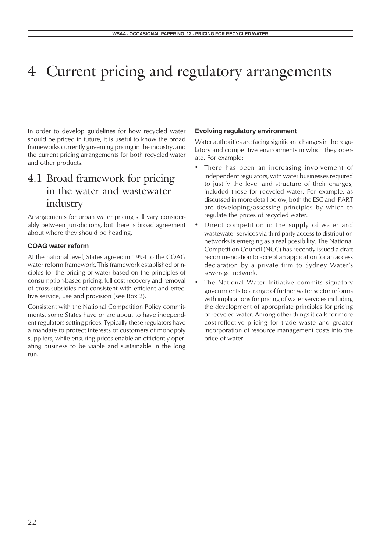In order to develop guidelines for how recycled water should be priced in future, it is useful to know the broad frameworks currently governing pricing in the industry, and the current pricing arrangements for both recycled water and other products.

# 4.1 Broad framework for pricing in the water and wastewater industry

Arrangements for urban water pricing still vary considerably between jurisdictions, but there is broad agreement about where they should be heading.

## **COAG water reform**

At the national level, States agreed in 1994 to the COAG water reform framework. This framework established principles for the pricing of water based on the principles of consumption-based pricing, full cost recovery and removal of cross-subsidies not consistent with efficient and effective service, use and provision (see Box 2).

Consistent with the National Competition Policy commitments, some States have or are about to have independent regulators setting prices. Typically these regulators have a mandate to protect interests of customers of monopoly suppliers, while ensuring prices enable an efficiently operating business to be viable and sustainable in the long run.

### **Evolving regulatory environment**

Water authorities are facing significant changes in the regulatory and competitive environments in which they operate. For example:

- There has been an increasing involvement of independent regulators, with water businesses required to justify the level and structure of their charges, included those for recycled water. For example, as discussed in more detail below, both the ESC and IPART are developing/assessing principles by which to regulate the prices of recycled water.
- Direct competition in the supply of water and wastewater services via third party access to distribution networks is emerging as a real possibility. The National Competition Council (NCC) has recently issued a draft recommendation to accept an application for an access declaration by a private firm to Sydney Water's sewerage network.
- The National Water Initiative commits signatory governments to a range of further water sector reforms with implications for pricing of water services including the development of appropriate principles for pricing of recycled water. Among other things it calls for more cost-reflective pricing for trade waste and greater incorporation of resource management costs into the price of water.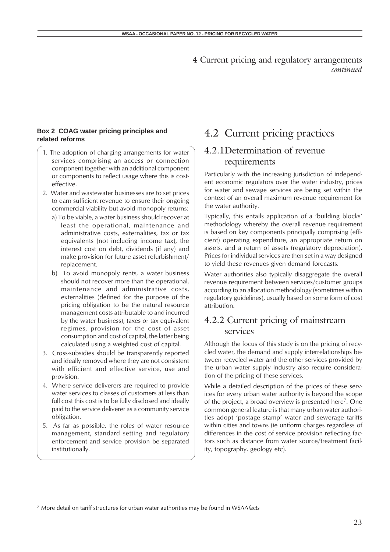## **Box 2 COAG water pricing principles and related reforms**

- 1. The adoption of charging arrangements for water services comprising an access or connection component together with an additional component or components to reflect usage where this is costeffective.
- 2. Water and wastewater businesses are to set prices to earn sufficient revenue to ensure their ongoing commercial viability but avoid monopoly returns:
	- a) To be viable, a water business should recover at least the operational, maintenance and administrative costs, externalities, tax or tax equivalents (not including income tax), the interest cost on debt, dividends (if any) and make provision for future asset refurbishment/ replacement.
	- b) To avoid monopoly rents, a water business should not recover more than the operational, maintenance and administrative costs, externalities (defined for the purpose of the pricing obligation to be the natural resource management costs attributable to and incurred by the water business), taxes or tax equivalent regimes, provision for the cost of asset consumption and cost of capital, the latter being calculated using a weighted cost of capital.
- 3. Cross-subsidies should be transparently reported and ideally removed where they are not consistent with efficient and effective service, use and provision.
- 4. Where service deliverers are required to provide water services to classes of customers at less than full cost this cost is to be fully disclosed and ideally paid to the service deliverer as a community service obligation.
- 5. As far as possible, the roles of water resource management, standard setting and regulatory enforcement and service provision be separated institutionally.

# 4.2 Current pricing practices

## 4.2.1Determination of revenue requirements

Particularly with the increasing jurisdiction of independent economic regulators over the water industry, prices for water and sewage services are being set within the context of an overall maximum revenue requirement for the water authority.

Typically, this entails application of a 'building blocks' methodology whereby the overall revenue requirement is based on key components principally comprising (efficient) operating expenditure, an appropriate return on assets, and a return of assets (regulatory depreciation). Prices for individual services are then set in a way designed to yield these revenues given demand forecasts.

Water authorities also typically disaggregate the overall revenue requirement between services/customer groups according to an allocation methodology (sometimes within regulatory guidelines), usually based on some form of cost attribution.

## 4.2.2 Current pricing of mainstream services

Although the focus of this study is on the pricing of recycled water, the demand and supply interrelationships between recycled water and the other services provided by the urban water supply industry also require consideration of the pricing of these services.

While a detailed description of the prices of these services for every urban water authority is beyond the scope of the project, a broad overview is presented here<sup>7</sup>. One common general feature is that many urban water authorities adopt 'postage stamp' water and sewerage tariffs within cities and towns (ie uniform charges regardless of differences in the cost of service provision reflecting factors such as distance from water source/treatment facility, topography, geology etc).

7 More detail on tariff structures for urban water authorities may be found in WSAA*facts*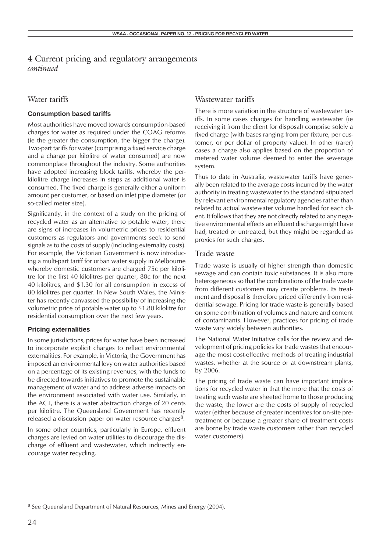## Water tariffs

## **Consumption based tariffs**

Most authorities have moved towards consumption-based charges for water as required under the COAG reforms (ie the greater the consumption, the bigger the charge). Two-part tariffs for water (comprising a fixed service charge and a charge per kilolitre of water consumed) are now commonplace throughout the industry. Some authorities have adopted increasing block tariffs, whereby the perkilolitre charge increases in steps as additional water is consumed. The fixed charge is generally either a uniform amount per customer, or based on inlet pipe diameter (or so-called meter size).

Significantly, in the context of a study on the pricing of recycled water as an alternative to potable water, there are signs of increases in volumetric prices to residential customers as regulators and governments seek to send signals as to the costs of supply (including externality costs). For example, the Victorian Government is now introducing a multi-part tariff for urban water supply in Melbourne whereby domestic customers are charged 75c per kilolitre for the first 40 kilolitres per quarter, 88c for the next 40 kilolitres, and \$1.30 for all consumption in excess of 80 kilolitres per quarter. In New South Wales, the Minister has recently canvassed the possibility of increasing the volumetric price of potable water up to \$1.80 kilolitre for residential consumption over the next few years.

### **Pricing externalities**

In some jurisdictions, prices for water have been increased to incorporate explicit charges to reflect environmental externalities. For example, in Victoria, the Government has imposed an environmental levy on water authorities based on a percentage of its existing revenues, with the funds to be directed towards initiatives to promote the sustainable management of water and to address adverse impacts on the environment associated with water use. Similarly, in the ACT, there is a water abstraction charge of 20 cents per kilolitre. The Queensland Government has recently released a discussion paper on water resource charges<sup>8</sup>.

In some other countries, particularly in Europe, effluent charges are levied on water utilities to discourage the discharge of effluent and wastewater, which indirectly encourage water recycling.

## Wastewater tariffs

There is more variation in the structure of wastewater tariffs. In some cases charges for handling wastewater (ie receiving it from the client for disposal) comprise solely a fixed charge (with bases ranging from per fixture, per customer, or per dollar of property value). In other (rarer) cases a charge also applies based on the proportion of metered water volume deemed to enter the sewerage system.

Thus to date in Australia, wastewater tariffs have generally been related to the average costs incurred by the water authority in treating wastewater to the standard stipulated by relevant environmental regulatory agencies rather than related to actual wastewater volume handled for each client. It follows that they are not directly related to any negative environmental effects an effluent discharge might have had, treated or untreated, but they might be regarded as proxies for such charges.

### Trade waste

Trade waste is usually of higher strength than domestic sewage and can contain toxic substances. It is also more heterogeneous so that the combinations of the trade waste from different customers may create problems. Its treatment and disposal is therefore priced differently from residential sewage. Pricing for trade waste is generally based on some combination of volumes and nature and content of contaminants. However, practices for pricing of trade waste vary widely between authorities.

The National Water Initiative calls for the review and development of pricing policies for trade wastes that encourage the most cost-effective methods of treating industrial wastes, whether at the source or at downstream plants, by 2006.

The pricing of trade waste can have important implications for recycled water in that the more that the costs of treating such waste are sheeted home to those producing the waste, the lower are the costs of supply of recycled water (either because of greater incentives for on-site pretreatment or because a greater share of treatment costs are borne by trade waste customers rather than recycled water customers).

<sup>8</sup> See Queensland Department of Natural Resources, Mines and Energy (2004).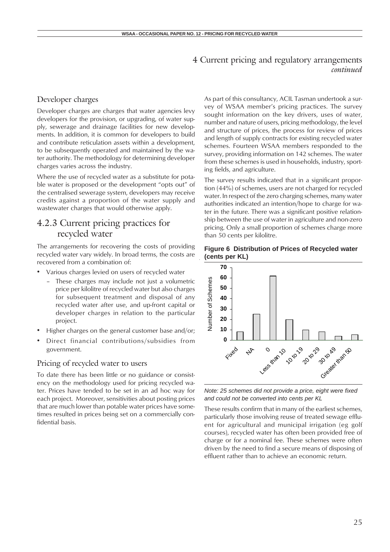## Developer charges

Developer charges are charges that water agencies levy developers for the provision, or upgrading, of water supply, sewerage and drainage facilities for new developments. In addition, it is common for developers to build and contribute reticulation assets within a development, to be subsequently operated and maintained by the water authority. The methodology for determining developer charges varies across the industry.

Where the use of recycled water as a substitute for potable water is proposed or the development "opts out" of the centralised sewerage system, developers may receive credits against a proportion of the water supply and wastewater charges that would otherwise apply.

## 4.2.3 Current pricing practices for recycled water

The arrangements for recovering the costs of providing recycled water vary widely. In broad terms, the costs are recovered from a combination of:

- Various charges levied on users of recycled water
	- These charges may include not just a volumetric price per kilolitre of recycled water but also charges for subsequent treatment and disposal of any recycled water after use, and up-front capital or developer charges in relation to the particular project.
- Higher charges on the general customer base and/or;
- Direct financial contributions/subsidies from government.

## Pricing of recycled water to users

To date there has been little or no guidance or consistency on the methodology used for pricing recycled water. Prices have tended to be set in an ad hoc way for each project. Moreover, sensitivities about posting prices that are much lower than potable water prices have sometimes resulted in prices being set on a commercially confidential basis.

As part of this consultancy, ACIL Tasman undertook a survey of WSAA member's pricing practices. The survey sought information on the key drivers, uses of water, number and nature of users, pricing methodology, the level and structure of prices, the process for review of prices and length of supply contracts for existing recycled water schemes. Fourteen WSAA members responded to the survey, providing information on 142 schemes. The water from these schemes is used in households, industry, sporting fields, and agriculture.

The survey results indicated that in a significant proportion (44%) of schemes, users are not charged for recycled water. In respect of the zero charging schemes, many water authorities indicated an intention/hope to charge for water in the future. There was a significant positive relationship between the use of water in agriculture and non-zero pricing. Only a small proportion of schemes charge more than 50 cents per kilolitre.

### **Figure 6 Distribution of Prices of Recycled water (cents per KL)**



*Note: 25 schemes did not provide a price, eight were fixed and could not be converted into cents per KL*

These results confirm that in many of the earliest schemes, particularly those involving reuse of treated sewage effluent for agricultural and municipal irrigation (eg golf courses), recycled water has often been provided free of charge or for a nominal fee. These schemes were often driven by the need to find a secure means of disposing of effluent rather than to achieve an economic return.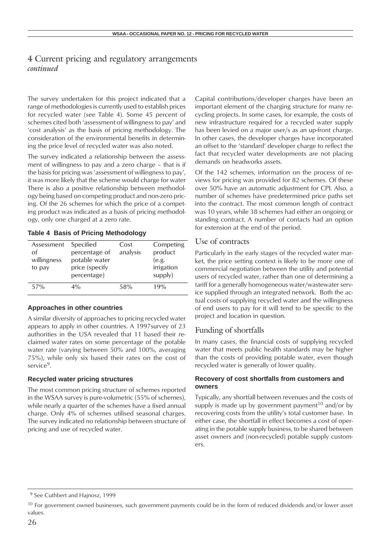The survey undertaken for this project indicated that a range of methodologies is currently used to establish prices for recycled water (see Table 4). Some 45 percent of schemes cited both 'assessment of willingness to pay' and 'cost analysis' as the basis of pricing methodology. The consideration of the environmental benefits in determining the price level of recycled water was also noted.

The survey indicated a relationship between the assessment of willingness to pay and a zero charge – that is if the basis for pricing was 'assessment of willingness to pay', it was more likely that the scheme would charge for water There is also a positive relationship between methodology being based on competing product and non-zero pricing. Of the 26 schemes for which the price of a competing product was indicated as a basis of pricing methodology, only one charged at a zero rate.

**Table 4 Basis of Pricing Methodology**

| Assessment<br>Ωf<br>willingness<br>to pay | Specified<br>percentage of<br>potable water<br>price (specify<br>percentage) | Cost<br>analysis | Competing<br>product<br>(e.g.<br>irrigation<br>supply) |
|-------------------------------------------|------------------------------------------------------------------------------|------------------|--------------------------------------------------------|
| 57%                                       | $4\%$                                                                        | 58%              | 19%                                                    |

### **Approaches in other countries**

A similar diversity of approaches to pricing recycled water appears to apply in other countries. A 1997survey of 23 authorities in the USA revealed that 11 based their reclaimed water rates on some percentage of the potable water rate (varying between 50% and 100%, averaging 75%), while only six based their rates on the cost of service9.

### **Recycled water pricing structures**

The most common pricing structure of schemes reported in the WSAA survey is pure-volumetric (55% of schemes), while nearly a quarter of the schemes have a fixed annual charge. Only 4% of schemes utilised seasonal charges. The survey indicated no relationship between structure of pricing and use of recycled water.

Capital contributions/developer charges have been an important element of the charging structure for many recycling projects. In some cases, for example, the costs of new infrastructure required for a recycled water supply has been levied on a major user/s as an up-front charge. In other cases, the developer charges have incorporated an offset to the 'standard' developer charge to reflect the fact that recycled water developments are not placing demands on headworks assets.

Of the 142 schemes, information on the process of reviews for pricing was provided for 82 schemes. Of these over 50% have an automatic adjustment for CPI. Also, a number of schemes have predetermined price paths set into the contract. The most common length of contract was 10 years, while 38 schemes had either an ongoing or standing contract. A number of contacts had an option for extension at the end of the period.

## Use of contracts

Particularly in the early stages of the recycled water market, the price setting context is likely to be more one of commercial negotiation between the utility and potential users of recycled water, rather than one of determining a tariff for a generally homogeneous water/wastewater service supplied through an integrated network. Both the actual costs of supplying recycled water and the willingness of end users to pay for it will tend to be specific to the project and location in question.

## Funding of shortfalls

In many cases, the financial costs of supplying recycled water that meets public health standards may be higher than the costs of providing potable water, even though recycled water is generally of lower quality.

#### **Recovery of cost shortfalls from customers and owners**

Typically, any shortfall between revenues and the costs of supply is made up by government payment<sup>10</sup> and/or by recovering costs from the utility's total customer base. In either case, the shortfall in effect becomes a cost of operating in the potable supply business, to be shared between asset owners and (non-recycled) potable supply customers.

 <sup>9</sup> See Cuthbert and Hajnosz, 1999

<sup>&</sup>lt;sup>10</sup> For government owned businesses, such government payments could be in the form of reduced dividends and/or lower asset values.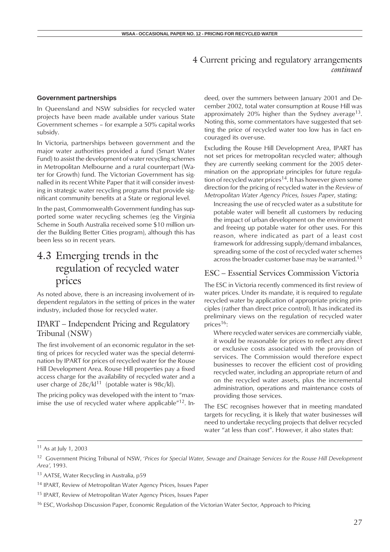### **Government partnerships**

In Queensland and NSW subsidies for recycled water projects have been made available under various State Government schemes – for example a 50% capital works subsidy.

In Victoria, partnerships between government and the major water authorities provided a fund (Smart Water Fund) to assist the development of water recycling schemes in Metropolitan Melbourne and a rural counterpart (Water for Growth) fund. The Victorian Government has signalled in its recent White Paper that it will consider investing in strategic water recycling programs that provide significant community benefits at a State or regional level.

In the past, Commonwealth Government funding has supported some water recycling schemes (eg the Virginia Scheme in South Australia received some \$10 million under the Building Better Cities program), although this has been less so in recent years.

# 4.3 Emerging trends in the regulation of recycled water prices

As noted above, there is an increasing involvement of independent regulators in the setting of prices in the water industry, included those for recycled water.

## IPART – Independent Pricing and Regulatory Tribunal (NSW)

The first involvement of an economic regulator in the setting of prices for recycled water was the special determination by IPART for prices of recycled water for the Rouse Hill Development Area. Rouse Hill properties pay a fixed access charge for the availability of recycled water and a user charge of  $28c/kl^{11}$  (potable water is  $98c/kl$ ).

The pricing policy was developed with the intent to "maximise the use of recycled water where applicable $12$ . Indeed, over the summers between January 2001 and December 2002, total water consumption at Rouse Hill was approximately 20% higher than the Sydney average<sup>13</sup>. Noting this, some commentators have suggested that setting the price of recycled water too low has in fact encouraged its over-use.

Excluding the Rouse Hill Development Area, IPART has not set prices for metropolitan recycled water; although they are currently seeking comment for the 2005 determination on the appropriate principles for future regulation of recycled water prices<sup>14</sup>. It has however given some direction for the pricing of recycled water in the *Review of Metropolitan Water Agency Prices, Issues Paper*, stating:

Increasing the use of recycled water as a substitute for potable water will benefit all customers by reducing the impact of urban development on the environment and freeing up potable water for other uses. For this reason, where indicated as part of a least cost framework for addressing supply/demand imbalances, spreading some of the cost of recycled water schemes across the broader customer base may be warranted.<sup>15</sup>

## ESC – Essential Services Commission Victoria

The ESC in Victoria recently commenced its first review of water prices. Under its mandate, it is required to regulate recycled water by application of appropriate pricing principles (rather than direct price control). It has indicated its preliminary views on the regulation of recycled water prices<sup>16</sup>:

Where recycled water services are commercially viable, it would be reasonable for prices to reflect any direct or exclusive costs associated with the provision of services. The Commission would therefore expect businesses to recover the efficient cost of providing recycled water, including an appropriate return of and on the recycled water assets, plus the incremental administration, operations and maintenance costs of providing those services.

The ESC recognises however that in meeting mandated targets for recycling, it is likely that water businesses will need to undertake recycling projects that deliver recycled water "at less than cost". However, it also states that:

<sup>11</sup> As at July 1, 2003

<sup>12</sup> Government Pricing Tribunal of NSW, '*Prices for Special Water, Sewage and Drainage Services for the Rouse Hill Development Area',* 1993.

<sup>&</sup>lt;sup>13</sup> AATSE, Water Recycling in Australia, p59

<sup>14</sup> IPART, Review of Metropolitan Water Agency Prices, Issues Paper

<sup>15</sup> IPART, Review of Metropolitan Water Agency Prices, Issues Paper

<sup>&</sup>lt;sup>16</sup> ESC, Workshop Discussion Paper, Economic Regulation of the Victorian Water Sector, Approach to Pricing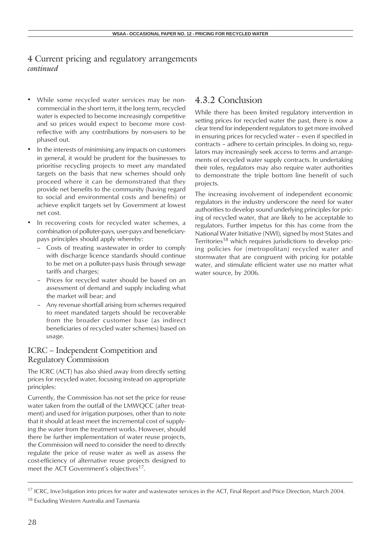- While some recycled water services may be noncommercial in the short term, it the long term, recycled water is expected to become increasingly competitive and so prices would expect to become more costreflective with any contributions by non-users to be phased out.
- In the interests of minimising any impacts on customers in general, it would be prudent for the businesses to prioritise recycling projects to meet any mandated targets on the basis that new schemes should only proceed where it can be demonstrated that they provide net benefits to the community (having regard to social and environmental costs and benefits) or achieve explicit targets set by Government at lowest net cost.
- In recovering costs for recycled water schemes, a combination of polluter-pays, user-pays and beneficiarypays principles should apply whereby:
	- Costs of treating wastewater in order to comply with discharge licence standards should continue to be met on a polluter-pays basis through sewage tariffs and charges;
	- Prices for recycled water should be based on an assessment of demand and supply including what the market will bear; and
	- Any revenue shortfall arising from schemes required to meet mandated targets should be recoverable from the broader customer base (as indirect beneficiaries of recycled water schemes) based on usage.

## ICRC – Independent Competition and Regulatory Commission

The ICRC (ACT) has also shied away from directly setting prices for recycled water, focusing instead on appropriate principles:

Currently, the Commission has not set the price for reuse water taken from the outfall of the LMWQCC (after treatment) and used for irrigation purposes, other than to note that it should at least meet the incremental cost of supplying the water from the treatment works. However, should there be further implementation of water reuse projects, the Commission will need to consider the need to directly regulate the price of reuse water as well as assess the cost-efficiency of alternative reuse projects designed to meet the ACT Government's objectives<sup>17</sup>.

## 4.3.2 Conclusion

While there has been limited regulatory intervention in setting prices for recycled water the past, there is now a clear trend for independent regulators to get more involved in ensuring prices for recycled water – even if specified in contracts – adhere to certain principles. In doing so, regulators may increasingly seek access to terms and arrangements of recycled water supply contracts. In undertaking their roles, regulators may also require water authorities to demonstrate the triple bottom line benefit of such projects.

The increasing involvement of independent economic regulators in the industry underscore the need for water authorities to develop sound underlying principles for pricing of recycled water, that are likely to be acceptable to regulators. Further impetus for this has come from the National Water Initiative (NWI), signed by most States and Territories<sup>18</sup> which requires jurisdictions to develop pricing policies for (metropolitan) recycled water and stormwater that are congruent with pricing for potable water, and stimulate efficient water use no matter what water source, by 2006.

<sup>&</sup>lt;sup>17</sup> ICRC, Inve3stigation into prices for water and wastewater services in the ACT, Final Report and Price Direction, March 2004.

<sup>&</sup>lt;sup>18</sup> Excluding Western Australia and Tasmania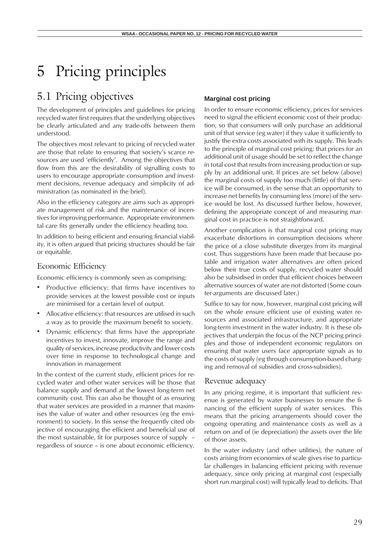# 5 Pricing principles

# 5.1 Pricing objectives

The development of principles and guidelines for pricing recycled water first requires that the underlying objectives be clearly articulated and any trade-offs between them understood.

The objectives most relevant to pricing of recycled water are those that relate to ensuring that society's scarce resources are used 'efficiently'. Among the objectives that flow from this are the desirability of signalling costs to users to encourage appropriate consumption and investment decisions, revenue adequacy and simplicity of administration (as nominated in the brief).

Also in the efficiency category are aims such as appropriate management of risk and the maintenance of incentives for improving performance. Appropriate environmental care fits generally under the efficiency heading too.

In addition to being efficient and ensuring financial viability, it is often argued that pricing structures should be fair or equitable.

## Economic Efficiency

Economic efficiency is commonly seen as comprising:

- Productive efficiency: that firms have incentives to provide services at the lowest possible cost or inputs are minimised for a certain level of output.
- Allocative efficiency: that resources are utilised in such a way as to provide the maximum benefit to society.
- Dynamic efficiency: that firms have the appropriate incentives to invest, innovate, improve the range and quality of services, increase productivity and lower costs over time in response to technological change and innovation in management

In the context of the current study, efficient prices for recycled water and other water services will be those that balance supply and demand at the lowest long-term net community cost. This can also be thought of as ensuring that water services are provided in a manner that maximises the value of water and other resources (eg the environment) to society. In this sense the frequently cited objective of encouraging the efficient and beneficial use of the most sustainable, fit for purposes source of supply – regardless of source – is one about economic efficiency.

## **Marginal cost pricing**

In order to ensure economic efficiency, prices for services need to signal the efficient economic cost of their production, so that consumers will only purchase an additional unit of that service (eg water) if they value it sufficiently to justify the extra costs associated with its supply. This leads to the principle of marginal cost pricing: that prices for an additional unit of usage should be set to reflect the change in total cost that results from increasing production or supply by an additional unit. If prices are set below (above) the marginal costs of supply too much (little) of that service will be consumed, in the sense that an opportunity to increase net benefits by consuming less (more) of the service would be lost. As discussed further below, however, defining the appropriate concept of and measuring marginal cost in practice is not straightforward.

Another complication is that marginal cost pricing may exacerbate distortions in consumption decisions where the price of a close substitute diverges from its marginal cost. Thus suggestions have been made that because potable and irrigation water alternatives are often priced below their true costs of supply, recycled water should also be subsidised in order that efficient choices between alternative sources of water are not distorted (Some counter-arguments are discussed later.)

Suffice to say for now, however, marginal cost pricing will on the whole ensure efficient use of existing water resources and associated infrastructure, and appropriate long-term investment in the water industry. It is these objectives that underpin the focus of the NCP pricing principles and those of independent economic regulators on ensuring that water users face appropriate signals as to the costs of supply (eg through consumption-based charging and removal of subsidies and cross-subsidies).

## Revenue adequacy

In any pricing regime, it is important that sufficient revenue is generated by water businesses to ensure the financing of the efficient supply of water services. This means that the pricing arrangements should cover the ongoing operating and maintenance costs as well as a return on and of (ie depreciation) the assets over the life of those assets.

In the water industry (and other utilities), the nature of costs arising from economies of scale gives rise to particular challenges in balancing efficient pricing with revenue adequacy, since only pricing at marginal cost (especially short run marginal cost) will typically lead to deficits. That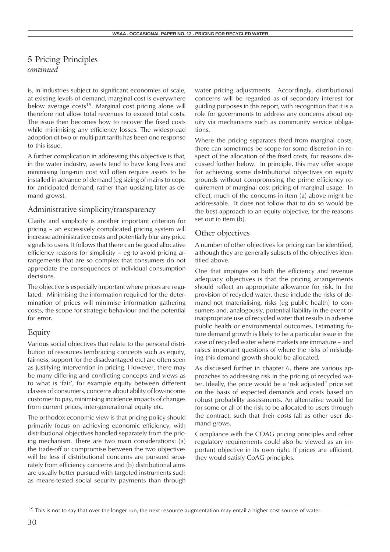is, in industries subject to significant economies of scale, at existing levels of demand, marginal cost is everywhere below average  $costs^{19}$ . Marginal cost pricing alone will therefore not allow total revenues to exceed total costs. The issue then becomes how to recover the fixed costs while minimising any efficiency losses. The widespread adoption of two or multi-part tariffs has been one response to this issue.

A further complication in addressing this objective is that, in the water industry, assets tend to have long lives and minimising long-run cost will often require assets to be installed in advance of demand (eg sizing of mains to cope for anticipated demand, rather than upsizing later as demand grows).

## Administrative simplicity/transparency

Clarity and simplicity is another important criterion for pricing – an excessively complicated pricing system will increase administrative costs and potentially blur any price signals to users. It follows that there can be good allocative efficiency reasons for simplicity – eg to avoid pricing arrangements that are so complex that consumers do not appreciate the consequences of individual consumption decisions.

The objective is especially important where prices are regulated. Minimising the information required for the determination of prices will minimise information gathering costs, the scope for strategic behaviour and the potential for error.

## Equity

Various social objectives that relate to the personal distribution of resources (embracing concepts such as equity, fairness, support for the disadvantaged etc) are often seen as justifying intervention in pricing. However, there may be many differing and conflicting concepts and views as to what is 'fair', for example equity between different classes of consumers, concerns about ability of low-income customer to pay, minimising incidence impacts of changes from current prices, inter-generational equity etc.

The orthodox economic view is that pricing policy should primarily focus on achieving economic efficiency, with distributional objectives handled separately from the pricing mechanism. There are two main considerations: (a) the trade-off or compromise between the two objectives will be less if distributional concerns are pursued separately from efficiency concerns and (b) distributional aims are usually better pursued with targeted instruments such as means-tested social security payments than through water pricing adjustments. Accordingly, distributional concerns will be regarded as of secondary interest for guiding purposes in this report, with recognition that it is a role for governments to address any concerns about equity via mechanisms such as community service obligations.

Where the pricing separates fixed from marginal costs, there can sometimes be scope for some discretion in respect of the allocation of the fixed costs, for reasons discussed further below. In principle, this may offer scope for achieving some distributional objectives on equity grounds without compromising the prime efficiency requirement of marginal cost pricing of marginal usage. In effect, much of the concerns in item (a) above might be addressable. It does not follow that to do so would be the best approach to an equity objective, for the reasons set out in item (b).

## Other objectives

A number of other objectives for pricing can be identified, although they are generally subsets of the objectives identified above.

One that impinges on both the efficiency and revenue adequacy objectives is that the pricing arrangements should reflect an appropriate allowance for risk. In the provision of recycled water, these include the risks of demand not materialising, risks (eg public health) to consumers and, analogously, potential liability in the event of inappropriate use of recycled water that results in adverse public health or environmental outcomes. Estimating future demand growth is likely to be a particular issue in the case of recycled water where markets are immature – and raises important questions of where the risks of misjudging this demand growth should be allocated.

As discussed further in chapter 6, there are various approaches to addressing risk in the pricing of recycled water. Ideally, the price would be a 'risk adjusted" price set on the basis of expected demands and costs based on robust probability assessments. An alternative would be for some or all of the risk to be allocated to users through the contract, such that their costs fall as other user demand grows.

Compliance with the COAG pricing principles and other regulatory requirements could also be viewed as an important objective in its own right. If prices are efficient, they would satisfy CoAG principles.

 $19$  This is not to say that over the longer run, the next resource augmentation may entail a higher cost source of water.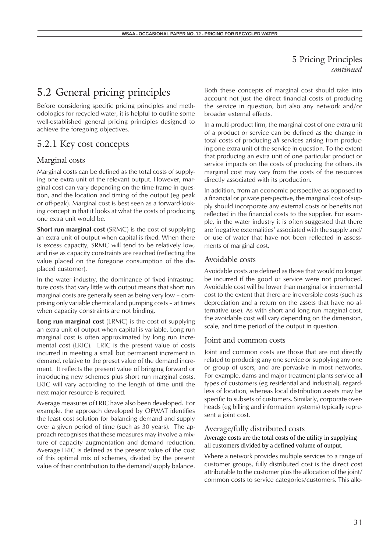# 5.2 General pricing principles

Before considering specific pricing principles and methodologies for recycled water, it is helpful to outline some well-established general pricing principles designed to achieve the foregoing objectives.

## 5.2.1 Key cost concepts

## Marginal costs

Marginal costs can be defined as the total costs of supplying one extra unit of the relevant output. However, marginal cost can vary depending on the time frame in question, and the location and timing of the output (eg peak or off-peak). Marginal cost is best seen as a forward-looking concept in that it looks at what the costs of producing one extra unit would be.

**Short run marginal cost** (SRMC) is the cost of supplying an extra unit of output when capital is fixed. When there is excess capacity, SRMC will tend to be relatively low, and rise as capacity constraints are reached (reflecting the value placed on the foregone consumption of the displaced customer).

In the water industry, the dominance of fixed infrastructure costs that vary little with output means that short run marginal costs are generally seen as being very low – comprising only variable chemical and pumping costs – at times when capacity constraints are not binding.

**Long run marginal cost** (LRMC) is the cost of supplying an extra unit of output when capital is variable. Long run marginal cost is often approximated by long run incremental cost (LRIC). LRIC is the present value of costs incurred in meeting a small but permanent increment in demand, relative to the preset value of the demand increment. It reflects the present value of bringing forward or introducing new schemes plus short run marginal costs. LRIC will vary according to the length of time until the next major resource is required.

Average measures of LRIC have also been developed. For example, the approach developed by OFWAT identifies the least cost solution for balancing demand and supply over a given period of time (such as 30 years). The approach recognises that these measures may involve a mixture of capacity augmentation and demand reduction. Average LRIC is defined as the present value of the cost of this optimal mix of schemes, divided by the present value of their contribution to the demand/supply balance.

Both these concepts of marginal cost should take into account not just the direct financial costs of producing the service in question, but also any network and/or broader external effects.

In a multi-product firm, the marginal cost of one extra unit of a product or service can be defined as the change in total costs of producing *all* services arising from producing one extra unit of the service in question. To the extent that producing an extra unit of one particular product or service impacts on the costs of producing the others, its marginal cost may vary from the costs of the resources directly associated with its production.

In addition, from an economic perspective as opposed to a financial or private perspective, the marginal cost of supply should incorporate any external costs or benefits not reflected in the financial costs to the supplier. For example, in the water industry it is often suggested that there are 'negative externalities' associated with the supply and/ or use of water that have not been reflected in assessments of marginal cost.

#### Avoidable costs

Avoidable costs are defined as those that would no longer be incurred if the good or service were not produced. Avoidable cost will be lower than marginal or incremental cost to the extent that there are irreversible costs (such as depreciation and a return on the assets that have no alternative use). As with short and long run marginal cost, the avoidable cost will vary depending on the dimension, scale, and time period of the output in question.

### Joint and common costs

Joint and common costs are those that are not directly related to producing any one service or supplying any one or group of users, and are pervasive in most networks. For example, dams and major treatment plants service all types of customers (eg residential and industrial), regardless of location, whereas local distribution assets may be specific to subsets of customers. Similarly, corporate overheads (eg billing and information systems) typically represent a joint cost.

#### Average/fully distributed costs

Average costs are the total costs of the utility in supplying all customers divided by a defined volume of output.

Where a network provides multiple services to a range of customer groups, fully distributed cost is the direct cost attributable to the customer plus the allocation of the joint/ common costs to service categories/customers. This allo-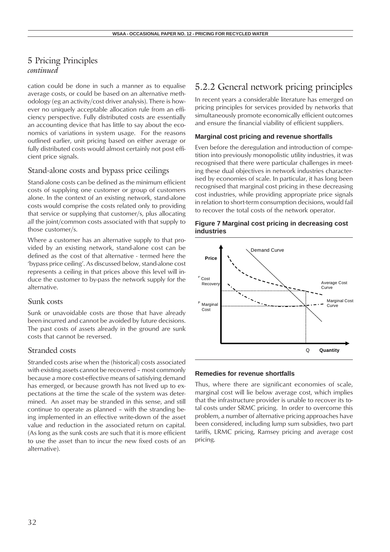cation could be done in such a manner as to equalise average costs, or could be based on an alternative methodology (eg an activity/cost driver analysis). There is however no uniquely acceptable allocation rule from an efficiency perspective. Fully distributed costs are essentially an accounting device that has little to say about the economics of variations in system usage. For the reasons outlined earlier, unit pricing based on either average or fully distributed costs would almost certainly not post efficient price signals.

## Stand-alone costs and bypass price ceilings

Stand-alone costs can be defined as the minimum efficient costs of supplying one customer or group of customers alone. In the context of an existing network, stand-alone costs would comprise the costs related only to providing that service or supplying that customer/s, plus allocating *all* the joint/common costs associated with that supply to those customer/s.

Where a customer has an alternative supply to that provided by an existing network, stand-alone cost can be defined as the cost of that alternative - termed here the 'bypass price ceiling'. As discussed below, stand-alone cost represents a ceiling in that prices above this level will induce the customer to by-pass the network supply for the alternative.

## Sunk costs

Sunk or unavoidable costs are those that have already been incurred and cannot be avoided by future decisions. The past costs of assets already in the ground are sunk costs that cannot be reversed.

## Stranded costs

Stranded costs arise when the (historical) costs associated with existing assets cannot be recovered – most commonly because a more cost-effective means of satisfying demand has emerged, or because growth has not lived up to expectations at the time the scale of the system was determined. An asset may be stranded in this sense, and still continue to operate as planned – with the stranding being implemented in an effective write-down of the asset value and reduction in the associated return on capital. (As long as the sunk costs are such that it is more efficient to use the asset than to incur the new fixed costs of an alternative).

## 5.2.2 General network pricing principles

In recent years a considerable literature has emerged on pricing principles for services provided by networks that simultaneously promote economically efficient outcomes and ensure the financial viability of efficient suppliers.

### **Marginal cost pricing and revenue shortfalls**

Even before the deregulation and introduction of competition into previously monopolistic utility industries, it was recognised that there were particular challenges in meeting these dual objectives in network industries characterised by economies of scale. In particular, it has long been recognised that marginal cost pricing in these decreasing cost industries, while providing appropriate price signals in relation to short-term consumption decisions, would fail to recover the total costs of the network operator.

#### **Figure 7 Marginal cost pricing in decreasing cost industries**



### **Remedies for revenue shortfalls**

Thus, where there are significant economies of scale, marginal cost will lie below average cost, which implies that the infrastructure provider is unable to recover its total costs under SRMC pricing. In order to overcome this problem, a number of alternative pricing approaches have been considered, including lump sum subsidies, two part tariffs, LRMC pricing, Ramsey pricing and average cost pricing.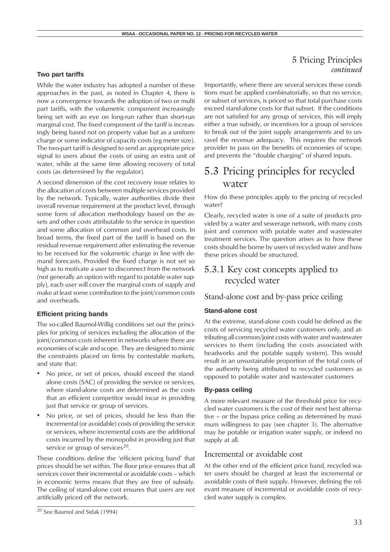#### **Two part tariffs**

While the water industry has adopted a number of these approaches in the past, as noted in Chapter 4, there is now a convergence towards the adoption of two or multi part tariffs, with the volumetric component increasingly being set with an eye on long-run rather than short-run marginal cost. The fixed component of the tariff is increasingly being based not on property value but as a uniform charge or some indicator of capacity costs (eg meter size). The two-part tariff is designed to send an appropriate price signal to users about the costs of using an extra unit of water, while at the same time allowing recovery of total costs (as determined by the regulator).

A second dimension of the cost recovery issue relates to the allocation of costs between multiple services provided by the network. Typically, water authorities divide their overall revenue requirement at the product level, through some form of allocation methodology based on the assets and other costs attributable to the service in question and some allocation of common and overhead costs. In broad terms, the fixed part of the tariff is based on the residual revenue requirement after estimating the revenue to be received for the volumetric charge in line with demand forecasts. Provided the fixed charge is not set so high as to motivate a user to disconnect from the network (not generally an option with regard to potable water supply), each user will cover the marginal costs of supply and make at least some contribution to the joint/common costs and overheads.

### **Efficient pricing bands**

The so-called Baumol-Willig conditions set out the principles for pricing of services including the allocation of the joint/common costs inherent in networks where there are economies of scale and scope. They are designed to mimic the constraints placed on firms by contestable markets, and state that:

- No price, or set of prices, should exceed the standalone costs (SAC) of providing the service or services, where stand-alone costs are determined as the costs that an efficient competitor would incur in providing just that service or group of services.
- No price, or set of prices, should be less than the incremental (or avoidable) costs of providing the service or services, where incremental costs are the additional costs incurred by the monopolist in providing just that service or group of services $20$ .

These conditions define the 'efficient pricing band' that prices should be set within. The floor price ensures that all services cover their incremental or avoidable costs – which in economic terms means that they are free of subsidy. The ceiling of stand-alone cost ensures that users are not artificially priced off the network.

## 5 Pricing Principles *continued*

Importantly, where there are several services these conditions must be applied combinatorially, so that no service, or subset of services, is priced so that total purchase costs exceed stand-alone costs for that subset. If the conditions are not satisfied for any group of services, this will imply either a true subsidy, or incentives for a group of services to break out of the joint supply arrangements and to unravel the revenue adequacy. This requires the network provider to pass on the benefits of economies of scope, and prevents the "double charging" of shared inputs.

## 5.3 Pricing principles for recycled water

How do these principles apply to the pricing of recycled water?

Clearly, recycled water is one of a suite of products provided by a water and sewerage network, with many costs joint and common with potable water and wastewater treatment services. The question arises as to how these costs should be borne by users of recycled water and how these prices should be structured.

## 5.3.1 Key cost concepts applied to recycled water

## Stand-alone cost and by-pass price ceiling

#### **Stand-alone cost**

At the extreme, stand-alone costs could be defined as the costs of servicing recycled water customers only, and attributing all common/joint costs with water and wastewater services to them (including the costs associated with headworks and the potable supply system). This would result in an unsustainable proportion of the total costs of the authority being attributed to recycled customers as opposed to potable water and wastewater customers

## **By-pass ceiling**

A more relevant measure of the threshold price for recycled water customers is the cost of their next best alternative – or the bypass price ceiling as determined by maximum willingness to pay (see chapter 3). The alternative may be potable or irrigation water supply, or indeed no supply at all.

## Incremental or avoidable cost

At the other end of the efficient price band, recycled water users should be charged at least the incremental or avoidable costs of their supply. However, defining the relevant measure of incremental or avoidable costs of recycled water supply is complex.

<sup>20</sup> See Baumol and Sidak (1994)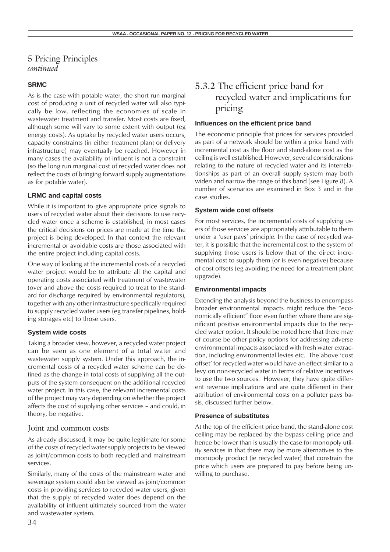### **SRMC**

As is the case with potable water, the short run marginal cost of producing a unit of recycled water will also typically be low, reflecting the economies of scale in wastewater treatment and transfer. Most costs are fixed, although some will vary to some extent with output (eg energy costs). As uptake by recycled water users occurs, capacity constraints (in either treatment plant or delivery infrastructure) may eventually be reached. However in many cases the availability of influent is not a constraint (so the long run marginal cost of recycled water does not reflect the costs of bringing forward supply augmentations as for potable water).

### **LRMC and capital costs**

While it is important to give appropriate price signals to users of recycled water about their decisions to use recycled water once a scheme is established, in most cases the critical decisions on prices are made at the time the project is being developed. In that context the relevant incremental or avoidable costs are those associated with the entire project including capital costs.

One way of looking at the incremental costs of a recycled water project would be to attribute all the capital and operating costs associated with treatment of wastewater (over and above the costs required to treat to the standard for discharge required by environmental regulators), together with any other infrastructure specifically required to supply recycled water users (eg transfer pipelines, holding storages etc) to those users.

### **System wide costs**

Taking a broader view, however, a recycled water project can be seen as one element of a total water and wastewater supply system. Under this approach, the incremental costs of a recycled water scheme can be defined as the change in total costs of supplying all the outputs of the system consequent on the additional recycled water project. In this case, the relevant incremental costs of the project may vary depending on whether the project affects the cost of supplying other services – and could, in theory, be negative.

## Joint and common costs

As already discussed, it may be quite legitimate for some of the costs of recycled water supply projects to be viewed as joint/common costs to both recycled and mainstream services.

Similarly, many of the costs of the mainstream water and sewerage system could also be viewed as joint/common costs in providing services to recycled water users, given that the supply of recycled water does depend on the availability of influent ultimately sourced from the water and wastewater system.

## 5.3.2 The efficient price band for recycled water and implications for pricing

#### **Influences on the efficient price band**

The economic principle that prices for services provided as part of a network should be within a price band with incremental cost as the floor and stand-alone cost as the ceiling is well established. However, several considerations relating to the nature of recycled water and its interrelationships as part of an overall supply system may both widen and narrow the range of this band (see Figure 8). A number of scenarios are examined in Box 3 and in the case studies.

#### **System wide cost offsets**

For most services, the incremental costs of supplying users of those services are appropriately attributable to them under a 'user pays' principle. In the case of recycled water, it is possible that the incremental cost to the system of supplying those users is below that of the direct incremental cost to supply them (or is even negative) because of cost offsets (eg avoiding the need for a treatment plant upgrade).

#### **Environmental impacts**

Extending the analysis beyond the business to encompass broader environmental impacts might reduce the "economically efficient" floor even further where there are significant positive environmental impacts due to the recycled water option. It should be noted here that there may of course be other policy options for addressing adverse environmental impacts associated with fresh water extraction, including environmental levies etc. The above 'cost offset' for recycled water would have an effect similar to a levy on non-recycled water in terms of relative incentives to use the two sources. However, they have quite different revenue implications and are quite different in their attribution of environmental costs on a polluter pays basis, discussed further below.

#### **Presence of substitutes**

At the top of the efficient price band, the stand-alone cost ceiling may be replaced by the bypass ceiling price and hence be lower than is usually the case for monopoly utility services in that there may be more alternatives to the monopoly product (ie recycled water) that constrain the price which users are prepared to pay before being unwilling to purchase.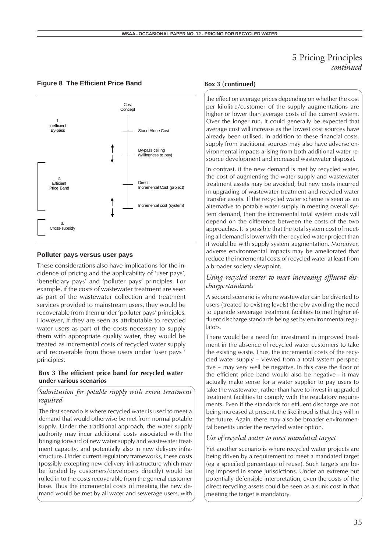## **Figure 8 The Efficient Price Band**



## **Polluter pays versus user pays**

These considerations also have implications for the incidence of pricing and the applicability of 'user pays', 'beneficiary pays' and 'polluter pays' principles. For example, if the costs of wastewater treatment are seen as part of the wastewater collection and treatment services provided to mainstream users, they would be recoverable from them under 'polluter pays' principles. However, if they are seen as attributable to recycled water users as part of the costs necessary to supply them with appropriate quality water, they would be treated as incremental costs of recycled water supply and recoverable from those users under 'user pays ' principles.

### **Box 3 The efficient price band for recycled water under various scenarios**

## *Substitution for potable supply with extra treatment required*

The first scenario is where recycled water is used to meet a demand that would otherwise be met from normal potable supply. Under the traditional approach, the water supply authority may incur additional costs associated with the bringing forward of new water supply and wastewater treatment capacity, and potentially also in new delivery infrastructure. Under current regulatory frameworks, these costs (possibly excepting new delivery infrastructure which may be funded by customers/developers directly) would be rolled in to the costs recoverable from the general customer base. Thus the incremental costs of meeting the new demand would be met by all water and sewerage users, with

#### **Box 3 (continued)**

the effect on average prices depending on whether the cost per kilolitre/customer of the supply augmentations are higher or lower than average costs of the current system. Over the longer run, it could generally be expected that average cost will increase as the lowest cost sources have already been utilised. In addition to these financial costs, supply from traditional sources may also have adverse environmental impacts arising from both additional water resource development and increased wastewater disposal.

In contrast, if the new demand is met by recycled water, the cost of augmenting the water supply and wastewater treatment assets may be avoided, but new costs incurred in upgrading of wastewater treatment and recycled water transfer assets. If the recycled water scheme is seen as an alternative to potable water supply in meeting overall system demand, then the incremental total system costs will depend on the difference between the costs of the two approaches. It is possible that the total system cost of meeting all demand is lower with the recycled water project than it would be with supply system augmentation. Moreover, adverse environmental impacts may be ameliorated that reduce the incremental costs of recycled water at least from a broader society viewpoint.

## *Using recycled water to meet increasing effluent discharge standards*

A second scenario is where wastewater can be diverted to users (treated to existing levels) thereby avoiding the need to upgrade sewerage treatment facilities to met higher effluent discharge standards being set by environmental regulators.

There would be a need for investment in improved treatment in the absence of recycled water customers to take the existing waste. Thus, the incremental costs of the recycled water supply – viewed from a total system perspective – may very well be negative. In this case the floor of the efficient price band would also be negative - it may actually make sense for a water supplier to pay users to take the wastewater, rather than have to invest in upgraded treatment facilities to comply with the regulatory requirements. Even if the standards for effluent discharge are not being increased at present, the likelihood is that they will in the future. Again, there may also be broader environmental benefits under the recycled water option.

### *Use of recycled water to meet mandated target*

Yet another scenario is where recycled water projects are being driven by a requirement to meet a mandated target (eg a specified percentage of reuse). Such targets are being imposed in some jurisdictions. Under an extreme but potentially defensible interpretation, even the costs of the direct recycling assets could be seen as a sunk cost in that meeting the target is mandatory.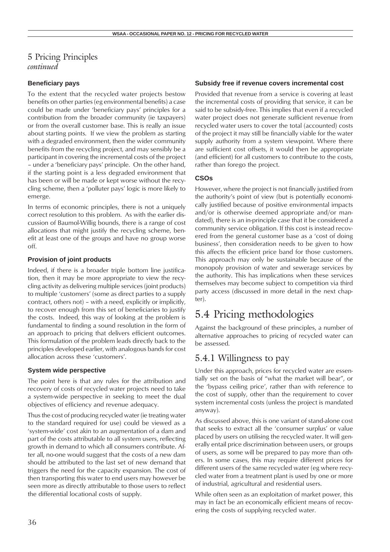## **Beneficiary pays**

To the extent that the recycled water projects bestow benefits on other parties (eg environmental benefits) a case could be made under 'beneficiary pays' principles for a contribution from the broader community (ie taxpayers) or from the overall customer base. This is really an issue about starting points. If we view the problem as starting with a degraded environment, then the wider community benefits from the recycling project, and may sensibly be a participant in covering the incremental costs of the project – under a 'beneficiary pays' principle. On the other hand, if the starting point is a less degraded environment that has been or will be made or kept worse without the recycling scheme, then a 'polluter pays' logic is more likely to emerge.

In terms of economic principles, there is not a uniquely correct resolution to this problem. As with the earlier discussion of Baumol-Willig bounds, there is a range of cost allocations that might justify the recycling scheme, benefit at least one of the groups and have no group worse off.

### **Provision of joint products**

Indeed, if there is a broader triple bottom line justification, then it may be more appropriate to view the recycling activity as delivering multiple services (joint products) to multiple 'customers' (some as direct parties to a supply contract, others not) – with a need, explicitly or implicitly, to recover enough from this set of beneficiaries to justify the costs. Indeed, this way of looking at the problem is fundamental to finding a sound resolution in the form of an approach to pricing that delivers efficient outcomes. This formulation of the problem leads directly back to the principles developed earlier, with analogous bands for cost allocation across these 'customers'.

### **System wide perspective**

The point here is that any rules for the attribution and recovery of costs of recycled water projects need to take a system-wide perspective in seeking to meet the dual objectives of efficiency and revenue adequacy.

Thus the cost of producing recycled water (ie treating water to the standard required for use) could be viewed as a 'system-wide' cost akin to an augmentation of a dam and part of the costs attributable to all system users, reflecting growth in demand to which all consumers contribute. After all, no-one would suggest that the costs of a new dam should be attributed to the last set of new demand that triggers the need for the capacity expansion. The cost of then transporting this water to end users may however be seen more as directly attributable to those users to reflect the differential locational costs of supply.

#### **Subsidy free if revenue covers incremental cost**

Provided that revenue from a service is covering at least the incremental costs of providing that service, it can be said to be subsidy-free. This implies that even if a recycled water project does not generate sufficient revenue from recycled water users to cover the total (accounted) costs of the project it may still be financially viable for the water supply authority from a system viewpoint. Where there are sufficient cost offsets, it would then be appropriate (and efficient) for all customers to contribute to the costs, rather than forego the project.

### **CSOs**

However, where the project is not financially justified from the authority's point of view (but is potentially economically justified because of positive environmental impacts and/or is otherwise deemed appropriate and/or mandated), there is an in-principle case that it be considered a community service obligation. If this cost is instead recovered from the general customer base as a 'cost of doing business', then consideration needs to be given to how this affects the efficient price band for those customers. This approach may only be sustainable because of the monopoly provision of water and sewerage services by the authority. This has implications when these services themselves may become subject to competition via third party access (discussed in more detail in the next chapter).

## 5.4 Pricing methodologies

Against the background of these principles, a number of alternative approaches to pricing of recycled water can be assessed.

## 5.4.1 Willingness to pay

Under this approach, prices for recycled water are essentially set on the basis of "what the market will bear", or the 'bypass ceiling price', rather than with reference to the cost of supply, other than the requirement to cover system incremental costs (unless the project is mandated anyway).

As discussed above, this is one variant of stand-alone cost that seeks to extract all the 'consumer surplus' or value placed by users on utilising the recycled water. It will generally entail price discrimination between users, or groups of users, as some will be prepared to pay more than others. In some cases, this may require different prices for different users of the same recycled water (eg where recycled water from a treatment plant is used by one or more of industrial, agricultural and residential users.

While often seen as an exploitation of market power, this may in fact be an economically efficient means of recovering the costs of supplying recycled water.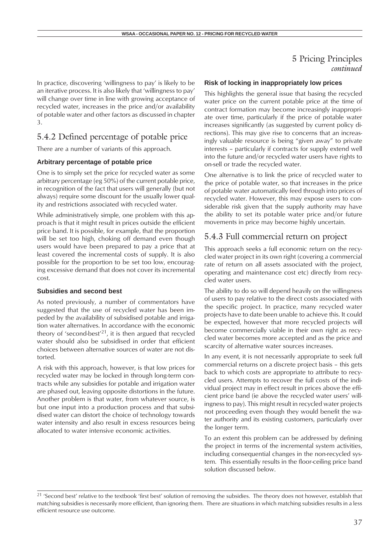### 5 Pricing Principles *continued*

In practice, discovering 'willingness to pay' is likely to be an iterative process. It is also likely that 'willingness to pay' will change over time in line with growing acceptance of recycled water, increases in the price and/or availability of potable water and other factors as discussed in chapter 3.

## 5.4.2 Defined percentage of potable price

There are a number of variants of this approach.

#### **Arbitrary percentage of potable price**

One is to simply set the price for recycled water as some arbitrary percentage (eg 50%) of the current potable price, in recognition of the fact that users will generally (but not always) require some discount for the usually lower quality and restrictions associated with recycled water.

While administratively simple, one problem with this approach is that it might result in prices outside the efficient price band. It is possible, for example, that the proportion will be set too high, choking off demand even though users would have been prepared to pay a price that at least covered the incremental costs of supply. It is also possible for the proportion to be set too low, encouraging excessive demand that does not cover its incremental cost.

### **Subsidies and second best**

As noted previously, a number of commentators have suggested that the use of recycled water has been impeded by the availability of subsidised potable and irrigation water alternatives. In accordance with the economic theory of 'second-best'<sup>21</sup>, it is then argued that recycled water should also be subsidised in order that efficient choices between alternative sources of water are not distorted.

A risk with this approach, however, is that low prices for recycled water may be locked in through long-term contracts while any subsidies for potable and irrigation water are phased out, leaving opposite distortions in the future. Another problem is that water, from whatever source, is but one input into a production process and that subsidised water can distort the choice of technology towards water intensity and also result in excess resources being allocated to water intensive economic activities.

#### **Risk of locking in inappropriately low prices**

This highlights the general issue that basing the recycled water price on the current potable price at the time of contract formation may become increasingly inappropriate over time, particularly if the price of potable water increases significantly (as suggested by current policy directions). This may give rise to concerns that an increasingly valuable resource is being "given away" to private interests – particularly if contracts for supply extend well into the future and/or recycled water users have rights to on-sell or trade the recycled water.

One alternative is to link the price of recycled water to the price of potable water, so that increases in the price of potable water automatically feed through into prices of recycled water. However, this may expose users to considerable risk given that the supply authority may have the ability to set its potable water price and/or future movements in price may become highly uncertain.

### 5.4.3 Full commercial return on project

This approach seeks a full economic return on the recycled water project in its own right (covering a commercial rate of return on all assets associated with the project, operating and maintenance cost etc) directly from recycled water users.

The ability to do so will depend heavily on the willingness of users to pay relative to the direct costs associated with the specific project. In practice, many recycled water projects have to date been unable to achieve this. It could be expected, however that more recycled projects will become commercially viable in their own right as recycled water becomes more accepted and as the price and scarcity of alternative water sources increases.

In any event, it is not necessarily appropriate to seek full commercial returns on a discrete project basis – this gets back to which costs are appropriate to attribute to recycled users. Attempts to recover the full costs of the individual project may in effect result in prices above the efficient price band (ie above the recycled water users' willingness to pay). This might result in recycled water projects not proceeding even though they would benefit the water authority and its existing customers, particularly over the longer term.

To an extent this problem can be addressed by defining the project in terms of the incremental system activities, including consequential changes in the non-recycled system. This essentially results in the floor-ceiling price band solution discussed below.

<sup>&</sup>lt;sup>21</sup> 'Second best' relative to the textbook 'first best' solution of removing the subsidies. The theory does not however, establish that matching subsidies is necessarily more efficient, than ignoring them. There are situations in which matching subsidies results in a less efficient resource use outcome.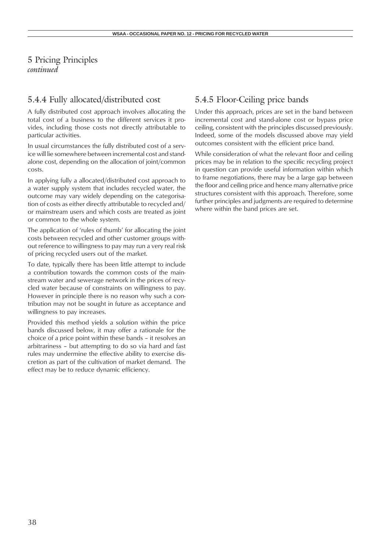5 Pricing Principles *continued*

## 5.4.4 Fully allocated/distributed cost

A fully distributed cost approach involves allocating the total cost of a business to the different services it provides, including those costs not directly attributable to particular activities.

In usual circumstances the fully distributed cost of a service will lie somewhere between incremental cost and standalone cost, depending on the allocation of joint/common costs.

In applying fully a allocated/distributed cost approach to a water supply system that includes recycled water, the outcome may vary widely depending on the categorisation of costs as either directly attributable to recycled and/ or mainstream users and which costs are treated as joint or common to the whole system.

The application of 'rules of thumb' for allocating the joint costs between recycled and other customer groups without reference to willingness to pay may run a very real risk of pricing recycled users out of the market.

To date, typically there has been little attempt to include a contribution towards the common costs of the mainstream water and sewerage network in the prices of recycled water because of constraints on willingness to pay. However in principle there is no reason why such a contribution may not be sought in future as acceptance and willingness to pay increases.

Provided this method yields a solution within the price bands discussed below, it may offer a rationale for the choice of a price point within these bands – it resolves an arbitrariness – but attempting to do so via hard and fast rules may undermine the effective ability to exercise discretion as part of the cultivation of market demand. The effect may be to reduce dynamic efficiency.

## 5.4.5 Floor-Ceiling price bands

Under this approach, prices are set in the band between incremental cost and stand-alone cost or bypass price ceiling, consistent with the principles discussed previously. Indeed, some of the models discussed above may yield outcomes consistent with the efficient price band.

While consideration of what the relevant floor and ceiling prices may be in relation to the specific recycling project in question can provide useful information within which to frame negotiations, there may be a large gap between the floor and ceiling price and hence many alternative price structures consistent with this approach. Therefore, some further principles and judgments are required to determine where within the band prices are set.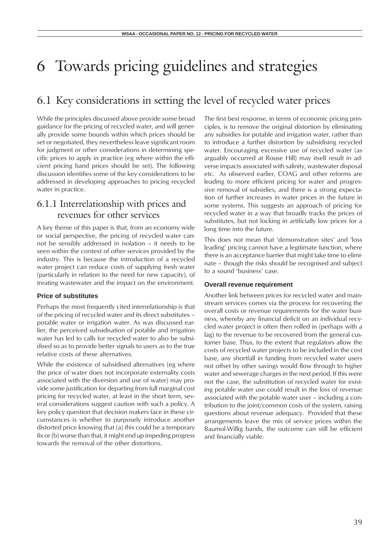## 6.1 Key considerations in setting the level of recycled water prices

While the principles discussed above provide some broad guidance for the pricing of recycled water, and will generally provide some bounds within which prices should be set or negotiated, they nevertheless leave significant room for judgment or other considerations in determining specific prices to apply in practice (eg where within the efficient pricing band prices should be set). The following discussion identifies some of the key considerations to be addressed in developing approaches to pricing recycled water in practice.

## 6.1.1 Interrelationship with prices and revenues for other services

A key theme of this paper is that, from an economy wide or social perspective, the pricing of recycled water cannot be sensibly addressed in isolation – it needs to be seen within the context of other services provided by the industry. This is because the introduction of a recycled water project can reduce costs of supplying fresh water (particularly in relation to the need for new capacity), of treating wastewater and the impact on the environment.

### **Price of substitutes**

Perhaps the most frequently cited interrelationship is that of the pricing of recycled water and its direct substitutes – potable water or irrigation water. As was discussed earlier, the perceived subsidisation of potable and irrigation water has led to calls for recycled water to also be subsidised so as to provide better signals to users as to the true relative costs of these alternatives.

While the existence of subsidised alternatives (eg where the price of water does not incorporate externality costs associated with the diversion and use of water) may provide some justification for departing from full marginal cost pricing for recycled water, at least in the short term, several considerations suggest caution with such a policy. A key policy question that decision makers face in these circumstances is whether to purposely introduce another distorted price knowing that (a) this could be a temporary fix or (b) worse than that, it might end up impeding progress towards the removal of the other distortions.

The first best response, in terms of economic pricing principles, is to remove the original distortion by eliminating any subsidies for potable and irrigation water, rather than to introduce a further distortion by subsidising recycled water. Encouraging excessive use of recycled water (as arguably occurred at Rouse Hill) may itself result in adverse impacts associated with salinity, wastewater disposal etc. As observed earlier, COAG and other reforms are leading to more efficient pricing for water and progressive removal of subsidies, and there is a strong expectation of further increases in water prices in the future in some systems. This suggests an approach of pricing for recycled water in a way that broadly tracks the prices of substitutes, but not locking in artificially low prices for a long time into the future.

This does not mean that 'demonstration sites' and 'loss leading' pricing cannot have a legitimate function, where there is an acceptance barrier that might take time to eliminate – though the risks should be recognised and subject to a sound 'business' case.

### **Overall revenue requirement**

Another link between prices for recycled water and mainstream services comes via the process for recovering the overall costs or revenue requirements for the water business, whereby any financial deficit on an individual recycled water project is often then rolled in (perhaps with a lag) to the revenue to be recovered from the general customer base. Thus, to the extent that regulators allow the costs of recycled water projects to be included in the cost base, any shortfall in funding from recycled water users not offset by other savings would flow through to higher water and sewerage charges in the next period. If this were not the case, the substitution of recycled water for existing potable water use could result in the loss of revenue associated with the potable water user – including a contribution to the joint/common costs of the system, raising questions about revenue adequacy. Provided that these arrangements leave the mix of service prices within the Baumol-Willig bands, the outcome can still be efficient and financially viable.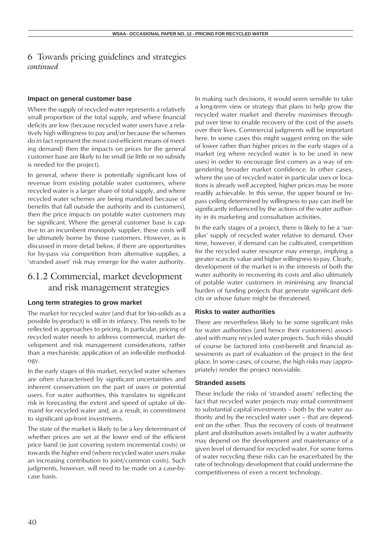### **Impact on general customer base**

Where the supply of recycled water represents a relatively small proportion of the total supply, and where financial deficits are low (because recycled water users have a relatively high willingness to pay and/or because the schemes do in fact represent the most cost-efficient means of meeting demand) then the impacts on prices for the general customer base are likely to be small (ie little or no subsidy is needed for the project).

In general, where there is potentially significant loss of revenue from existing potable water customers, where recycled water is a larger share of total supply, and where recycled water schemes are being mandated because of benefits that fall outside the authority and its customers), then the price impacts on potable water customers may be significant. Where the general customer base is captive to an incumbent monopoly supplier, these costs will be ultimately borne by those customers. However, as is discussed in more detail below, if there are opportunities for by-pass via competition from alternative supplies, a 'stranded asset' risk may emerge for the water authority.

## 6.1.2 Commercial, market development and risk management strategies

### **Long term strategies to grow market**

The market for recycled water (and that for bio-solids as a possible by-product) is still in its infancy. This needs to be reflected in approaches to pricing. In particular, pricing of recycled water needs to address commercial, market development and risk management considerations, rather than a mechanistic application of an inflexible methodology.

In the early stages of this market, recycled water schemes are often characterised by significant uncertainties and inherent conservatism on the part of users or potential users. For water authorities, this translates to significant risk in forecasting the extent and speed of uptake of demand for recycled water and, as a result, in commitment to significant up-front investments.

The state of the market is likely to be a key determinant of whether prices are set at the lower end of the efficient price band (ie just covering system incremental costs) or towards the higher end (where recycled water users make an increasing contribution to joint/common costs). Such judgments, however, will need to be made on a case-bycase basis.

In making such decisions, it would seem sensible to take a long-term view or strategy that plans to help grow the recycled water market and thereby maximises throughput over time to enable recovery of the cost of the assets over their lives. Commercial judgments will be important here. In some cases this might suggest erring on the side of lower rather than higher prices in the early stages of a market (eg where recycled water is to be used in new uses) in order to encourage first comers as a way of engendering broader market confidence. In other cases, where the use of recycled water in particular uses or locations is already well accepted, higher prices may be more readily achievable. In this sense, the upper bound or bypass ceiling determined by willingness to pay can itself be significantly influenced by the actions of the water authority in its marketing and consultation activities.

In the early stages of a project, there is likely to be a 'surplus' supply of recycled water relative to demand. Over time, however, if demand can be cultivated, competition for the recycled water resource may emerge, implying a greater scarcity value and higher willingness to pay. Clearly, development of the market is in the interests of both the water authority in recovering its costs and also ultimately of potable water customers in minimising any financial burden of funding projects that generate significant deficits or whose future might be threatened.

### **Risks to water authorities**

There are nevertheless likely to be some significant risks for water authorities (and hence their customers) associated with many recycled water projects. Such risks should of course be factored into cost-benefit and financial assessments as part of evaluation of the project in the first place. In some cases, of course, the high risks may (appropriately) render the project non-viable.

#### **Stranded assets**

These include the risks of 'stranded assets' reflecting the fact that recycled water projects may entail commitment to substantial capital investments – both by the water authority and by the recycled water user – that are dependent on the other. Thus the recovery of costs of treatment plant and distribution assets installed by a water authority may depend on the development and maintenance of a given level of demand for recycled water. For some forms of water recycling these risks can be exacerbated by the rate of technology development that could undermine the competitiveness of even a recent technology.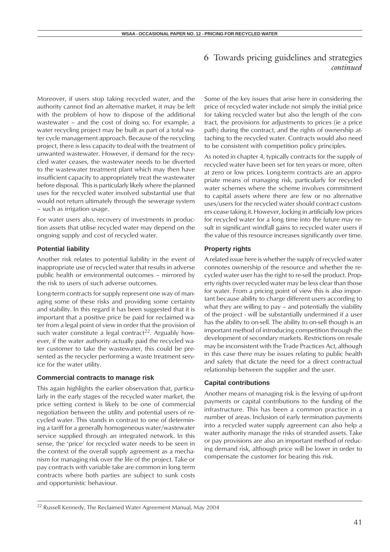Moreover, if users stop taking recycled water, and the authority cannot find an alternative market, it may be left with the problem of how to dispose of the additional wastewater – and the cost of doing so. For example, a water recycling project may be built as part of a total water cycle management approach. Because of the recycling project, there is less capacity to deal with the treatment of unwanted wastewater. However, if demand for the recycled water ceases, the wastewater needs to be diverted to the wastewater treatment plant which may then have insufficient capacity to appropriately treat the wastewater before disposal. This is particularly likely where the planned uses for the recycled water involved substantial use that would not return ultimately through the sewerage system – such as irrigation usage.

For water users also, recovery of investments in production assets that utilise recycled water may depend on the ongoing supply and cost of recycled water.

### **Potential liability**

Another risk relates to potential liability in the event of inappropriate use of recycled water that results in adverse public health or environmental outcomes – mirrored by the risk to users of such adverse outcomes.

Long-term contracts for supply represent one way of managing some of these risks and providing some certainty and stability. In this regard it has been suggested that it is important that a positive price be paid for reclaimed water from a legal point of view in order that the provision of such water constitute a legal contract<sup>22</sup>. Arguably however, if the water authority actually paid the recycled water customer to take the wastewater, this could be presented as the recycler performing a waste treatment service for the water utility.

### **Commercial contracts to manage risk**

This again highlights the earlier observation that, particularly in the early stages of the recycled water market, the price setting context is likely to be one of commercial negotiation between the utility and potential users of recycled water. This stands in contrast to one of determining a tariff for a generally homogeneous water/wastewater service supplied through an integrated network. In this sense, the 'price' for recycled water needs to be seen in the context of the overall supply agreement as a mechanism for managing risk over the life of the project. Take or pay contracts with variable take are common in long term contracts where both parties are subject to sunk costs and opportunistic behaviour.

Some of the key issues that arise here in considering the price of recycled water include not simply the initial price for taking recycled water but also the length of the contract, the provisions for adjustments to prices (ie a price path) during the contract, and the rights of ownership attaching to the recycled water. Contracts would also need to be consistent with competition policy principles.

As noted in chapter 4, typically contracts for the supply of recycled water have been set for ten years or more, often at zero or low prices. Long-term contracts are an appropriate means of managing risk, particularly for recycled water schemes where the scheme involves commitment to capital assets where there are few or no alternative uses/users for the recycled water should contract customers cease taking it. However, locking in artificially low prices for recycled water for a long time into the future may result in significant windfall gains to recycled water users if the value of this resource increases significantly over time.

### **Property rights**

A related issue here is whether the supply of recycled water connotes ownership of the resource and whether the recycled water user has the right to re-sell the product. Property rights over recycled water may be less clear than those for water. From a pricing point of view this is also important because ability to charge different users according to what they are willing to pay – and potentially the viability of the project - will be substantially undermined if a user has the ability to on-sell. The ability to on-sell though is an important method of introducing competition through the development of secondary markets. Restrictions on resale may be inconsistent with the Trade Practices Act, although in this case there may be issues relating to public health and safety that dictate the need for a direct contractual relationship between the supplier and the user.

### **Capital contributions**

Another means of managing risk is the levying of up-front payments or capital contributions to the funding of the infrastructure. This has been a common practice in a number of areas. Inclusion of early termination payments into a recycled water supply agreement can also help a water authority manage the risks of stranded assets. Take or pay provisions are also an important method of reducing demand risk, although price will be lower in order to compensate the customer for bearing this risk.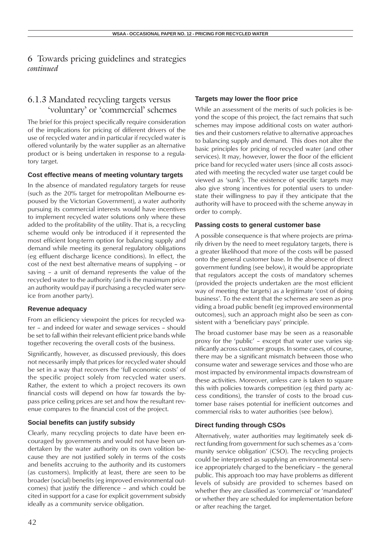## 6.1.3 Mandated recycling targets versus 'voluntary' or 'commercial' schemes

The brief for this project specifically require consideration of the implications for pricing of different drivers of the use of recycled water and in particular if recycled water is offered voluntarily by the water supplier as an alternative product or is being undertaken in response to a regulatory target.

### **Cost effective means of meeting voluntary targets**

In the absence of mandated regulatory targets for reuse (such as the 20% target for metropolitan Melbourne espoused by the Victorian Government), a water authority pursuing its commercial interests would have incentives to implement recycled water solutions only where these added to the profitability of the utility. That is, a recycling scheme would only be introduced if it represented the most efficient long-term option for balancing supply and demand while meeting its general regulatory obligations (eg effluent discharge licence conditions). In effect, the cost of the next best alternative means of supplying – or saving – a unit of demand represents the value of the recycled water to the authority (and is the maximum price an authority would pay if purchasing a recycled water service from another party).

### **Revenue adequacy**

From an efficiency viewpoint the prices for recycled water – and indeed for water and sewage services – should be set to fall within their relevant efficient price bands while together recovering the overall costs of the business.

Significantly, however, as discussed previously, this does not necessarily imply that prices for recycled water should be set in a way that recovers the 'full economic costs' of the specific project solely from recycled water users. Rather, the extent to which a project recovers its own financial costs will depend on how far towards the bypass price ceiling prices are set and how the resultant revenue compares to the financial cost of the project.

### **Social benefits can justify subsidy**

Clearly, many recycling projects to date have been encouraged by governments and would not have been undertaken by the water authority on its own volition because they are not justified solely in terms of the costs and benefits accruing to the authority and its customers (as customers). Implicitly at least, there are seen to be broader (social) benefits (eg improved environmental outcomes) that justify the difference – and which could be cited in support for a case for explicit government subsidy ideally as a community service obligation.

### **Targets may lower the floor price**

While an assessment of the merits of such policies is beyond the scope of this project, the fact remains that such schemes may impose additional costs on water authorities and their customers relative to alternative approaches to balancing supply and demand. This does not alter the basic principles for pricing of recycled water (and other services). It may, however, lower the floor of the efficient price band for recycled water users (since all costs associated with meeting the recycled water use target could be viewed as 'sunk'). The existence of specific targets may also give strong incentives for potential users to understate their willingness to pay if they anticipate that the authority will have to proceed with the scheme anyway in order to comply.

### **Passing costs to general customer base**

A possible consequence is that where projects are primarily driven by the need to meet regulatory targets, there is a greater likelihood that more of the costs will be passed onto the general customer base. In the absence of direct government funding (see below), it would be appropriate that regulators accept the costs of mandatory schemes (provided the projects undertaken are the most efficient way of meeting the targets) as a legitimate 'cost of doing business'. To the extent that the schemes are seen as providing a broad public benefit (eg improved environmental outcomes), such an approach might also be seen as consistent with a 'beneficiary pays' principle.

The broad customer base may be seen as a reasonable proxy for the 'public' – except that water use varies significantly across customer groups. In some cases, of course, there may be a significant mismatch between those who consume water and sewerage services and those who are most impacted by environmental impacts downstream of these activities. Moreover, unless care is taken to square this with policies towards competition (eg third party access conditions), the transfer of costs to the broad customer base raises potential for inefficient outcomes and commercial risks to water authorities (see below).

### **Direct funding through CSOs**

Alternatively, water authorities may legitimately seek direct funding from government for such schemes as a 'community service obligation' (CSO). The recycling projects could be interpreted as supplying an environmental service appropriately charged to the beneficiary – the general public. This approach too may have problems as different levels of subsidy are provided to schemes based on whether they are classified as 'commercial' or 'mandated' or whether they are scheduled for implementation before or after reaching the target.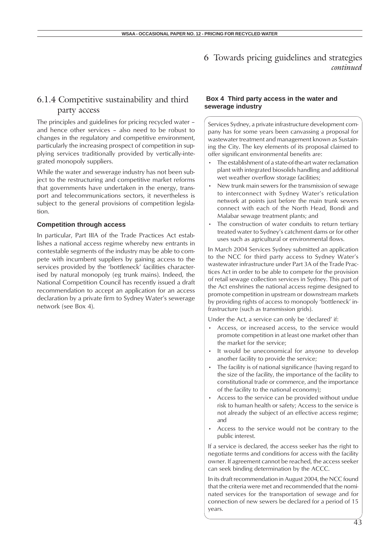## 6.1.4 Competitive sustainability and third party access

The principles and guidelines for pricing recycled water – and hence other services – also need to be robust to changes in the regulatory and competitive environment, particularly the increasing prospect of competition in supplying services traditionally provided by vertically-integrated monopoly suppliers.

While the water and sewerage industry has not been subject to the restructuring and competitive market reforms that governments have undertaken in the energy, transport and telecommunications sectors, it nevertheless is subject to the general provisions of competition legislation.

#### **Competition through access**

In particular, Part IIIA of the Trade Practices Act establishes a national access regime whereby new entrants in contestable segments of the industry may be able to compete with incumbent suppliers by gaining access to the services provided by the 'bottleneck' facilities characterised by natural monopoly (eg trunk mains). Indeed, the National Competition Council has recently issued a draft recommendation to accept an application for an access declaration by a private firm to Sydney Water's sewerage network (see Box 4).

### **Box 4 Third party access in the water and sewerage industry**

Services Sydney, a private infrastructure development company has for some years been canvassing a proposal for wastewater treatment and management known as Sustaining the City. The key elements of its proposal claimed to offer significant environmental benefits are:

- The establishment of a state-of-the-art water reclamation plant with integrated biosolids handling and additional wet weather overflow storage facilities;
- New trunk main sewers for the transmission of sewage to interconnect with Sydney Water's reticulation network at points just before the main trunk sewers connect with each of the North Head, Bondi and Malabar sewage treatment plants; and
- The construction of water conduits to return tertiary treated water to Sydney's catchment dams or for other uses such as agricultural or environmental flows.

In March 2004 Services Sydney submitted an application to the NCC for third party access to Sydney Water's wastewater infrastructure under Part 3A of the Trade Practices Act in order to be able to compete for the provision of retail sewage collection services in Sydney. This part of the Act enshrines the national access regime designed to promote competition in upstream or downstream markets by providing rights of access to monopoly 'bottleneck' infrastructure (such as transmission grids).

Under the Act, a service can only be 'declared' if:

- Access, or increased access, to the service would promote competition in at least one market other than the market for the service;
- It would be uneconomical for anyone to develop another facility to provide the service;
- The facility is of national significance (having regard to the size of the facility, the importance of the facility to constitutional trade or commerce, and the importance of the facility to the national economy);
- Access to the service can be provided without undue risk to human health or safety; Access to the service is not already the subject of an effective access regime; and
- Access to the service would not be contrary to the public interest.

If a service is declared, the access seeker has the right to negotiate terms and conditions for access with the facility owner. If agreement cannot be reached, the access seeker can seek binding determination by the ACCC.

In its draft recommendation in August 2004, the NCC found that the criteria were met and recommended that the nominated services for the transportation of sewage and for connection of new sewers be declared for a period of 15 years.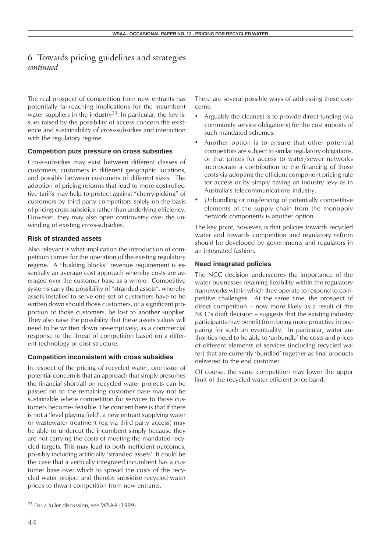The real prospect of competition from new entrants has potentially far-reaching implications for the incumbent water suppliers in the industry<sup>23</sup>. In particular, the key issues raised by the possibility of access concern the existence and sustainability of cross-subsidies and interaction with the regulatory regime.

### **Competition puts pressure on cross subsidies**

Cross-subsidies may exist between different classes of customers, customers in different geographic locations, and possibly between customers of different sizes. The adoption of pricing reforms that lead to more cost-reflective tariffs may help to protect against "cherry-picking" of customers by third party competitors solely on the basis of pricing cross-subsidies rather than underlying efficiency. However, they may also open controversy over the unwinding of existing cross-subsidies.

### **Risk of stranded assets**

Also relevant is what implication the introduction of competition carries for the operation of the existing regulatory regime. A "building blocks" revenue requirement is essentially an average cost approach whereby costs are averaged over the customer base as a whole. Competitive systems carry the possibility of "stranded assets", whereby assets installed to serve one set of customers have to be written down should those customers, or a significant proportion of those customers, be lost to another supplier. They also raise the possibility that these assets values will need to be written down pre-emptively, as a commercial response to the threat of competition based on a different technology or cost structure.

### **Competition inconsistent with cross subsidies**

In respect of the pricing of recycled water, one issue of potential concern is that an approach that simply presumes the financial shortfall on recycled water projects can be passed on to the remaining customer base may not be sustainable where competition for services to those customers becomes feasible. The concern here is that if there is not a 'level playing field', a new entrant supplying water or wastewater treatment (eg via third party access) may be able to undercut the incumbent simply because they are not carrying the costs of meeting the mandated recycled targets. This may lead to both inefficient outcomes, possibly including artificially 'stranded assets'. It could be the case that a vertically integrated incumbent has a customer base over which to spread the costs of the recycled water project and thereby subsidise recycled water prices to thwart competition from new entrants.

There are several possible ways of addressing these concerns:

- Arguably the cleanest is to provide direct funding (via community service obligations) for the cost imposts of such mandated schemes.
- Another option is to ensure that other potential competitors are subject to similar regulatory obligations, or that prices for access to water/sewer networks incorporate a contribution to the financing of these costs via adopting the efficient component pricing rule for access or by simply having an industry levy as in Australia's telecommunications industry.
- Unbundling or ring-fencing of potentially competitive elements of the supply chain from the monopoly network components is another option.

The key point, however, is that policies towards recycled water and towards competition and regulatory reform should be developed by governments and regulators in an integrated fashion.

### **Need integrated policies**

The NCC decision underscores the importance of the water businesses retaining flexibility within the regulatory frameworks within which they operate to respond to competitive challenges. At the same time, the prospect of direct competition – now more likely as a result of the NCC's draft decision – suggests that the existing industry participants may benefit from being more proactive in preparing for such an eventuality. In particular, water authorities need to be able to 'unbundle' the costs and prices of different elements of services (including recycled water) that are currently 'bundled' together as final products delivered to the end customer.

Of course, the same competition may lower the upper limit of the recycled water efficient price band.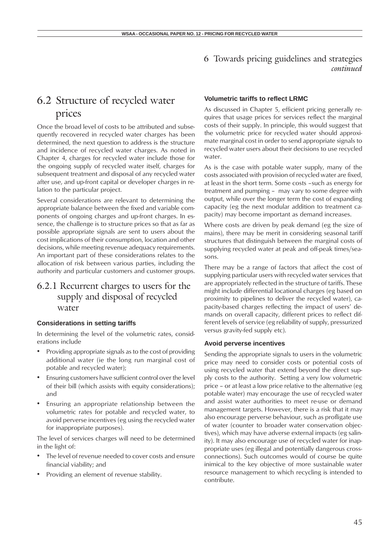## 6.2 Structure of recycled water prices

Once the broad level of costs to be attributed and subsequently recovered in recycled water charges has been determined, the next question to address is the structure and incidence of recycled water charges. As noted in Chapter 4, charges for recycled water include those for the ongoing supply of recycled water itself, charges for subsequent treatment and disposal of any recycled water after use, and up-front capital or developer charges in relation to the particular project.

Several considerations are relevant to determining the appropriate balance between the fixed and variable components of ongoing charges and up-front charges. In essence, the challenge is to structure prices so that as far as possible appropriate signals are sent to users about the cost implications of their consumption, location and other decisions, while meeting revenue adequacy requirements. An important part of these considerations relates to the allocation of risk between various parties, including the authority and particular customers and customer groups.

## 6.2.1 Recurrent charges to users for the supply and disposal of recycled water

### **Considerations in setting tariffs**

In determining the level of the volumetric rates, considerations include

- Providing appropriate signals as to the cost of providing additional water (ie the long run marginal cost of potable and recycled water);
- Ensuring customers have sufficient control over the level of their bill (which assists with equity considerations); and
- Ensuring an appropriate relationship between the volumetric rates for potable and recycled water, to avoid perverse incentives (eg using the recycled water for inappropriate purposes).

The level of services charges will need to be determined in the light of:

- The level of revenue needed to cover costs and ensure financial viability; and
- Providing an element of revenue stability.

### **Volumetric tariffs to reflect LRMC**

As discussed in Chapter 5, efficient pricing generally requires that usage prices for services reflect the marginal costs of their supply. In principle, this would suggest that the volumetric price for recycled water should approximate marginal cost in order to send appropriate signals to recycled water users about their decisions to use recycled water.

As is the case with potable water supply, many of the costs associated with provision of recycled water are fixed, at least in the short term. Some costs –such as energy for treatment and pumping – may vary to some degree with output, while over the longer term the cost of expanding capacity (eg the next modular addition to treatment capacity) may become important as demand increases.

Where costs are driven by peak demand (eg the size of mains), there may be merit in considering seasonal tariff structures that distinguish between the marginal costs of supplying recycled water at peak and off-peak times/seasons.

There may be a range of factors that affect the cost of supplying particular users with recycled water services that are appropriately reflected in the structure of tariffs. These might include differential locational charges (eg based on proximity to pipelines to deliver the recycled water), capacity-based charges reflecting the impact of users' demands on overall capacity, different prices to reflect different levels of service (eg reliability of supply, pressurized versus gravity-fed supply etc).

### **Avoid perverse incentives**

Sending the appropriate signals to users in the volumetric price may need to consider costs or potential costs of using recycled water that extend beyond the direct supply costs to the authority. Setting a very low volumetric price – or at least a low price relative to the alternative (eg potable water) may encourage the use of recycled water and assist water authorities to meet re-use or demand management targets. However, there is a risk that it may also encourage perverse behaviour, such as profligate use of water (counter to broader water conservation objectives), which may have adverse external impacts (eg salinity). It may also encourage use of recycled water for inappropriate uses (eg illegal and potentially dangerous crossconnections). Such outcomes would of course be quite inimical to the key objective of more sustainable water resource management to which recycling is intended to contribute.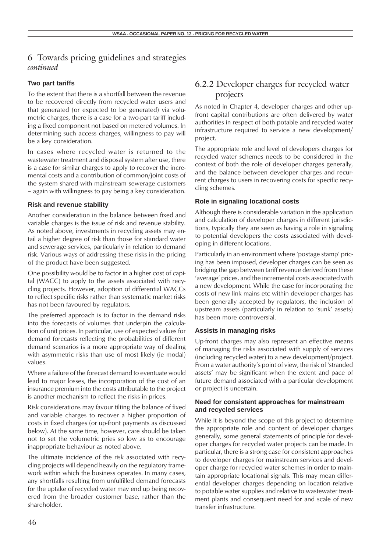### **Two part tariffs**

To the extent that there is a shortfall between the revenue to be recovered directly from recycled water users and that generated (or expected to be generated) via volumetric charges, there is a case for a two-part tariff including a fixed component not based on metered volumes. In determining such access charges, willingness to pay will be a key consideration.

In cases where recycled water is returned to the wastewater treatment and disposal system after use, there is a case for similar charges to apply to recover the incremental costs and a contribution of common/joint costs of the system shared with mainstream sewerage customers – again with willingness to pay being a key consideration.

### **Risk and revenue stability**

Another consideration in the balance between fixed and variable charges is the issue of risk and revenue stability. As noted above, investments in recycling assets may entail a higher degree of risk than those for standard water and sewerage services, particularly in relation to demand risk. Various ways of addressing these risks in the pricing of the product have been suggested.

One possibility would be to factor in a higher cost of capital (WACC) to apply to the assets associated with recycling projects. However, adoption of differential WACCs to reflect specific risks rather than systematic market risks has not been favoured by regulators.

The preferred approach is to factor in the demand risks into the forecasts of volumes that underpin the calculation of unit prices. In particular, use of expected values for demand forecasts reflecting the probabilities of different demand scenarios is a more appropriate way of dealing with asymmetric risks than use of most likely (ie modal) values.

Where a failure of the forecast demand to eventuate would lead to major losses, the incorporation of the cost of an insurance premium into the costs attributable to the project is another mechanism to reflect the risks in prices.

Risk considerations may favour tilting the balance of fixed and variable charges to recover a higher proportion of costs in fixed charges (or up-front payments as discussed below). At the same time, however, care should be taken not to set the volumetric pries so low as to encourage inappropriate behaviour as noted above.

The ultimate incidence of the risk associated with recycling projects will depend heavily on the regulatory framework within which the business operates. In many cases, any shortfalls resulting from unfulfilled demand forecasts for the uptake of recycled water may end up being recovered from the broader customer base, rather than the shareholder.

## 6.2.2 Developer charges for recycled water projects

As noted in Chapter 4, developer charges and other upfront capital contributions are often delivered by water authorities in respect of both potable and recycled water infrastructure required to service a new development/ project.

The appropriate role and level of developers charges for recycled water schemes needs to be considered in the context of both the role of developer charges generally, and the balance between developer charges and recurrent charges to users in recovering costs for specific recycling schemes.

### **Role in signaling locational costs**

Although there is considerable variation in the application and calculation of developer charges in different jurisdictions, typically they are seen as having a role in signaling to potential developers the costs associated with developing in different locations.

Particularly in an environment where 'postage stamp' pricing has been imposed, developer charges can be seen as bridging the gap between tariff revenue derived from these 'average' prices, and the incremental costs associated with a new development. While the case for incorporating the costs of new link mains etc within developer charges has been generally accepted by regulators, the inclusion of upstream assets (particularly in relation to 'sunk' assets) has been more controversial.

### **Assists in managing risks**

Up-front charges may also represent an effective means of managing the risks associated with supply of services (including recycled water) to a new development/project. From a water authority's point of view, the risk of 'stranded assets' may be significant when the extent and pace of future demand associated with a particular development or project is uncertain.

### **Need for consistent approaches for mainstream and recycled services**

While it is beyond the scope of this project to determine the appropriate role and content of developer charges generally, some general statements of principle for developer charges for recycled water projects can be made. In particular, there is a strong case for consistent approaches to developer charges for mainstream services and developer charge for recycled water schemes in order to maintain appropriate locational signals. This may mean differential developer charges depending on location relative to potable water supplies and relative to wastewater treatment plants and consequent need for and scale of new transfer infrastructure.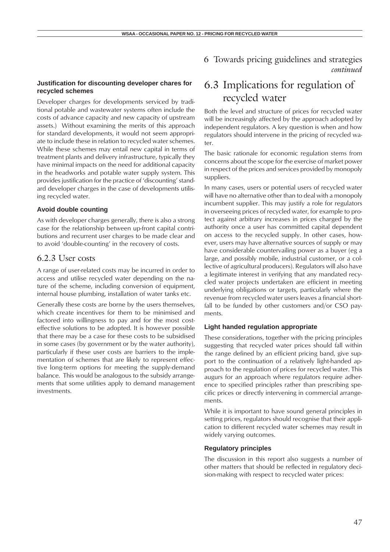### **Justification for discounting developer chares for recycled schemes**

Developer charges for developments serviced by traditional potable and wastewater systems often include the costs of advance capacity and new capacity of upstream assets.) Without examining the merits of this approach for standard developments, it would not seem appropriate to include these in relation to recycled water schemes. While these schemes may entail new capital in terms of treatment plants and delivery infrastructure, typically they have minimal impacts on the need for additional capacity in the headworks and potable water supply system. This provides justification for the practice of 'discounting' standard developer charges in the case of developments utilising recycled water.

#### **Avoid double counting**

As with developer charges generally, there is also a strong case for the relationship between up-front capital contributions and recurrent user charges to be made clear and to avoid 'double-counting' in the recovery of costs.

### 6.2.3 User costs

A range of user-related costs may be incurred in order to access and utilise recycled water depending on the nature of the scheme, including conversion of equipment, internal house plumbing, installation of water tanks etc.

Generally these costs are borne by the users themselves, which create incentives for them to be minimised and factored into willingness to pay and for the most costeffective solutions to be adopted. It is however possible that there may be a case for these costs to be subsidised in some cases (by government or by the water authority), particularly if these user costs are barriers to the implementation of schemes that are likely to represent effective long-term options for meeting the supply-demand balance. This would be analogous to the subsidy arrangements that some utilities apply to demand management investments.

## 6.3 Implications for regulation of recycled water

Both the level and structure of prices for recycled water will be increasingly affected by the approach adopted by independent regulators. A key question is when and how regulators should intervene in the pricing of recycled water.

The basic rationale for economic regulation stems from concerns about the scope for the exercise of market power in respect of the prices and services provided by monopoly suppliers.

In many cases, users or potential users of recycled water will have no alternative other than to deal with a monopoly incumbent supplier. This may justify a role for regulators in overseeing prices of recycled water, for example to protect against arbitrary increases in prices charged by the authority once a user has committed capital dependent on access to the recycled supply. In other cases, however, users may have alternative sources of supply or may have considerable countervailing power as a buyer (eg a large, and possibly mobile, industrial customer, or a collective of agricultural producers). Regulators will also have a legitimate interest in verifying that any mandated recycled water projects undertaken are efficient in meeting underlying obligations or targets, particularly where the revenue from recycled water users leaves a financial shortfall to be funded by other customers and/or CSO payments.

#### **Light handed regulation appropriate**

These considerations, together with the pricing principles suggesting that recycled water prices should fall within the range defined by an efficient pricing band, give support to the continuation of a relatively light-handed approach to the regulation of prices for recycled water. This augurs for an approach where regulators require adherence to specified principles rather than prescribing specific prices or directly intervening in commercial arrangements.

While it is important to have sound general principles in setting prices, regulators should recognise that their application to different recycled water schemes may result in widely varying outcomes.

#### **Regulatory principles**

The discussion in this report also suggests a number of other matters that should be reflected in regulatory decision-making with respect to recycled water prices: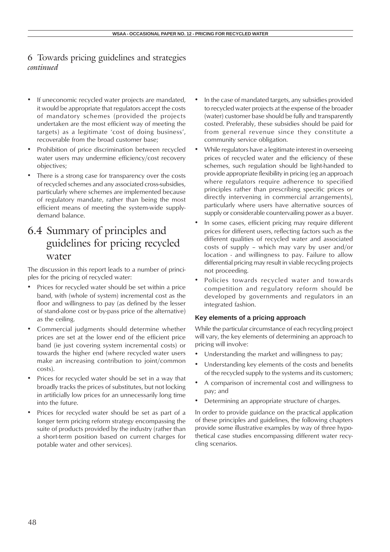- If uneconomic recycled water projects are mandated, it would be appropriate that regulators accept the costs of mandatory schemes (provided the projects undertaken are the most efficient way of meeting the targets) as a legitimate 'cost of doing business', recoverable from the broad customer base;
- Prohibition of price discrimination between recycled water users may undermine efficiency/cost recovery objectives;
- There is a strong case for transparency over the costs of recycled schemes and any associated cross-subsidies, particularly where schemes are implemented because of regulatory mandate, rather than being the most efficient means of meeting the system-wide supplydemand balance.

## 6.4 Summary of principles and guidelines for pricing recycled water

The discussion in this report leads to a number of principles for the pricing of recycled water:

- Prices for recycled water should be set within a price band, with (whole of system) incremental cost as the floor and willingness to pay (as defined by the lesser of stand-alone cost or by-pass price of the alternative) as the ceiling.
- Commercial judgments should determine whether prices are set at the lower end of the efficient price band (ie just covering system incremental costs) or towards the higher end (where recycled water users make an increasing contribution to joint/common costs).
- Prices for recycled water should be set in a way that broadly tracks the prices of substitutes, but not locking in artificially low prices for an unnecessarily long time into the future.
- Prices for recycled water should be set as part of a longer term pricing reform strategy encompassing the suite of products provided by the industry (rather than a short-term position based on current charges for potable water and other services).
- In the case of mandated targets, any subsidies provided to recycled water projects at the expense of the broader (water) customer base should be fully and transparently costed. Preferably, these subsidies should be paid for from general revenue since they constitute a community service obligation.
- While regulators have a legitimate interest in overseeing prices of recycled water and the efficiency of these schemes, such regulation should be light-handed to provide appropriate flexibility in pricing (eg an approach where regulators require adherence to specified principles rather than prescribing specific prices or directly intervening in commercial arrangements), particularly where users have alternative sources of supply or considerable countervailing power as a buyer.
- In some cases, efficient pricing may require different prices for different users, reflecting factors such as the different qualities of recycled water and associated costs of supply – which may vary by user and/or location - and willingness to pay. Failure to allow differential pricing may result in viable recycling projects not proceeding.
- Policies towards recycled water and towards competition and regulatory reform should be developed by governments and regulators in an integrated fashion.

### **Key elements of a pricing approach**

While the particular circumstance of each recycling project will vary, the key elements of determining an approach to pricing will involve:

- Understanding the market and willingness to pay;
- Understanding key elements of the costs and benefits of the recycled supply to the systems and its customers;
- A comparison of incremental cost and willingness to pay; and
- Determining an appropriate structure of charges.

In order to provide guidance on the practical application of these principles and guidelines, the following chapters provide some illustrative examples by way of three hypothetical case studies encompassing different water recycling scenarios.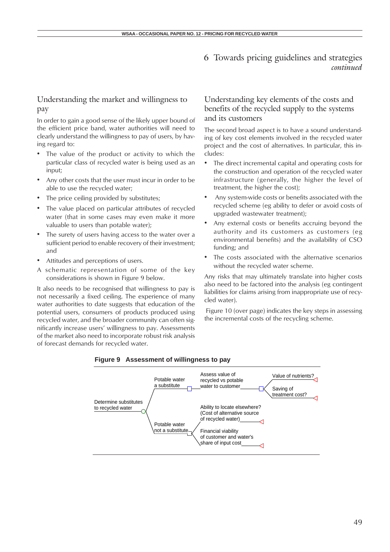### Understanding the market and willingness to pay

In order to gain a good sense of the likely upper bound of the efficient price band, water authorities will need to clearly understand the willingness to pay of users, by having regard to:

- The value of the product or activity to which the particular class of recycled water is being used as an input;
- Any other costs that the user must incur in order to be able to use the recycled water;
- The price ceiling provided by substitutes;
- The value placed on particular attributes of recycled water (that in some cases may even make it more valuable to users than potable water);
- The surety of users having access to the water over a sufficient period to enable recovery of their investment; and
- Attitudes and perceptions of users.
- A schematic representation of some of the key considerations is shown in Figure 9 below.

It also needs to be recognised that willingness to pay is not necessarily a fixed ceiling. The experience of many water authorities to date suggests that education of the potential users, consumers of products produced using recycled water, and the broader community can often significantly increase users' willingness to pay. Assessments of the market also need to incorporate robust risk analysis of forecast demands for recycled water.

### Understanding key elements of the costs and benefits of the recycled supply to the systems and its customers

The second broad aspect is to have a sound understanding of key cost elements involved in the recycled water project and the cost of alternatives. In particular, this includes:

- The direct incremental capital and operating costs for the construction and operation of the recycled water infrastructure (generally, the higher the level of treatment, the higher the cost);
- Any system-wide costs or benefits associated with the recycled scheme (eg ability to defer or avoid costs of upgraded wastewater treatment);
- Any external costs or benefits accruing beyond the authority and its customers as customers (eg environmental benefits) and the availability of CSO funding; and
- The costs associated with the alternative scenarios without the recycled water scheme.

Any risks that may ultimately translate into higher costs also need to be factored into the analysis (eg contingent liabilities for claims arising from inappropriate use of recycled water).

 Figure 10 (over page) indicates the key steps in assessing the incremental costs of the recycling scheme.



#### **Figure 9 Assessment of willingness to pay**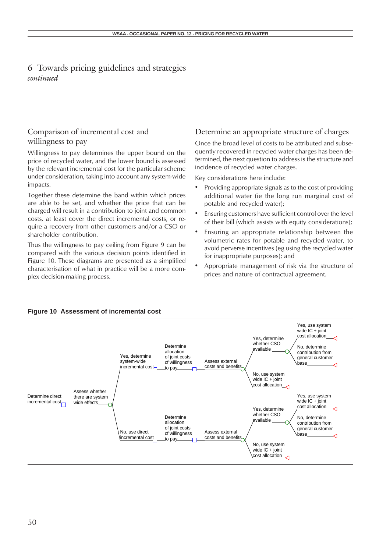### Comparison of incremental cost and willingness to pay

Willingness to pay determines the upper bound on the price of recycled water, and the lower bound is assessed by the relevant incremental cost for the particular scheme under consideration, taking into account any system-wide impacts.

Together these determine the band within which prices are able to be set, and whether the price that can be charged will result in a contribution to joint and common costs, at least cover the direct incremental costs, or require a recovery from other customers and/or a CSO or shareholder contribution.

Thus the willingness to pay ceiling from Figure 9 can be compared with the various decision points identified in Figure 10. These diagrams are presented as a simplified characterisation of what in practice will be a more complex decision-making process.

### Determine an appropriate structure of charges

Once the broad level of costs to be attributed and subsequently recovered in recycled water charges has been determined, the next question to address is the structure and incidence of recycled water charges.

Key considerations here include:

- Providing appropriate signals as to the cost of providing additional water (ie the long run marginal cost of potable and recycled water);
- Ensuring customers have sufficient control over the level of their bill (which assists with equity considerations);
- Ensuring an appropriate relationship between the volumetric rates for potable and recycled water, to avoid perverse incentives (eg using the recycled water for inappropriate purposes); and
- Appropriate management of risk via the structure of prices and nature of contractual agreement.

### **Figure 10 Assessment of incremental cost**

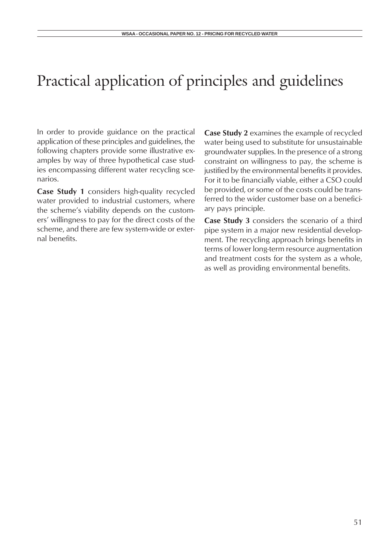# Practical application of principles and guidelines

In order to provide guidance on the practical application of these principles and guidelines, the following chapters provide some illustrative examples by way of three hypothetical case studies encompassing different water recycling scenarios.

**Case Study 1** considers high-quality recycled water provided to industrial customers, where the scheme's viability depends on the customers' willingness to pay for the direct costs of the scheme, and there are few system-wide or external benefits.

**Case Study 2** examines the example of recycled water being used to substitute for unsustainable groundwater supplies. In the presence of a strong constraint on willingness to pay, the scheme is justified by the environmental benefits it provides. For it to be financially viable, either a CSO could be provided, or some of the costs could be transferred to the wider customer base on a beneficiary pays principle.

**Case Study 3** considers the scenario of a third pipe system in a major new residential development. The recycling approach brings benefits in terms of lower long-term resource augmentation and treatment costs for the system as a whole, as well as providing environmental benefits.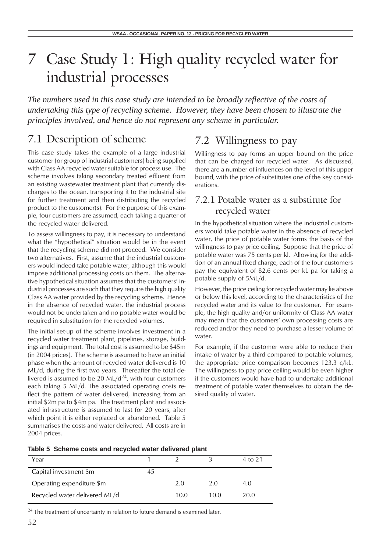*The numbers used in this case study are intended to be broadly reflective of the costs of undertaking this type of recycling scheme. However, they have been chosen to illustrate the principles involved, and hence do not represent any scheme in particular.*

## 7.1 Description of scheme

This case study takes the example of a large industrial customer (or group of industrial customers) being supplied with Class AA recycled water suitable for process use. The scheme involves taking secondary treated effluent from an existing wastewater treatment plant that currently discharges to the ocean, transporting it to the industrial site for further treatment and then distributing the recycled product to the customer(s). For the purpose of this example, four customers are assumed, each taking a quarter of the recycled water delivered.

To assess willingness to pay, it is necessary to understand what the "hypothetical" situation would be in the event that the recycling scheme did not proceed. We consider two alternatives. First, assume that the industrial customers would indeed take potable water, although this would impose additional processing costs on them. The alternative hypothetical situation assumes that the customers' industrial processes are such that they require the high quality Class AA water provided by the recycling scheme. Hence in the absence of recycled water, the industrial process would not be undertaken and no potable water would be required in substitution for the recycled volumes.

The initial set-up of the scheme involves investment in a recycled water treatment plant, pipelines, storage, buildings and equipment. The total cost is assumed to be \$45m (in 2004 prices). The scheme is assumed to have an initial phase when the amount of recycled water delivered is 10 ML/d, during the first two years. Thereafter the total delivered is assumed to be 20 ML/ $d^{24}$ , with four customers each taking 5 ML/d. The associated operating costs reflect the pattern of water delivered, increasing from an initial \$2m pa to \$4m pa. The treatment plant and associated infrastructure is assumed to last for 20 years, after which point it is either replaced or abandoned. Table 5 summarises the costs and water delivered. All costs are in 2004 prices.

## 7.2 Willingness to pay

Willingness to pay forms an upper bound on the price that can be charged for recycled water. As discussed, there are a number of influences on the level of this upper bound, with the price of substitutes one of the key considerations.

## 7.2.1 Potable water as a substitute for recycled water

In the hypothetical situation where the industrial customers would take potable water in the absence of recycled water, the price of potable water forms the basis of the willingness to pay price ceiling. Suppose that the price of potable water was 75 cents per kl. Allowing for the addition of an annual fixed charge, each of the four customers pay the equivalent of 82.6 cents per kL pa for taking a potable supply of 5ML/d.

However, the price ceiling for recycled water may lie above or below this level, according to the characteristics of the recycled water and its value to the customer. For example, the high quality and/or uniformity of Class AA water may mean that the customers' own processing costs are reduced and/or they need to purchase a lesser volume of water.

For example, if the customer were able to reduce their intake of water by a third compared to potable volumes, the appropriate price comparison becomes 123.3 c/kL. The willingness to pay price ceiling would be even higher if the customers would have had to undertake additional treatment of potable water themselves to obtain the desired quality of water.

| Table 5 Scheme costs and recycled water delivered plant |  |
|---------------------------------------------------------|--|
|---------------------------------------------------------|--|

| Year                          |      |      | 4 to 21 |
|-------------------------------|------|------|---------|
| Capital investment \$m        |      |      |         |
| Operating expenditure \$m     | 2.0  | 2.0  | 4.0     |
| Recycled water delivered ML/d | 10.0 | 10.0 | 20.0    |

<sup>24</sup> The treatment of uncertainty in relation to future demand is examined later.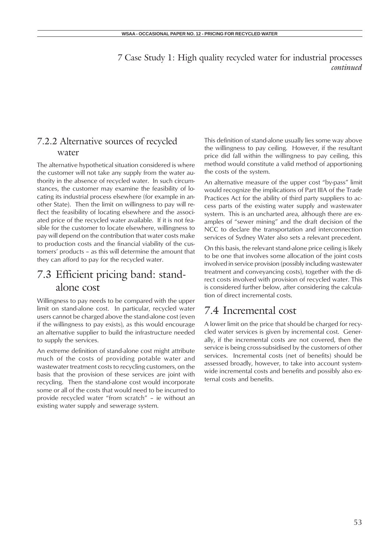## 7.2.2 Alternative sources of recycled water

The alternative hypothetical situation considered is where the customer will not take any supply from the water authority in the absence of recycled water. In such circumstances, the customer may examine the feasibility of locating its industrial process elsewhere (for example in another State). Then the limit on willingness to pay will reflect the feasibility of locating elsewhere and the associated price of the recycled water available. If it is not feasible for the customer to locate elsewhere, willingness to pay will depend on the contribution that water costs make to production costs and the financial viability of the customers' products – as this will determine the amount that they can afford to pay for the recycled water.

## 7.3 Efficient pricing band: standalone cost

Willingness to pay needs to be compared with the upper limit on stand-alone cost. In particular, recycled water users cannot be charged above the stand-alone cost (even if the willingness to pay exists), as this would encourage an alternative supplier to build the infrastructure needed to supply the services.

An extreme definition of stand-alone cost might attribute much of the costs of providing potable water and wastewater treatment costs to recycling customers, on the basis that the provision of these services are joint with recycling. Then the stand-alone cost would incorporate some or all of the costs that would need to be incurred to provide recycled water "from scratch" – ie without an existing water supply and sewerage system.

This definition of stand-alone usually lies some way above the willingness to pay ceiling. However, if the resultant price did fall within the willingness to pay ceiling, this method would constitute a valid method of apportioning the costs of the system.

An alternative measure of the upper cost "by-pass" limit would recognize the implications of Part IIIA of the Trade Practices Act for the ability of third party suppliers to access parts of the existing water supply and wastewater system. This is an uncharted area, although there are examples of "sewer mining" and the draft decision of the NCC to declare the transportation and interconnection services of Sydney Water also sets a relevant precedent.

On this basis, the relevant stand-alone price ceiling is likely to be one that involves some allocation of the joint costs involved in service provision (possibly including wastewater treatment and conveyancing costs), together with the direct costs involved with provision of recycled water. This is considered further below, after considering the calculation of direct incremental costs.

## 7.4 Incremental cost

A lower limit on the price that should be charged for recycled water services is given by incremental cost. Generally, if the incremental costs are not covered, then the service is being cross-subsidised by the customers of other services. Incremental costs (net of benefits) should be assessed broadly, however, to take into account systemwide incremental costs and benefits and possibly also external costs and benefits.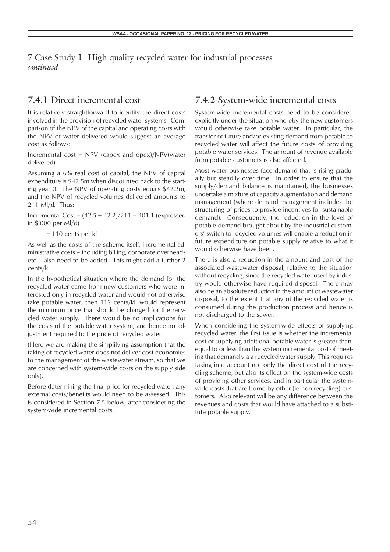## 7.4.1 Direct incremental cost

It is relatively straightforward to identify the direct costs involved in the provision of recycled water systems. Comparison of the NPV of the capital and operating costs with the NPV of water delivered would suggest an average cost as follows:

Incremental cost = NPV (capex and opex)/NPV(water delivered)

Assuming a 6% real cost of capital, the NPV of capital expenditure is \$42.5m when discounted back to the starting year 0. The NPV of operating costs equals \$42.2m, and the NPV of recycled volumes delivered amounts to 211 Ml/d. Thus:

Incremental Cost = (42.5 + 42.2)/211 = 401.1 (expressed in \$'000 per Ml/d)

= 110 cents per kL

As well as the costs of the scheme itself, incremental administrative costs – including billing, corporate overheads etc – also need to be added. This might add a further 2 cents/kL.

In the hypothetical situation where the demand for the recycled water came from new customers who were interested only in recycled water and would not otherwise take potable water, then 112 cents/kL would represent the minimum price that should be charged for the recycled water supply. There would be no implications for the costs of the potable water system, and hence no adjustment required to the price of recycled water.

(Here we are making the simplifying assumption that the taking of recycled water does not deliver cost economies to the management of the wastewater stream, so that we are concerned with system-wide costs on the supply side only).

Before determining the final price for recycled water, any external costs/benefits would need to be assessed. This is considered in Section 7.5 below, after considering the system-wide incremental costs.

## 7.4.2 System-wide incremental costs

System-wide incremental costs need to be considered explicitly under the situation whereby the new customers would otherwise take potable water. In particular, the transfer of future and/or existing demand from potable to recycled water will affect the future costs of providing potable water services. The amount of revenue available from potable customers is also affected.

Most water businesses face demand that is rising gradually but steadily over time. In order to ensure that the supply/demand balance is maintained, the businesses undertake a mixture of capacity augmentation and demand management (where demand management includes the structuring of prices to provide incentives for sustainable demand). Consequently, the reduction in the level of potable demand brought about by the industrial customers' switch to recycled volumes will enable a reduction in future expenditure on potable supply relative to what it would otherwise have been.

There is also a reduction in the amount and cost of the associated wastewater disposal, relative to the situation without recycling, since the recycled water used by industry would otherwise have required disposal. There may also be an absolute reduction in the amount of wastewater disposal, to the extent that any of the recycled water is consumed during the production process and hence is not discharged to the sewer.

When considering the system-wide effects of supplying recycled water, the first issue is whether the incremental cost of supplying additional potable water is greater than, equal to or less than the system incremental cost of meeting that demand via a recycled water supply. This requires taking into account not only the direct cost of the recycling scheme, but also its effect on the system-wide costs of providing other services, and in particular the systemwide costs that are borne by other (ie non-recycling) customers. Also relevant will be any difference between the revenues and costs that would have attached to a substitute potable supply.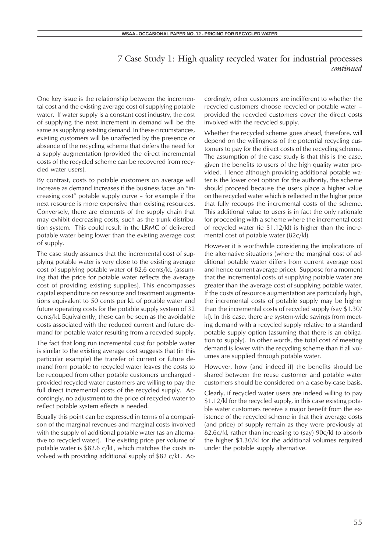One key issue is the relationship between the incremental cost and the existing average cost of supplying potable water. If water supply is a constant cost industry, the cost of supplying the next increment in demand will be the same as supplying existing demand. In these circumstances, existing customers will be unaffected by the presence or absence of the recycling scheme that defers the need for a supply augmentation (provided the direct incremental costs of the recycled scheme can be recovered from recycled water users).

By contrast, costs to potable customers on average will increase as demand increases if the business faces an "increasing cost" potable supply curve – for example if the next resource is more expensive than existing resources. Conversely, there are elements of the supply chain that may exhibit decreasing costs, such as the trunk distribution system. This could result in the LRMC of delivered potable water being lower than the existing average cost of supply.

The case study assumes that the incremental cost of supplying potable water is very close to the existing average cost of supplying potable water of 82.6 cents/kL (assuming that the price for potable water reflects the average cost of providing existing supplies). This encompasses capital expenditure on resource and treatment augmentations equivalent to 50 cents per kL of potable water and future operating costs for the potable supply system of 32 cents/kL Equivalently, these can be seen as the avoidable costs associated with the reduced current and future demand for potable water resulting from a recycled supply.

The fact that long run incremental cost for potable water is similar to the existing average cost suggests that (in this particular example) the transfer of current or future demand from potable to recycled water leaves the costs to be recouped from other potable customers unchanged provided recycled water customers are willing to pay the full direct incremental costs of the recycled supply. Accordingly, no adjustment to the price of recycled water to reflect potable system effects is needed.

Equally this point can be expressed in terms of a comparison of the marginal revenues and marginal costs involved with the supply of additional potable water (as an alternative to recycled water). The existing price per volume of potable water is \$82.6 c/kL, which matches the costs involved with providing additional supply of \$82 c/kL. Accordingly, other customers are indifferent to whether the recycled customers choose recycled or potable water – provided the recycled customers cover the direct costs involved with the recycled supply.

Whether the recycled scheme goes ahead, therefore, will depend on the willingness of the potential recycling customers to pay for the direct costs of the recycling scheme. The assumption of the case study is that this is the case, given the benefits to users of the high quality water provided. Hence although providing additional potable water is the lower cost option for the authority, the scheme should proceed because the users place a higher value on the recycled water which is reflected in the higher price that fully recoups the incremental costs of the scheme. This additional value to users is in fact the only rationale for proceeding with a scheme where the incremental cost of recycled water (ie \$1.12/kl) is higher than the incremental cost of potable water (82c/kl).

However it is worthwhile considering the implications of the alternative situations (where the marginal cost of additional potable water differs from current average cost and hence current average price). Suppose for a moment that the incremental costs of supplying potable water are greater than the average cost of supplying potable water. If the costs of resource augmentation are particularly high, the incremental costs of potable supply may be higher than the incremental costs of recycled supply (say \$1.30/ kl). In this case, there are system-wide savings from meeting demand with a recycled supply relative to a standard potable supply option (assuming that there is an obligation to supply). In other words, the total cost of meeting demand is lower with the recycling scheme than if all volumes are supplied through potable water.

However, how (and indeed if) the benefits should be shared between the reuse customer and potable water customers should be considered on a case-by-case basis.

Clearly, if recycled water users are indeed willing to pay \$1.12/kl for the recycled supply, in this case existing potable water customers receive a major benefit from the existence of the recycled scheme in that their average costs (and price) of supply remain as they were previously at 82.6c/kl, rather than increasing to (say) 90c/kl to absorb the higher \$1.30/kl for the additional volumes required under the potable supply alternative.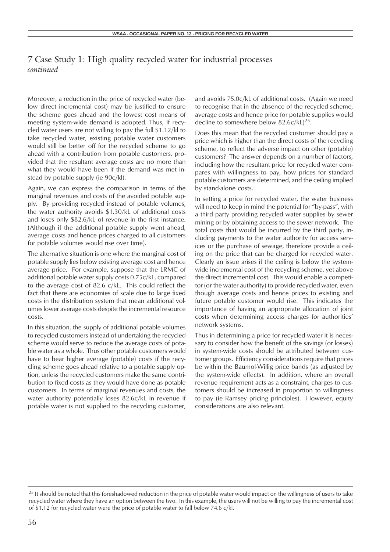Moreover, a reduction in the price of recycled water (below direct incremental cost) may be justified to ensure the scheme goes ahead and the lowest cost means of meeting system-wide demand is adopted. Thus, if recycled water users are not willing to pay the full \$1.12/kl to take recycled water, existing potable water customers would still be better off for the recycled scheme to go ahead with a contribution from potable customers, provided that the resultant average costs are no more than what they would have been if the demand was met instead by potable supply (ie 90c/kl).

Again, we can express the comparison in terms of the marginal revenues and costs of the avoided potable supply. By providing recycled instead of potable volumes, the water authority avoids \$1.30/kL of additional costs and loses only \$82.6/kL of revenue in the first instance. (Although if the additional potable supply went ahead, average costs and hence prices charged to all customers for potable volumes would rise over time).

The alternative situation is one where the marginal cost of potable supply lies below existing average cost and hence average price. For example, suppose that the LRMC of additional potable water supply costs 0.75c/kL, compared to the average cost of 82.6 c/kL. This could reflect the fact that there are economies of scale due to large fixed costs in the distribution system that mean additional volumes lower average costs despite the incremental resource costs.

In this situation, the supply of additional potable volumes to recycled customers instead of undertaking the recycled scheme would serve to reduce the average costs of potable water as a whole. Thus other potable customers would have to bear higher average (potable) costs if the recycling scheme goes ahead relative to a potable supply option, unless the recycled customers make the same contribution to fixed costs as they would have done as potable customers. In terms of marginal revenues and costs, the water authority potentially loses 82.6c/kL in revenue if potable water is not supplied to the recycling customer, and avoids 75.0c/kL of additional costs. (Again we need to recognise that in the absence of the recycled scheme, average costs and hence price for potable supplies would decline to somewhere below 82.6c/kL)<sup>25</sup>.

Does this mean that the recycled customer should pay a price which is higher than the direct costs of the recycling scheme, to reflect the adverse impact on other (potable) customers? The answer depends on a number of factors, including how the resultant price for recycled water compares with willingness to pay, how prices for standard potable customers are determined, and the ceiling implied by stand-alone costs.

In setting a price for recycled water, the water business will need to keep in mind the potential for "by-pass", with a third party providing recycled water supplies by sewer mining or by obtaining access to the sewer network. The total costs that would be incurred by the third party, including payments to the water authority for access services or the purchase of sewage, therefore provide a ceiling on the price that can be charged for recycled water. Clearly an issue arises if the ceiling is below the systemwide incremental cost of the recycling scheme, yet above the direct incremental cost. This would enable a competitor (or the water authority) to provide recycled water, even though average costs and hence prices to existing and future potable customer would rise. This indicates the importance of having an appropriate allocation of joint costs when determining access charges for authorities' network systems.

Thus in determining a price for recycled water it is necessary to consider how the benefit of the savings (or losses) in system-wide costs should be attributed between customer groups. Efficiency considerations require that prices be within the Baumol-Willig price bands (as adjusted by the system-wide effects). In addition, where an overall revenue requirement acts as a constraint, charges to customers should be increased in proportion to willingness to pay (ie Ramsey pricing principles). However, equity considerations are also relevant.

<sup>&</sup>lt;sup>25</sup> It should be noted that this foreshadowed reduction in the price of potable water would impact on the willingness of users to take recycled water where they have an option between the two. In this example, the users will not be willing to pay the incremental cost of \$1.12 for recycled water were the price of potable water to fall below 74.6 c/kl.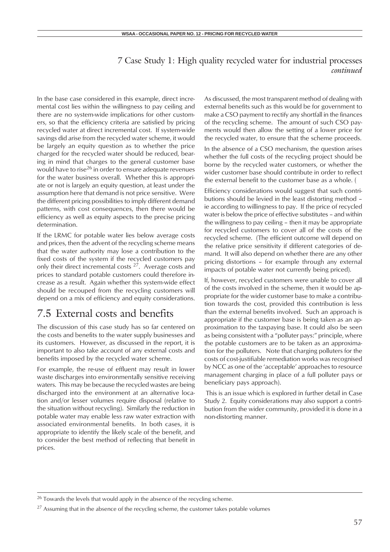In the base case considered in this example, direct incremental cost lies within the willingness to pay ceiling and there are no system-wide implications for other customers, so that the efficiency criteria are satisfied by pricing recycled water at direct incremental cost. If system-wide savings did arise from the recycled water scheme, it would be largely an equity question as to whether the price charged for the recycled water should be reduced, bearing in mind that charges to the general customer base would have to rise<sup>26</sup> in order to ensure adequate revenues for the water business overall. Whether this is appropriate or not is largely an equity question, at least under the assumption here that demand is not price sensitive. Were the different pricing possibilities to imply different demand patterns, with cost consequences, then there would be efficiency as well as equity aspects to the precise pricing determination.

If the LRMC for potable water lies below average costs and prices, then the advent of the recycling scheme means that the water authority may lose a contribution to the fixed costs of the system if the recycled customers pay only their direct incremental costs 27. Average costs and prices to standard potable customers could therefore increase as a result. Again whether this system-wide effect should be recouped from the recycling customers will depend on a mix of efficiency and equity considerations.

## 7.5 External costs and benefits

The discussion of this case study has so far centered on the costs and benefits to the water supply businesses and its customers. However, as discussed in the report, it is important to also take account of any external costs and benefits imposed by the recycled water scheme.

For example, the re-use of effluent may result in lower waste discharges into environmentally sensitive receiving waters. This may be because the recycled wastes are being discharged into the environment at an alternative location and/or lesser volumes require disposal (relative to the situation without recycling). Similarly the reduction in potable water may enable less raw water extraction with associated environmental benefits. In both cases, it is appropriate to identify the likely scale of the benefit, and to consider the best method of reflecting that benefit in prices.

As discussed, the most transparent method of dealing with external benefits such as this would be for government to make a CSO payment to rectify any shortfall in the finances of the recycling scheme. The amount of such CSO payments would then allow the setting of a lower price for the recycled water, to ensure that the scheme proceeds.

In the absence of a CSO mechanism, the question arises whether the full costs of the recycling project should be borne by the recycled water customers, or whether the wider customer base should contribute in order to reflect the external benefit to the customer base as a whole. (

Efficiency considerations would suggest that such contributions should be levied in the least distorting method – ie according to willingness to pay. If the price of recycled water is below the price of effective substitutes – and within the willingness to pay ceiling – then it may be appropriate for recycled customers to cover all of the costs of the recycled scheme. (The efficient outcome will depend on the relative price sensitivity if different categories of demand. It will also depend on whether there are any other pricing distortions – for example through any external impacts of potable water not currently being priced).

If, however, recycled customers were unable to cover all of the costs involved in the scheme, then it would be appropriate for the wider customer base to make a contribution towards the cost, provided this contribution is less than the external benefits involved. Such an approach is appropriate if the customer base is being taken as an approximation to the taxpaying base. It could also be seen as being consistent with a "polluter pays:" principle, where the potable customers are to be taken as an approximation for the polluters. Note that charging polluters for the costs of cost-justifiable remediation works was recognised by NCC as one of the 'acceptable' approaches to resource management charging in place of a full polluter pays or beneficiary pays approach).

 This is an issue which is explored in further detail in Case Study 2. Equity considerations may also support a contribution from the wider community, provided it is done in a non-distorting manner.

 $26$  Towards the levels that would apply in the absence of the recycling scheme.

 $27$  Assuming that in the absence of the recycling scheme, the customer takes potable volumes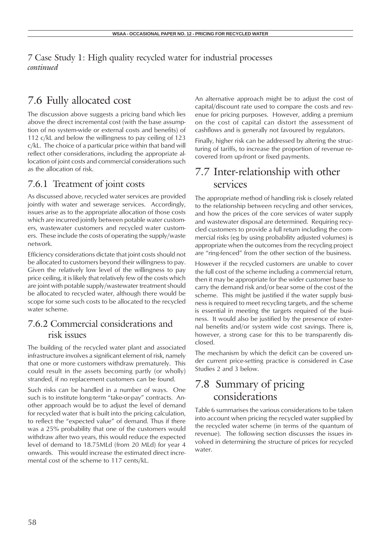## 7.6 Fully allocated cost

The discussion above suggests a pricing band which lies above the direct incremental cost (with the base assumption of no system-wide or external costs and benefits) of 112 c/kL and below the willingness to pay ceiling of 123 c/kL. The choice of a particular price within that band will reflect other considerations, including the appropriate allocation of joint costs and commercial considerations such as the allocation of risk.

## 7.6.1 Treatment of joint costs

As discussed above, recycled water services are provided jointly with water and sewerage services. Accordingly, issues arise as to the appropriate allocation of those costs which are incurred jointly between potable water customers, wastewater customers and recycled water customers. These include the costs of operating the supply/waste network.

Efficiency considerations dictate that joint costs should not be allocated to customers beyond their willingness to pay. Given the relatively low level of the willingness to pay price ceiling, it is likely that relatively few of the costs which are joint with potable supply/wastewater treatment should be allocated to recycled water, although there would be scope for some such costs to be allocated to the recycled water scheme.

## 7.6.2 Commercial considerations and risk issues

The building of the recycled water plant and associated infrastructure involves a significant element of risk, namely that one or more customers withdraw prematurely. This could result in the assets becoming partly (or wholly) stranded, if no replacement customers can be found.

Such risks can be handled in a number of ways. One such is to institute long-term "take-or-pay" contracts. Another approach would be to adjust the level of demand for recycled water that is built into the pricing calculation, to reflect the "expected value" of demand. Thus if there was a 25% probability that one of the customers would withdraw after two years, this would reduce the expected level of demand to 18.75MLd (from 20 MLd) for year 4 onwards. This would increase the estimated direct incremental cost of the scheme to 117 cents/kL.

An alternative approach might be to adjust the cost of capital/discount rate used to compare the costs and revenue for pricing purposes. However, adding a premium on the cost of capital can distort the assessment of cashflows and is generally not favoured by regulators.

Finally, higher risk can be addressed by altering the structuring of tariffs, to increase the proportion of revenue recovered from up-front or fixed payments.

## 7.7 Inter-relationship with other services

The appropriate method of handling risk is closely related to the relationship between recycling and other services, and how the prices of the core services of water supply and wastewater disposal are determined. Requiring recycled customers to provide a full return including the commercial risks (eg by using probability adjusted volumes) is appropriate when the outcomes from the recycling project are "ring-fenced" from the other section of the business.

However if the recycled customers are unable to cover the full cost of the scheme including a commercial return, then it may be appropriate for the wider customer base to carry the demand risk and/or bear some of the cost of the scheme. This might be justified if the water supply business is required to meet recycling targets, and the scheme is essential in meeting the targets required of the business. It would also be justified by the presence of external benefits and/or system wide cost savings. There is, however, a strong case for this to be transparently disclosed.

The mechanism by which the deficit can be covered under current price-setting practice is considered in Case Studies 2 and 3 below.

## 7.8 Summary of pricing considerations

Table 6 summarises the various considerations to be taken into account when pricing the recycled water supplied by the recycled water scheme (in terms of the quantum of revenue). The following section discusses the issues involved in determining the structure of prices for recycled water.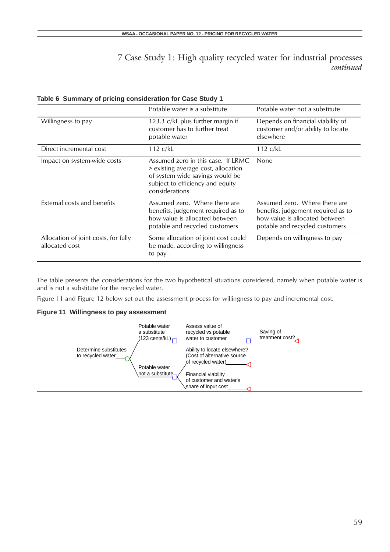|                                                        | Potable water is a substitute                                                                                                                                      | Potable water not a substitute                                                                                                          |
|--------------------------------------------------------|--------------------------------------------------------------------------------------------------------------------------------------------------------------------|-----------------------------------------------------------------------------------------------------------------------------------------|
| Willingness to pay                                     | 123.3 $c/kL$ plus further margin if<br>customer has to further treat<br>potable water                                                                              | Depends on financial viability of<br>customer and/or ability to locate<br>elsewhere                                                     |
| Direct incremental cost                                | 112 c/kL                                                                                                                                                           | $112 \text{ c/k}$                                                                                                                       |
| Impact on system-wide costs                            | Assumed zero in this case. If LRMC<br>> existing average cost, allocation<br>of system wide savings would be<br>subject to efficiency and equity<br>considerations | None                                                                                                                                    |
| External costs and benefits                            | Assumed zero. Where there are<br>benefits, judgement required as to<br>how value is allocated between<br>potable and recycled customers                            | Assumed zero. Where there are<br>benefits, judgement required as to<br>how value is allocated between<br>potable and recycled customers |
| Allocation of joint costs, for fully<br>allocated cost | Some allocation of joint cost could<br>be made, according to willingness<br>to pay                                                                                 | Depends on willingness to pay                                                                                                           |

### **Table 6 Summary of pricing consideration for Case Study 1**

The table presents the considerations for the two hypothetical situations considered, namely when potable water is and is not a substitute for the recycled water.

Figure 11 and Figure 12 below set out the assessment process for willingness to pay and incremental cost.

### **Figure 11 Willingness to pay assessment**

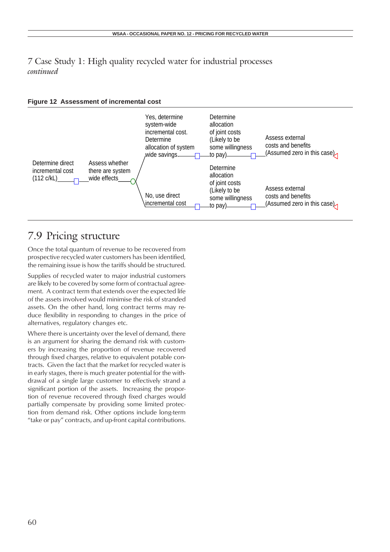



## 7.9 Pricing structure

Once the total quantum of revenue to be recovered from prospective recycled water customers has been identified, the remaining issue is how the tariffs should be structured.

Supplies of recycled water to major industrial customers are likely to be covered by some form of contractual agreement. A contract term that extends over the expected life of the assets involved would minimise the risk of stranded assets. On the other hand, long contract terms may reduce flexibility in responding to changes in the price of alternatives, regulatory changes etc.

Where there is uncertainty over the level of demand, there is an argument for sharing the demand risk with customers by increasing the proportion of revenue recovered through fixed charges, relative to equivalent potable contracts. Given the fact that the market for recycled water is in early stages, there is much greater potential for the withdrawal of a single large customer to effectively strand a significant portion of the assets. Increasing the proportion of revenue recovered through fixed charges would partially compensate by providing some limited protection from demand risk. Other options include long-term "take or pay" contracts, and up-front capital contributions.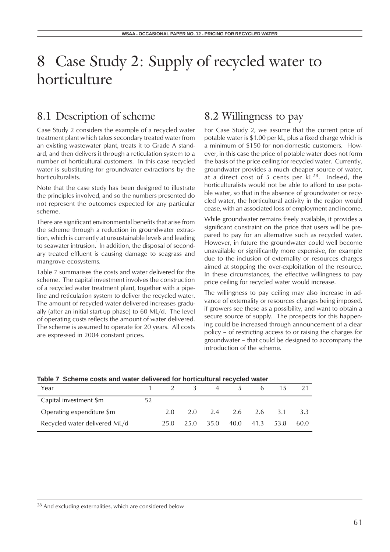## 8.1 Description of scheme

Case Study 2 considers the example of a recycled water treatment plant which takes secondary treated water from an existing wastewater plant, treats it to Grade A standard, and then delivers it through a reticulation system to a number of horticultural customers. In this case recycled water is substituting for groundwater extractions by the horticulturalists.

Note that the case study has been designed to illustrate the principles involved, and so the numbers presented do not represent the outcomes expected for any particular scheme.

There are significant environmental benefits that arise from the scheme through a reduction in groundwater extraction, which is currently at unsustainable levels and leading to seawater intrusion. In addition, the disposal of secondary treated effluent is causing damage to seagrass and mangrove ecosystems.

Table 7 summarises the costs and water delivered for the scheme. The capital investment involves the construction of a recycled water treatment plant, together with a pipeline and reticulation system to deliver the recycled water. The amount of recycled water delivered increases gradually (after an initial start-up phase) to 60 ML/d. The level of operating costs reflects the amount of water delivered. The scheme is assumed to operate for 20 years. All costs are expressed in 2004 constant prices.

## 8.2 Willingness to pay

For Case Study 2, we assume that the current price of potable water is \$1.00 per kL, plus a fixed charge which is a minimum of \$150 for non-domestic customers. However, in this case the price of potable water does not form the basis of the price ceiling for recycled water. Currently, groundwater provides a much cheaper source of water, at a direct cost of 5 cents per  $kL^{28}$ . Indeed, the horticulturalists would not be able to afford to use potable water, so that in the absence of groundwater or recycled water, the horticultural activity in the region would cease, with an associated loss of employment and income.

While groundwater remains freely available, it provides a significant constraint on the price that users will be prepared to pay for an alternative such as recycled water. However, in future the groundwater could well become unavailable or significantly more expensive, for example due to the inclusion of externality or resources charges aimed at stopping the over-exploitation of the resource. In these circumstances, the effective willingness to pay price ceiling for recycled water would increase.

The willingness to pay ceiling may also increase in advance of externality or resources charges being imposed, if growers see these as a possibility, and want to obtain a secure source of supply. The prospects for this happening could be increased through announcement of a clear policy – of restricting access to or raising the charges for groundwater – that could be designed to accompany the introduction of the scheme.

### **Table 7 Scheme costs and water delivered for horticultural recycled water**

| Year                          |    |      | $\overline{2}$ 3 | 4    | 5 | 6               |      |      |
|-------------------------------|----|------|------------------|------|---|-----------------|------|------|
| Capital investment \$m        | 52 |      |                  |      |   |                 |      |      |
| Operating expenditure \$m     |    | 2.0  | 2.0              |      |   | 2.4 2.6 2.6 3.1 |      | 3.3  |
| Recycled water delivered ML/d |    | 25.0 | 25.0             | 35.0 |   | 40.0 41.3       | 53.8 | 60.0 |

<sup>28</sup> And excluding externalities, which are considered below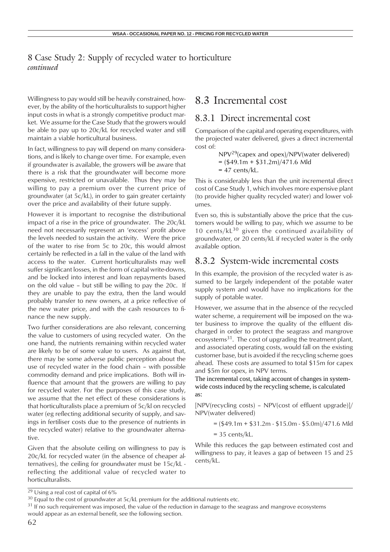Willingness to pay would still be heavily constrained, however, by the ability of the horticulturalists to support higher input costs in what is a strongly competitive product market. We assume for the Case Study that the growers would be able to pay up to 20c/kL for recycled water and still maintain a viable horticultural business.

In fact, willingness to pay will depend on many considerations, and is likely to change over time. For example, even if groundwater is available, the growers will be aware that there is a risk that the groundwater will become more expensive, restricted or unavailable. Thus they may be willing to pay a premium over the current price of groundwater (at 5c/kL), in order to gain greater certainty over the price and availability of their future supply.

However it is important to recognise the distributional impact of a rise in the price of groundwater. The 20c/kL need not necessarily represent an 'excess' profit above the levels needed to sustain the activity. Were the price of the water to rise from 5c to 20c, this would almost certainly be reflected in a fall in the value of the land with access to the water. Current horticulturalists may well suffer significant losses, in the form of capital write-downs, and be locked into interest and loan repayments based on the old value – but still be willing to pay the 20c. If they are unable to pay the extra, then the land would probably transfer to new owners, at a price reflective of the new water price, and with the cash resources to finance the new supply.

Two further considerations are also relevant, concerning the value to customers of using recycled water. On the one hand, the nutrients remaining within recycled water are likely to be of some value to users. As against that, there may be some adverse public perception about the use of recycled water in the food chain – with possible commodity demand and price implications. Both will influence that amount that the growers are willing to pay for recycled water. For the purposes of this case study, we assume that the net effect of these considerations is that horticulturalists place a premium of 5c/kl on recycled water (eg reflecting additional security of supply, and savings in fertiliser costs due to the presence of nutrients in the recycled water) relative to the groundwater alternative.

Given that the absolute ceiling on willingness to pay is 20c/kL for recycled water (in the absence of cheaper alternatives), the ceiling for groundwater must be 15c/kL reflecting the additional value of recycled water to horticulturalists.

## 8.3 Incremental cost

## 8.3.1 Direct incremental cost

Comparison of the capital and operating expenditures, with the projected water delivered, gives a direct incremental cost of:

NPV29(capex and opex)/NPV(water delivered)  $=$  (\$49.1m + \$31.2m)/471.6 Mld  $= 47$  cents/kL.

This is considerably less than the unit incremental direct cost of Case Study 1, which involves more expensive plant (to provide higher quality recycled water) and lower volumes.

Even so, this is substantially above the price that the customers would be willing to pay, which we assume to be 10 cents/ $kL^{30}$  given the continued availability of groundwater, or 20 cents/kL if recycled water is the only available option.

### 8.3.2 System-wide incremental costs

In this example, the provision of the recycled water is assumed to be largely independent of the potable water supply system and would have no implications for the supply of potable water.

However, we assume that in the absence of the recycled water scheme, a requirement will be imposed on the water business to improve the quality of the effluent discharged in order to protect the seagrass and mangrove ecosystems<sup>31</sup>. The cost of upgrading the treatment plant, and associated operating costs, would fall on the existing customer base, but is avoided if the recycling scheme goes ahead. These costs are assumed to total \$15m for capex and \$5m for opex, in NPV terms.

The incremental cost, taking account of changes in systemwide costs induced by the recycling scheme, is calculated as:

[NPV(recycling costs) – NPV(cost of effluent upgrade)]/ NPV(water delivered)

 $=$  (\$49.1m + \$31.2m - \$15.0m - \$5.0m)/471.6 Mld

 $= 35$  cents/kL.

While this reduces the gap between estimated cost and willingness to pay, it leaves a gap of between 15 and 25 cents/kL.

 $\sqrt[29]{29}$  Using a real cost of capital of 6%

<sup>&</sup>lt;sup>30</sup> Equal to the cost of groundwater at 5c/kL premium for the additional nutrients etc.

<sup>&</sup>lt;sup>31</sup> If no such requirement was imposed, the value of the reduction in damage to the seagrass and mangrove ecosystems would appear as an external benefit, see the following section.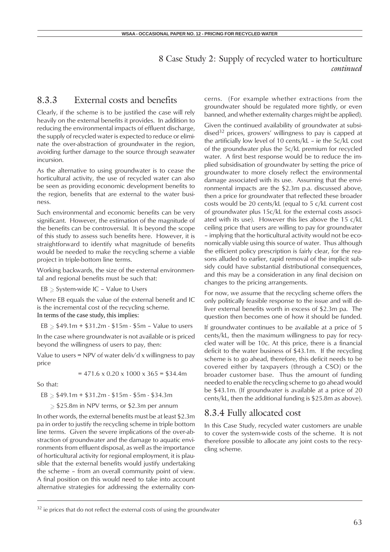## 8.3.3 External costs and benefits

Clearly, if the scheme is to be justified the case will rely heavily on the external benefits it provides. In addition to reducing the environmental impacts of effluent discharge, the supply of recycled water is expected to reduce or eliminate the over-abstraction of groundwater in the region, avoiding further damage to the source through seawater incursion.

As the alternative to using groundwater is to cease the horticultural activity, the use of recycled water can also be seen as providing economic development benefits to the region, benefits that are external to the water business.

Such environmental and economic benefits can be very significant. However, the estimation of the magnitude of the benefits can be controversial. It is beyond the scope of this study to assess such benefits here. However, it is straightforward to identify what magnitude of benefits would be needed to make the recycling scheme a viable project in triple-bottom line terms.

Working backwards, the size of the external environmental and regional benefits must be such that:

 $EB \geq$  System-wide IC - Value to Users

Where EB equals the value of the external benefit and IC is the incremental cost of the recycling scheme. In terms of the case study, this implies:

 $EB \geq $49.1m + $31.2m - $15m - $5m - Value to users$ 

In the case where groundwater is not available or is priced beyond the willingness of users to pay, then:

Value to users = NPV of water deliv'd x willingness to pay price

 $= 471.6 \times 0.20 \times 1000 \times 365 = $34.4$ m

So that:

 $EB \geq $49.1m + $31.2m - $15m - $5m - $34.3m$ 

 $\geq$  \$25.8m in NPV terms, or \$2.3m per annum

In other words, the external benefits must be at least \$2.3m pa in order to justify the recycling scheme in triple bottom line terms. Given the severe implications of the over-abstraction of groundwater and the damage to aquatic environments from effluent disposal, as well as the importance of horticultural activity for regional employment, it is plausible that the external benefits would justify undertaking the scheme – from an overall community point of view. A final position on this would need to take into account alternative strategies for addressing the externality concerns. (For example whether extractions from the groundwater should be regulated more tightly, or even banned, and whether externality charges might be applied).

Given the continued availability of groundwater at subsidised<sup>32</sup> prices, growers' willingness to pay is capped at the artificially low level of 10 cents/kL – ie the 5c/kL cost of the groundwater plus the 5c/kL premium for recycled water. A first best response would be to reduce the implied subsidisation of groundwater by setting the price of groundwater to more closely reflect the environmental damage associated with its use. Assuming that the environmental impacts are the \$2.3m p.a. discussed above, then a price for groundwater that reflected these broader costs would be 20 cents/kL (equal to 5 c/kL current cost of groundwater plus 15c/kL for the external costs associated with its use). However this lies above the 15 c/kL ceiling price that users are willing to pay for groundwater – implying that the horticultural activity would not be economically viable using this source of water. Thus although the efficient policy prescription is fairly clear, for the reasons alluded to earlier, rapid removal of the implicit subsidy could have substantial distributional consequences, and this may be a consideration in any final decision on changes to the pricing arrangements.

For now, we assume that the recycling scheme offers the only politically feasible response to the issue and will deliver external benefits worth in excess of \$2.3m pa. The question then becomes one of how it should be funded.

If groundwater continues to be available at a price of 5 cents/kL, then the maximum willingness to pay for recycled water will be 10c. At this price, there is a financial deficit to the water business of \$43.1m. If the recycling scheme is to go ahead, therefore, this deficit needs to be covered either by taxpayers (through a CSO) or the broader customer base. Thus the amount of funding needed to enable the recycling scheme to go ahead would be \$43.1m. (If groundwater is available at a price of 20 cents/kL, then the additional funding is \$25.8m as above).

## 8.3.4 Fully allocated cost

In this Case Study, recycled water customers are unable to cover the system-wide costs of the scheme. It is not therefore possible to allocate any joint costs to the recycling scheme.

 $32$  ie prices that do not reflect the external costs of using the groundwater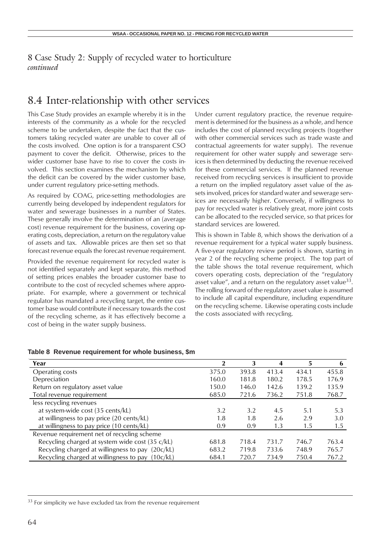## 8.4 Inter-relationship with other services

This Case Study provides an example whereby it is in the interests of the community as a whole for the recycled scheme to be undertaken, despite the fact that the customers taking recycled water are unable to cover all of the costs involved. One option is for a transparent CSO payment to cover the deficit. Otherwise, prices to the wider customer base have to rise to cover the costs involved. This section examines the mechanism by which the deficit can be covered by the wider customer base, under current regulatory price-setting methods.

As required by COAG, price-setting methodologies are currently being developed by independent regulators for water and sewerage businesses in a number of States. These generally involve the determination of an (average cost) revenue requirement for the business, covering operating costs, depreciation, a return on the regulatory value of assets and tax. Allowable prices are then set so that forecast revenue equals the forecast revenue requirement.

Provided the revenue requirement for recycled water is not identified separately and kept separate, this method of setting prices enables the broader customer base to contribute to the cost of recycled schemes where appropriate. For example, where a government or technical regulator has mandated a recycling target, the entire customer base would contribute if necessary towards the cost of the recycling scheme, as it has effectively become a cost of being in the water supply business.

Under current regulatory practice, the revenue requirement is determined for the business as a whole, and hence includes the cost of planned recycling projects (together with other commercial services such as trade waste and contractual agreements for water supply). The revenue requirement for other water supply and sewerage services is then determined by deducting the revenue received for these commercial services. If the planned revenue received from recycling services is insufficient to provide a return on the implied regulatory asset value of the assets involved, prices for standard water and sewerage services are necessarily higher. Conversely, if willingness to pay for recycled water is relatively great, more joint costs can be allocated to the recycled service, so that prices for standard services are lowered.

This is shown in Table 8, which shows the derivation of a revenue requirement for a typical water supply business. A five-year regulatory review period is shown, starting in year 2 of the recycling scheme project. The top part of the table shows the total revenue requirement, which covers operating costs, depreciation of the "regulatory asset value", and a return on the regulatory asset value<sup>33</sup>. The rolling forward of the regulatory asset value is assumed to include all capital expenditure, including expenditure on the recycling scheme. Likewise operating costs include the costs associated with recycling.

| Year                                             |       | 3     |       | 5     | b     |
|--------------------------------------------------|-------|-------|-------|-------|-------|
| Operating costs                                  | 375.0 | 393.8 | 413.4 | 434.1 | 455.8 |
| Depreciation                                     | 160.0 | 181.8 | 180.2 | 178.5 | 176.9 |
| Return on regulatory asset value                 | 150.0 | 146.0 | 142.6 | 139.2 | 135.9 |
| Total revenue requirement                        | 685.0 | 721.6 | 736.2 | 751.8 | 768.7 |
| less recycling revenues                          |       |       |       |       |       |
| at system-wide cost (35 cents/kL)                | 3.2   | 3.2   | 4.5   | 5.1   | 5.3   |
| at willingness to pay price (20 cents/kL)        | 1.8   | 1.8   | 2.6   | 2.9   | 3.0   |
| at willingness to pay price (10 cents/kL)        | 0.9   | 0.9   | 1.3   | 1.5   | 1.5   |
| Revenue requirement net of recycling scheme      |       |       |       |       |       |
| Recycling charged at system wide cost (35 c/kL)  | 681.8 | 718.4 | 731.7 | 746.7 | 763.4 |
| Recycling charged at willingness to pay (20c/kL) | 683.2 | 719.8 | 733.6 | 748.9 | 765.7 |
| Recycling charged at willingness to pay (10c/kL) | 684.1 | 720.7 | 734.9 | 750.4 | 767.2 |

#### **Table 8 Revenue requirement for whole business, \$m**

 $33$  For simplicity we have excluded tax from the revenue requirement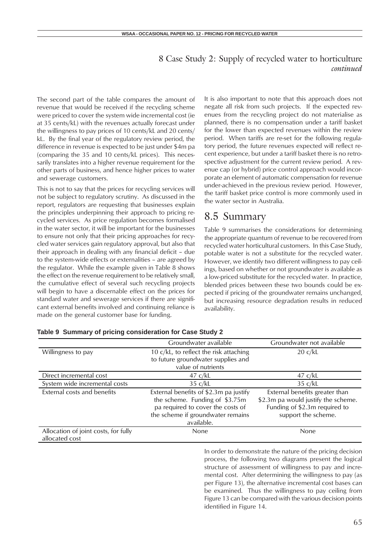The second part of the table compares the amount of revenue that would be received if the recycling scheme were priced to cover the system wide incremental cost (ie at 35 cents/kL) with the revenues actually forecast under the willingness to pay prices of 10 cents/kL and 20 cents/ kL. By the final year of the regulatory review period, the difference in revenue is expected to be just under \$4m pa (comparing the 35 and 10 cents/kL prices). This necessarily translates into a higher revenue requirement for the other parts of business, and hence higher prices to water and sewerage customers.

This is not to say that the prices for recycling services will not be subject to regulatory scrutiny. As discussed in the report, regulators are requesting that businesses explain the principles underpinning their approach to pricing recycled services. As price regulation becomes formalised in the water sector, it will be important for the businesses to ensure not only that their pricing approaches for recycled water services gain regulatory approval, but also that their approach in dealing with any financial deficit – due to the system-wide effects or externalities – are agreed by the regulator. While the example given in Table 8 shows the effect on the revenue requirement to be relatively small, the cumulative effect of several such recycling projects will begin to have a discernable effect on the prices for standard water and sewerage services if there are significant external benefits involved and continuing reliance is made on the general customer base for funding.

It is also important to note that this approach does not negate all risk from such projects. If the expected revenues from the recycling project do not materialise as planned, there is no compensation under a tariff basket for the lower than expected revenues within the review period. When tariffs are re-set for the following regulatory period, the future revenues expected will reflect recent experience, but under a tariff basket there is no retrospective adjustment for the current review period. A revenue cap (or hybrid) price control approach would incorporate an element of automatic compensation for revenue under-achieved in the previous review period. However, the tariff basket price control is more commonly used in the water sector in Australia.

## 8.5 Summary

Table 9 summarises the considerations for determining the appropriate quantum of revenue to be recovered from recycled water horticultural customers. In this Case Study, potable water is not a substitute for the recycled water. However, we identify two different willingness to pay ceilings, based on whether or not groundwater is available as a low-priced substitute for the recycled water. In practice, blended prices between these two bounds could be expected if pricing of the groundwater remains unchanged, but increasing resource degradation results in reduced availability.

|                                      | Groundwater available                  | Groundwater not available           |
|--------------------------------------|----------------------------------------|-------------------------------------|
| Willingness to pay                   | 10 c/kL, to reflect the risk attaching | 20 c/kL                             |
|                                      | to future groundwater supplies and     |                                     |
|                                      | value of nutrients                     |                                     |
| Direct incremental cost              | $47 \text{ c/kL}$                      | 47 c/kL                             |
| System wide incremental costs        | $35 \text{ c/kL}$                      | 35 c/kL                             |
| External costs and benefits          | External benefits of \$2.3m pa justify | External benefits greater than      |
|                                      | the scheme. Funding of \$3.75m         | \$2.3m pa would justify the scheme. |
|                                      | pa required to cover the costs of      | Funding of \$2.3m required to       |
|                                      | the scheme if groundwater remains      | support the scheme.                 |
|                                      | available.                             |                                     |
| Allocation of joint costs, for fully | None                                   | None                                |
| allocated cost                       |                                        |                                     |

#### **Table 9 Summary of pricing consideration for Case Study 2**

In order to demonstrate the nature of the pricing decision process, the following two diagrams present the logical structure of assessment of willingness to pay and incremental cost. After determining the willingness to pay (as per Figure 13), the alternative incremental cost bases can be examined. Thus the willingness to pay ceiling from Figure 13 can be compared with the various decision points identified in Figure 14.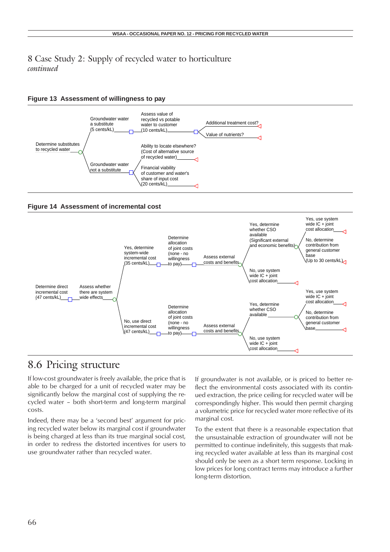### **Figure 13 Assessment of willingness to pay**







## 8.6 Pricing structure

If low-cost groundwater is freely available, the price that is able to be charged for a unit of recycled water may be significantly below the marginal cost of supplying the recycled water – both short-term and long-term marginal costs.

Indeed, there may be a 'second best' argument for pricing recycled water below its marginal cost if groundwater is being charged at less than its true marginal social cost, in order to redress the distorted incentives for users to use groundwater rather than recycled water.

If groundwater is not available, or is priced to better reflect the environmental costs associated with its continued extraction, the price ceiling for recycled water will be correspondingly higher. This would then permit charging a volumetric price for recycled water more reflective of its marginal cost.

To the extent that there is a reasonable expectation that the unsustainable extraction of groundwater will not be permitted to continue indefinitely, this suggests that making recycled water available at less than its marginal cost should only be seen as a short term response. Locking in low prices for long contract terms may introduce a further long-term distortion.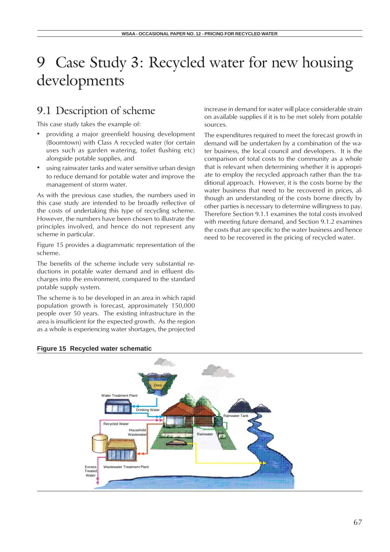## 9.1 Description of scheme

This case study takes the example of:

- providing a major greenfield housing development (Boomtown) with Class A recycled water (for certain uses such as garden watering, toilet flushing etc) alongside potable supplies, and
- using rainwater tanks and water sensitive urban design to reduce demand for potable water and improve the management of storm water.

As with the previous case studies, the numbers used in this case study are intended to be broadly reflective of the costs of undertaking this type of recycling scheme. However, the numbers have been chosen to illustrate the principles involved, and hence do not represent any scheme in particular.

Figure 15 provides a diagrammatic representation of the scheme.

The benefits of the scheme include very substantial reductions in potable water demand and in effluent discharges into the environment, compared to the standard potable supply system.

The scheme is to be developed in an area in which rapid population growth is forecast, approximately 150,000 people over 50 years. The existing infrastructure in the area is insufficient for the expected growth. As the region as a whole is experiencing water shortages, the projected increase in demand for water will place considerable strain on available supplies if it is to be met solely from potable sources.

The expenditures required to meet the forecast growth in demand will be undertaken by a combination of the water business, the local council and developers. It is the comparison of total costs to the community as a whole that is relevant when determining whether it is appropriate to employ the recycled approach rather than the traditional approach. However, it is the costs borne by the water business that need to be recovered in prices, although an understanding of the costs borne directly by other parties is necessary to determine willingness to pay. Therefore Section 9.1.1 examines the total costs involved with meeting future demand, and Section 9.1.2 examines the costs that are specific to the water business and hence need to be recovered in the pricing of recycled water.



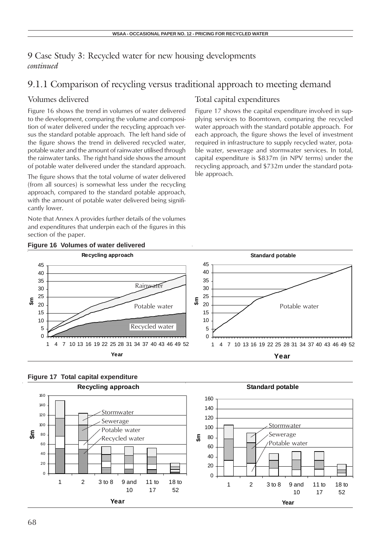## 9.1.1 Comparison of recycling versus traditional approach to meeting demand

### Volumes delivered

Figure 16 shows the trend in volumes of water delivered to the development, comparing the volume and composition of water delivered under the recycling approach versus the standard potable approach. The left hand side of the figure shows the trend in delivered recycled water, potable water and the amount of rainwater utilised through the rainwater tanks. The right hand side shows the amount of potable water delivered under the standard approach.

The figure shows that the total volume of water delivered (from all sources) is somewhat less under the recycling approach, compared to the standard potable approach, with the amount of potable water delivered being significantly lower.

Note that Annex A provides further details of the volumes and expenditures that underpin each of the figures in this section of the paper.

### Total capital expenditures

Figure 17 shows the capital expenditure involved in supplying services to Boomtown, comparing the recycled water approach with the standard potable approach. For each approach, the figure shows the level of investment required in infrastructure to supply recycled water, potable water, sewerage and stormwater services. In total, capital expenditure is \$837m (in NPV terms) under the recycling approach, and \$732m under the standard potable approach.





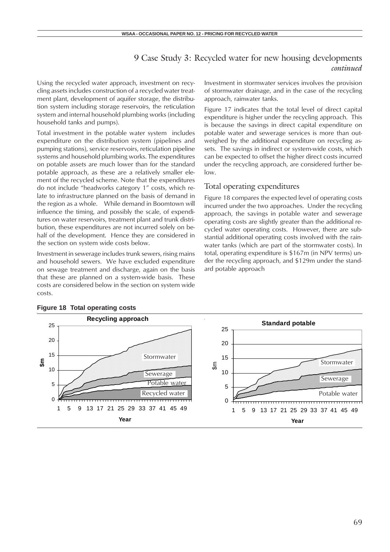Using the recycled water approach, investment on recycling assets includes construction of a recycled water treatment plant, development of aquifer storage, the distribution system including storage reservoirs, the reticulation system and internal household plumbing works (including household tanks and pumps).

Total investment in the potable water system includes expenditure on the distribution system (pipelines and pumping stations), service reservoirs, reticulation pipeline systems and household plumbing works. The expenditures on potable assets are much lower than for the standard potable approach, as these are a relatively smaller element of the recycled scheme. Note that the expenditures do not include "headworks category 1" costs, which relate to infrastructure planned on the basis of demand in the region as a whole. While demand in Boomtown will influence the timing, and possibly the scale, of expenditures on water reservoirs, treatment plant and trunk distribution, these expenditures are not incurred solely on behalf of the development. Hence they are considered in the section on system wide costs below.

Investment in sewerage includes trunk sewers, rising mains and household sewers. We have excluded expenditure on sewage treatment and discharge, again on the basis that these are planned on a system-wide basis. These costs are considered below in the section on system wide costs.

Investment in stormwater services involves the provision of stormwater drainage, and in the case of the recycling approach, rainwater tanks.

Figure 17 indicates that the total level of direct capital expenditure is higher under the recycling approach. This is because the savings in direct capital expenditure on potable water and sewerage services is more than outweighed by the additional expenditure on recycling assets. The savings in indirect or system-wide costs, which can be expected to offset the higher direct costs incurred under the recycling approach, are considered further below.

### Total operating expenditures

Figure 18 compares the expected level of operating costs incurred under the two approaches. Under the recycling approach, the savings in potable water and sewerage operating costs are slightly greater than the additional recycled water operating costs. However, there are substantial additional operating costs involved with the rainwater tanks (which are part of the stormwater costs). In total, operating expenditure is \$167m (in NPV terms) under the recycling approach, and \$129m under the standard potable approach



### **Figure 18 Total operating costs**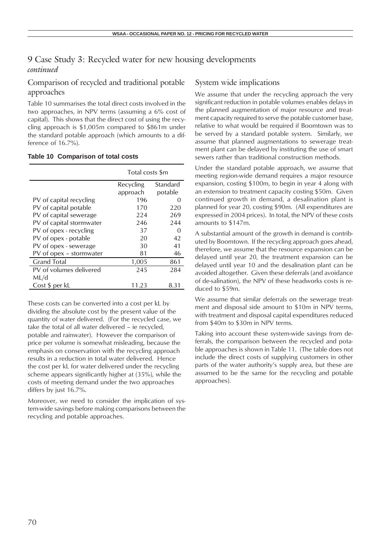### Comparison of recycled and traditional potable approaches

Table 10 summarises the total direct costs involved in the two approaches, in NPV terms (assuming a 6% cost of capital). This shows that the direct cost of using the recycling approach is \$1,005m compared to \$861m under the standard potable approach (which amounts to a difference of 16.7%).

### **Table 10 Comparison of total costs**

|                          | Total costs \$m |                   |  |  |
|--------------------------|-----------------|-------------------|--|--|
|                          | Recycling       | Standard          |  |  |
|                          | approach        | potable           |  |  |
| PV of capital recycling  | 196             | 0                 |  |  |
| PV of capital potable    | 170             | 220               |  |  |
| PV of capital sewerage   | 224             | 269               |  |  |
| PV of capital stormwater | 246             | 244               |  |  |
| PV of opex - recycling   | 37              | $\mathbf{\Omega}$ |  |  |
| PV of opex - potable     | 20              | 42                |  |  |
| PV of opex - sewerage    | 30              | 41                |  |  |
| PV of opex - stormwater  | 81              | 46                |  |  |
| <b>Grand Total</b>       | 1,005           | 861               |  |  |
| PV of volumes delivered  | 245             | 284               |  |  |
| ML/d                     |                 |                   |  |  |
| Cost \$ per kL           | 11.23           | 8.31              |  |  |

These costs can be converted into a cost per kL by dividing the absolute cost by the present value of the quantity of water delivered. (For the recycled case, we take the total of all water delivered – ie recycled, potable and rainwater). However the comparison of price per volume is somewhat misleading, because the emphasis on conservation with the recycling approach results in a reduction in total water delivered. Hence the cost per kL for water delivered under the recycling scheme appears significantly higher at (35%), while the costs of meeting demand under the two approaches differs by just 16.7%.

Moreover, we need to consider the implication of system-wide savings before making comparisons between the recycling and potable approaches.

### System wide implications

We assume that under the recycling approach the very significant reduction in potable volumes enables delays in the planned augmentation of major resource and treatment capacity required to serve the potable customer base, relative to what would be required if Boomtown was to be served by a standard potable system. Similarly, we assume that planned augmentations to sewerage treatment plant can be delayed by instituting the use of smart sewers rather than traditional construction methods.

Under the standard potable approach, we assume that meeting region-wide demand requires a major resource expansion, costing \$100m, to begin in year 4 along with an extension to treatment capacity costing \$50m. Given continued growth in demand, a desalination plant is planned for year 20, costing \$90m. (All expenditures are expressed in 2004 prices). In total, the NPV of these costs amounts to \$147m.

A substantial amount of the growth in demand is contributed by Boomtown. If the recycling approach goes ahead, therefore, we assume that the resource expansion can be delayed until year 20, the treatment expansion can be delayed until year 10 and the desalination plant can be avoided altogether. Given these deferrals (and avoidance of de-salination), the NPV of these headworks costs is reduced to \$59m.

We assume that similar deferrals on the sewerage treatment and disposal side amount to \$10m in NPV terms, with treatment and disposal capital expenditures reduced from \$40m to \$30m in NPV terms.

Taking into account these system-wide savings from deferrals, the comparison between the recycled and potable approaches is shown in Table 11. (The table does not include the direct costs of supplying customers in other parts of the water authority's supply area, but these are assumed to be the same for the recycling and potable approaches).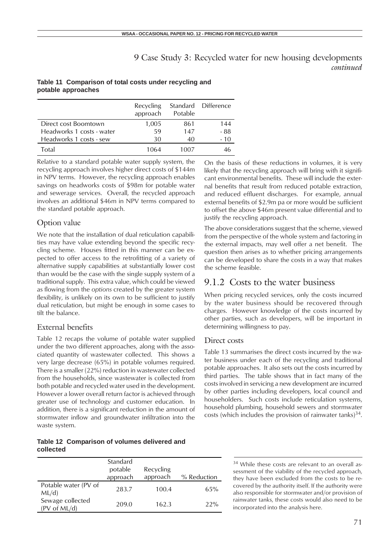### **Table 11 Comparison of total costs under recycling and potable approaches**

|                           | Recycling<br>approach | Potable | Standard Difference |
|---------------------------|-----------------------|---------|---------------------|
| Direct cost Boomtown      | 1,005                 | 861     | 144                 |
| Headworks 1 costs - water | 59                    | 147     | - 88                |
| Headworks 1 costs - sew   | 30                    | 40      | - 10                |
| Total                     | 1064                  | 1007    | 46                  |

Relative to a standard potable water supply system, the recycling approach involves higher direct costs of \$144m in NPV terms. However, the recycling approach enables savings on headworks costs of \$98m for potable water and sewerage services. Overall, the recycled approach involves an additional \$46m in NPV terms compared to the standard potable approach.

### Option value

We note that the installation of dual reticulation capabilities may have value extending beyond the specific recycling scheme. Houses fitted in this manner can be expected to offer access to the retrofitting of a variety of alternative supply capabilities at substantially lower cost than would be the case with the single supply system of a traditional supply. This extra value, which could be viewed as flowing from the *options* created by the greater system flexibility, is unlikely on its own to be sufficient to justify dual reticulation, but might be enough in some cases to tilt the balance.

### External benefits

Table 12 recaps the volume of potable water supplied under the two different approaches, along with the associated quantity of wastewater collected. This shows a very large decrease (65%) in potable volumes required. There is a smaller (22%) reduction in wastewater collected from the households, since wastewater is collected from both potable and recycled water used in the development. However a lower overall return factor is achieved through greater use of technology and customer education. In addition, there is a significant reduction in the amount of stormwater inflow and groundwater infiltration into the waste system.

### **Table 12 Comparison of volumes delivered and collected**

|                                  | Standard<br>potable<br>approach | Recycling<br>approach | % Reduction |
|----------------------------------|---------------------------------|-----------------------|-------------|
| Potable water (PV of<br>ML/d     | 283.7                           | 100.4                 | 65%         |
| Sewage collected<br>(PV of ML/d) | 209.0                           | 162.3                 | 22%         |

On the basis of these reductions in volumes, it is very likely that the recycling approach will bring with it significant environmental benefits. These will include the external benefits that result from reduced potable extraction, and reduced effluent discharges. For example, annual external benefits of \$2.9m pa or more would be sufficient to offset the above \$46m present value differential and to justify the recycling approach.

The above considerations suggest that the scheme, viewed from the perspective of the whole system and factoring in the external impacts, may well offer a net benefit. The question then arises as to whether pricing arrangements can be developed to share the costs in a way that makes the scheme feasible.

## 9.1.2 Costs to the water business

When pricing recycled services, only the costs incurred by the water business should be recovered through charges. However knowledge of the costs incurred by other parties, such as developers, will be important in determining willingness to pay.

### Direct costs

Table 13 summarises the direct costs incurred by the water business under each of the recycling and traditional potable approaches. It also sets out the costs incurred by third parties. The table shows that in fact many of the costs involved in servicing a new development are incurred by other parties including developers, local council and householders. Such costs include reticulation systems, household plumbing, household sewers and stormwater costs (which includes the provision of rainwater tanks) $34$ .

> <sup>34</sup> While these costs are relevant to an overall assessment of the viability of the recycled approach, they have been excluded from the costs to be recovered by the authority itself. If the authority were also responsible for stormwater and/or provision of rainwater tanks, these costs would also need to be incorporated into the analysis here.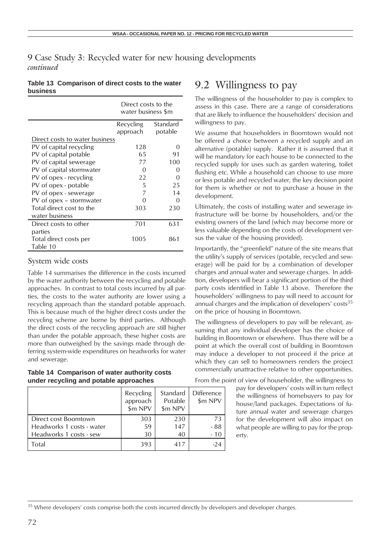### **Table 13 Comparison of direct costs to the water business**

|                                | Direct costs to the<br>water business \$m |                  |  |
|--------------------------------|-------------------------------------------|------------------|--|
|                                | Standard<br>Recycling                     |                  |  |
|                                | approach                                  | potable          |  |
| Direct costs to water business |                                           |                  |  |
| PV of capital recycling        | 128                                       |                  |  |
| PV of capital potable          | 65                                        | 91               |  |
| PV of capital sewerage         | 77                                        | 100              |  |
| PV of capital stormwater       | O                                         | $\left( \right)$ |  |
| PV of opex - recycling         | 22                                        | ∩                |  |
| PV of opex - potable           | 5                                         | 25               |  |
| PV of opex - sewerage          | 7                                         | 14               |  |
| PV of opex – stormwater        | ( )                                       | Ω                |  |
| Total direct cost to the       | 303                                       | 230              |  |
| water business                 |                                           |                  |  |
| Direct costs to other          | 701                                       | 631              |  |
| parties                        |                                           |                  |  |
| Total direct costs per         | 1005                                      | 861              |  |
| Table 10                       |                                           |                  |  |

### System wide costs

Table 14 summarises the difference in the costs incurred by the water authority between the recycling and potable approaches. In contrast to total costs incurred by all parties, the costs to the water authority are lower using a recycling approach than the standard potable approach. This is because much of the higher direct costs under the recycling scheme are borne by third parties. Although the direct costs of the recycling approach are still higher than under the potable approach, these higher costs are more than outweighed by the savings made through deferring system-wide expenditures on headworks for water and sewerage.

### **Table 14 Comparison of water authority costs under recycling and potable approaches**

|                                                                              | Recycling<br>approach<br>\$m NPV | Standard<br>Potable<br>\$m NPV | <b>Difference</b><br>\$m NPV |
|------------------------------------------------------------------------------|----------------------------------|--------------------------------|------------------------------|
| Direct cost Boomtown<br>Headworks 1 costs - water<br>Headworks 1 costs - sew | 303<br>59<br>30                  | 230<br>147<br>40               | 73<br>$-88$<br>- 10          |
| Total                                                                        | 393                              | 417                            |                              |

## 9.2 Willingness to pay

The willingness of the householder to pay is complex to assess in this case. There are a range of considerations that are likely to influence the householders' decision and willingness to pay.

We assume that householders in Boomtown would not be offered a choice between a recycled supply and an alternative (potable) supply. Rather it is assumed that it will be mandatory for each house to be connected to the recycled supply for uses such as garden watering, toilet flushing etc. While a household can choose to use more or less potable and recycled water, the key decision point for them is whether or not to purchase a house in the development.

Ultimately, the costs of installing water and sewerage infrastructure will be borne by householders, and/or the existing owners of the land (which may become more or less valuable depending on the costs of development versus the value of the housing provided).

Importantly, the "greenfield" nature of the site means that the utility's supply of services (potable, recycled and sewerage) will be paid for by a combination of developer charges and annual water and sewerage charges. In addition, developers will bear a significant portion of the third party costs identified in Table 13 above. Therefore the householders' willingness to pay will need to account for annual charges and the implication of developers' costs $35$ on the price of housing in Boomtown.

The willingness of developers to pay will be relevant, assuming that any individual developer has the choice of building in Boomtown or elsewhere. Thus there will be a point at which the overall cost of building in Boomtown may induce a developer to not proceed if the price at which they can sell to homeowners renders the project commercially unattractive relative to other opportunities.

From the point of view of householder, the willingness to

pay for developers' costs will in turn reflect the willingness of homebuyers to pay for house/land packages. Expectations of future annual water and sewerage charges for the development will also impact on what people are willing to pay for the property.

<sup>&</sup>lt;sup>35</sup> Where developers' costs comprise both the costs incurred directly by developers and developer charges.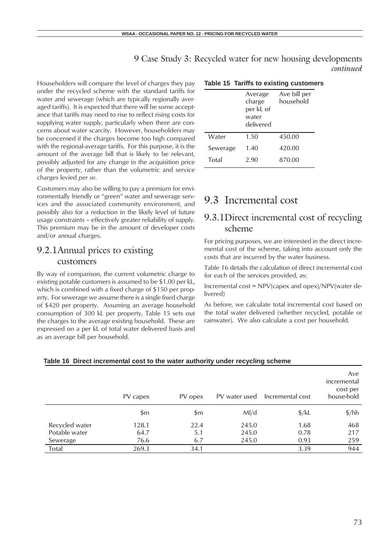Householders will compare the level of charges they pay under the recycled scheme with the standard tariffs for water and sewerage (which are typically regionally averaged tariffs). It is expected that there will be some acceptance that tariffs may need to rise to reflect rising costs for supplying water supply, particularly when there are concerns about water scarcity. However, householders may be concerned if the charges become too high compared with the regional-average tariffs. For this purpose, it is the amount of the average bill that is likely to be relevant, possibly adjusted for any change in the acquisition price of the property, rather than the volumetric and service charges levied *per se*.

Customers may also be willing to pay a premium for environmentally friendly or "green" water and sewerage services and the associated community environment, and possibly also for a reduction in the likely level of future usage constraints – effectively greater reliability of supply. This premium may be in the amount of developer costs and/or annual charges.

## 9.2.1Annual prices to existing customers

By way of comparison, the current volumetric charge to existing potable customers is assumed to be \$1.00 per kL, which is combined with a fixed charge of \$150 per property. For sewerage we assume there is a single fixed charge of \$420 per property. Assuming an average household consumption of 300 kL per property, Table 15 sets out the charges to the average existing household. These are expressed on a per kL of total water delivered basis and as an average bill per household.

### **Table 15 Tariffs to existing customers**

|          | Average<br>charge<br>per kL of<br>water<br>delivered | Ave bill per<br>household |
|----------|------------------------------------------------------|---------------------------|
| Water    | 1.50                                                 | 450.00                    |
| Sewerage | 1.40                                                 | 420.00                    |
| Total    | 2.90                                                 | 870.00                    |

## 9.3 Incremental cost

### 9.3.1Direct incremental cost of recycling scheme

For pricing purposes, we are interested in the direct incremental cost of the scheme, taking into account only the costs that are incurred by the water business.

Table 16 details the calculation of direct incremental cost for each of the services provided, as:

Incremental cost = NPV(capex and opex)/NPV(water delivered)

As before, we calculate total incremental cost based on the total water delivered (whether recycled, potable or rainwater). We also calculate a cost per household.

|                | PV capex | PV opex       | PV water used | Incremental cost  | Ave<br>incremental<br>cost per<br>house-hold |
|----------------|----------|---------------|---------------|-------------------|----------------------------------------------|
|                | \$m      | $\mathsf{Sm}$ | M/d           | $\frac{1}{2}$ /kL | $\frac{\pi}{2}$                              |
| Recycled water | 128.1    | 22.4          | 245.0         | 1.68              | 468                                          |
| Potable water  | 64.7     | 5.1           | 245.0         | 0.78              | 217                                          |
| Sewerage       | 76.6     | 6.7           | 245.0         | 0.93              | 259                                          |
| Total          | 269.3    | 34.1          |               | 3.39              | 944                                          |

#### **Table 16 Direct incremental cost to the water authority under recycling scheme**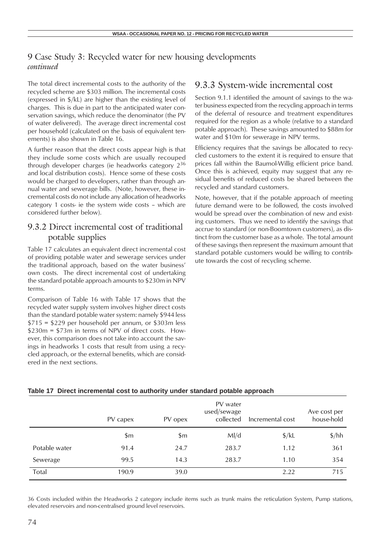The total direct incremental costs to the authority of the recycled scheme are \$303 million. The incremental costs (expressed in \$/kL) are higher than the existing level of charges. This is due in part to the anticipated water conservation savings, which reduce the denominator (the PV of water delivered). The average direct incremental cost per household (calculated on the basis of equivalent tenements) is also shown in Table 16.

A further reason that the direct costs appear high is that they include some costs which are usually recouped through developer charges (ie headworks category 2<sup>36</sup> and local distribution costs). Hence some of these costs would be charged to developers, rather than through annual water and sewerage bills. (Note, however, these incremental costs do not include any allocation of headworks category 1 costs- ie the system wide costs – which are considered further below).

### 9.3.2 Direct incremental cost of traditional potable supplies

Table 17 calculates an equivalent direct incremental cost of providing potable water and sewerage services under the traditional approach, based on the water business' own costs. The direct incremental cost of undertaking the standard potable approach amounts to \$230m in NPV terms.

Comparison of Table 16 with Table 17 shows that the recycled water supply system involves higher direct costs than the standard potable water system: namely \$944 less  $$715 = $229$  per household per annum, or \$303m less \$230m = \$73m in terms of NPV of direct costs. However, this comparison does not take into account the savings in headworks 1 costs that result from using a recycled approach, or the external benefits, which are considered in the next sections.

### 9.3.3 System-wide incremental cost

Section 9.1.1 identified the amount of savings to the water business expected from the recycling approach in terms of the deferral of resource and treatment expenditures required for the region as a whole (relative to a standard potable approach). These savings amounted to \$88m for water and \$10m for sewerage in NPV terms.

Efficiency requires that the savings be allocated to recycled customers to the extent it is required to ensure that prices fall within the Baumol-Willig efficient price band. Once this is achieved, equity may suggest that any residual benefits of reduced costs be shared between the recycled and standard customers.

Note, however, that if the potable approach of meeting future demand were to be followed, the costs involved would be spread over the combination of new and existing customers. Thus we need to identify the savings that accrue to standard (or non-Boomtown customers), as distinct from the customer base as a whole. The total amount of these savings then represent the maximum amount that standard potable customers would be willing to contribute towards the cost of recycling scheme.

|               | PV capex | PV opex | PV water<br>used/sewage<br>collected | Incremental cost  | Ave cost per<br>house-hold |
|---------------|----------|---------|--------------------------------------|-------------------|----------------------------|
|               | \$m      | \$m     | M/d                                  | $\frac{1}{2}$ /kL | $\frac{\pi}{2}$            |
| Potable water | 91.4     | 24.7    | 283.7                                | 1.12              | 361                        |
| Sewerage      | 99.5     | 14.3    | 283.7                                | 1.10              | 354                        |
| Total         | 190.9    | 39.0    |                                      | 2.22              | 715                        |

### **Table 17 Direct incremental cost to authority under standard potable approach**

36 Costs included within the Headworks 2 category include items such as trunk mains the reticulation System, Pump stations, elevated reservoirs and non-centralised ground level reservoirs.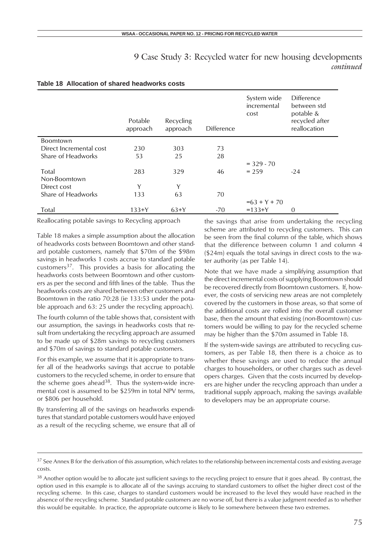|                         | Potable<br>approach | Recycling<br>approach | <b>Difference</b> | System wide<br>incremental<br>cost | Difference<br>between std<br>potable &<br>recycled after<br>reallocation |
|-------------------------|---------------------|-----------------------|-------------------|------------------------------------|--------------------------------------------------------------------------|
| <b>Boomtown</b>         |                     |                       |                   |                                    |                                                                          |
| Direct Incremental cost | 230                 | 303                   | 73                |                                    |                                                                          |
| Share of Headworks      | 53                  | 25                    | 28                |                                    |                                                                          |
|                         |                     |                       |                   | $= 329 - 70$                       |                                                                          |
| Total                   | 283                 | 329                   | 46                | $= 259$                            | $-24$                                                                    |
| Non-Boomtown            |                     |                       |                   |                                    |                                                                          |
| Direct cost             | Y                   | Y                     |                   |                                    |                                                                          |
| Share of Headworks      | 133                 | 63                    | 70                |                                    |                                                                          |
|                         |                     |                       |                   | $=63 + Y + 70$                     |                                                                          |
| Total                   | $133+Y$             | $63+Y$                | -70               | $=133+Y$                           | 0                                                                        |

### **Table 18 Allocation of shared headworks costs**

Reallocating potable savings to Recycling approach

Table 18 makes a simple assumption about the allocation of headworks costs between Boomtown and other standard potable customers, namely that \$70m of the \$98m savings in headworks 1 costs accrue to standard potable customers $37$ . This provides a basis for allocating the headworks costs between Boomtown and other customers as per the second and fifth lines of the table. Thus the headworks costs are shared between other customers and Boomtown in the ratio 70:28 (ie 133:53 under the potable approach and 63: 25 under the recycling approach).

The fourth column of the table shows that, consistent with our assumption, the savings in headworks costs that result from undertaking the recycling approach are assumed to be made up of \$28m savings to recycling customers and \$70m of savings to standard potable customers.

For this example, we assume that it is appropriate to transfer all of the headworks savings that accrue to potable customers to the recycled scheme, in order to ensure that the scheme goes ahead $38$ . Thus the system-wide incremental cost is assumed to be \$259m in total NPV terms, or \$806 per household.

By transferring all of the savings on headworks expenditures that standard potable customers would have enjoyed as a result of the recycling scheme, we ensure that all of the savings that arise from undertaking the recycling scheme are attributed to recycling customers. This can be seen from the final column of the table, which shows that the difference between column 1 and column 4 (\$24m) equals the total savings in direct costs to the water authority (as per Table 14).

Note that we have made a simplifying assumption that the direct incremental costs of supplying Boomtown should be recovered directly from Boomtown customers. If, however, the costs of servicing new areas are not completely covered by the customers in those areas, so that some of the additional costs are rolled into the overall customer base, then the amount that existing (non-Boomtown) customers would be willing to pay for the recycled scheme may be higher than the \$70m assumed in Table 18.

If the system-wide savings are attributed to recycling customers, as per Table 18, then there is a choice as to whether these savings are used to reduce the annual charges to householders, or other charges such as developers charges. Given that the costs incurred by developers are higher under the recycling approach than under a traditional supply approach, making the savings available to developers may be an appropriate course.

 $37$  See Annex B for the derivation of this assumption, which relates to the relationship between incremental costs and existing average costs.

<sup>&</sup>lt;sup>38</sup> Another option would be to allocate just sufficient savings to the recycling project to ensure that it goes ahead. By contrast, the option used in this example is to allocate all of the savings accruing to standard customers to offset the higher direct cost of the recycling scheme. In this case, charges to standard customers would be increased to the level they would have reached in the absence of the recycling scheme. Standard potable customers are no worse off, but there is a value judgment needed as to whether this would be equitable. In practice, the appropriate outcome is likely to lie somewhere between these two extremes.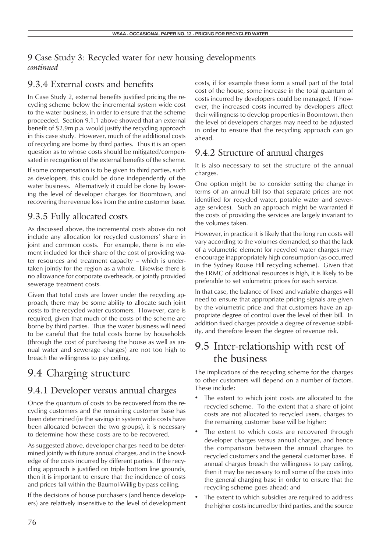## 9.3.4 External costs and benefits

In Case Study 2, external benefits justified pricing the recycling scheme below the incremental system wide cost to the water business, in order to ensure that the scheme proceeded. Section 9.1.1 above showed that an external benefit of \$2.9m p.a. would justify the recycling approach in this case study. However, much of the additional costs of recycling are borne by third parties. Thus it is an open question as to whose costs should be mitigated/compensated in recognition of the external benefits of the scheme.

If some compensation is to be given to third parties, such as developers, this could be done independently of the water business. Alternatively it could be done by lowering the level of developer charges for Boomtown, and recovering the revenue loss from the entire customer base.

## 9.3.5 Fully allocated costs

As discussed above, the incremental costs above do not include any allocation for recycled customers' share in joint and common costs. For example, there is no element included for their share of the cost of providing water resources and treatment capacity – which is undertaken jointly for the region as a whole. Likewise there is no allowance for corporate overheads, or jointly provided sewerage treatment costs.

Given that total costs are lower under the recycling approach, there may be some ability to allocate such joint costs to the recycled water customers. However, care is required, given that much of the costs of the scheme are borne by third parties. Thus the water business will need to be careful that the total costs borne by households (through the cost of purchasing the house as well as annual water and sewerage charges) are not too high to breach the willingness to pay ceiling.

## 9.4 Charging structure

## 9.4.1 Developer versus annual charges

Once the quantum of costs to be recovered from the recycling customers and the remaining customer base has been determined (ie the savings in system wide costs have been allocated between the two groups), it is necessary to determine how these costs are to be recovered.

As suggested above, developer charges need to be determined jointly with future annual charges, and in the knowledge of the costs incurred by different parties. If the recycling approach is justified on triple bottom line grounds, then it is important to ensure that the incidence of costs and prices fall within the Baumol-Willig by-pass ceiling.

If the decisions of house purchasers (and hence developers) are relatively insensitive to the level of development costs, if for example these form a small part of the total cost of the house, some increase in the total quantum of costs incurred by developers could be managed. If however, the increased costs incurred by developers affect their willingness to develop properties in Boomtown, then the level of developers charges may need to be adjusted in order to ensure that the recycling approach can go ahead.

## 9.4.2 Structure of annual charges

It is also necessary to set the structure of the annual charges.

One option might be to consider setting the charge in terms of an annual bill (so that separate prices are not identified for recycled water, potable water and sewerage services). Such an approach might be warranted if the costs of providing the services are largely invariant to the volumes taken.

However, in practice it is likely that the long run costs will vary according to the volumes demanded, so that the lack of a volumetric element for recycled water charges may encourage inappropriately high consumption (as occurred in the Sydney Rouse Hill recycling scheme). Given that the LRMC of additional resources is high, it is likely to be preferable to set volumetric prices for each service.

In that case, the balance of fixed and variable charges will need to ensure that appropriate pricing signals are given by the volumetric price and that customers have an appropriate degree of control over the level of their bill. In addition fixed charges provide a degree of revenue stability, and therefore lessen the degree of revenue risk.

## 9.5 Inter-relationship with rest of the business

The implications of the recycling scheme for the charges to other customers will depend on a number of factors. These include:

- The extent to which joint costs are allocated to the recycled scheme. To the extent that a share of joint costs are not allocated to recycled users, charges to the remaining customer base will be higher;
- The extent to which costs are recovered through developer charges versus annual charges, and hence the comparison between the annual charges to recycled customers and the general customer base. If annual charges breach the willingness to pay ceiling, then it may be necessary to roll some of the costs into the general charging base in order to ensure that the recycling scheme goes ahead; and
- The extent to which subsidies are required to address the higher costs incurred by third parties, and the source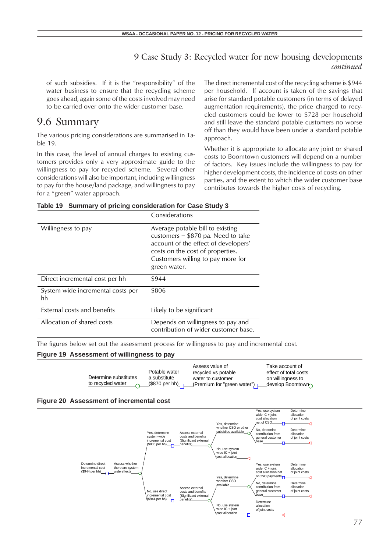of such subsidies. If it is the "responsibility" of the water business to ensure that the recycling scheme goes ahead, again some of the costs involved may need to be carried over onto the wider customer base.

## 9.6 Summary

The various pricing considerations are summarised in Table 19.

In this case, the level of annual charges to existing customers provides only a very approximate guide to the willingness to pay for recycled scheme. Several other considerations will also be important, including willingness to pay for the house/land package, and willingness to pay for a "green" water approach.

The direct incremental cost of the recycling scheme is \$944 per household. If account is taken of the savings that arise for standard potable customers (in terms of delayed augmentation requirements), the price charged to recycled customers could be lower to \$728 per household and still leave the standard potable customers no worse off than they would have been under a standard potable approach.

Whether it is appropriate to allocate any joint or shared costs to Boomtown customers will depend on a number of factors. Key issues include the willingness to pay for higher development costs, the incidence of costs on other parties, and the extent to which the wider customer base contributes towards the higher costs of recycling.

|  | Table 19 Summary of pricing consideration for Case Study 3 |  |  |
|--|------------------------------------------------------------|--|--|
|  |                                                            |  |  |

|                                         | Considerations                                                                                                                                                                                           |
|-----------------------------------------|----------------------------------------------------------------------------------------------------------------------------------------------------------------------------------------------------------|
| Willingness to pay                      | Average potable bill to existing<br>customers = $$870$ pa. Need to take<br>account of the effect of developers'<br>costs on the cost of properties.<br>Customers willing to pay more for<br>green water. |
| Direct incremental cost per hh          | \$944                                                                                                                                                                                                    |
| System wide incremental costs per<br>hh | \$806                                                                                                                                                                                                    |
| External costs and benefits             | Likely to be significant                                                                                                                                                                                 |
| Allocation of shared costs              | Depends on willingness to pay and<br>contribution of wider customer base.                                                                                                                                |

The figures below set out the assessment process for willingness to pay and incremental cost.

#### **Figure 19 Assessment of willingness to pay**

| Determine substitutes<br>to recycled water $\sqrt{ }$ | Potable water<br>a substitute<br>____(\$870 per hh)_ <del>_</del> ___ | Assess value of<br>recycled vs potable<br>water to customer<br>(Premium for "green water") $\neg$ develop Boomtown | Take account of<br>effect of total costs<br>on willinaness to |
|-------------------------------------------------------|-----------------------------------------------------------------------|--------------------------------------------------------------------------------------------------------------------|---------------------------------------------------------------|
|-------------------------------------------------------|-----------------------------------------------------------------------|--------------------------------------------------------------------------------------------------------------------|---------------------------------------------------------------|



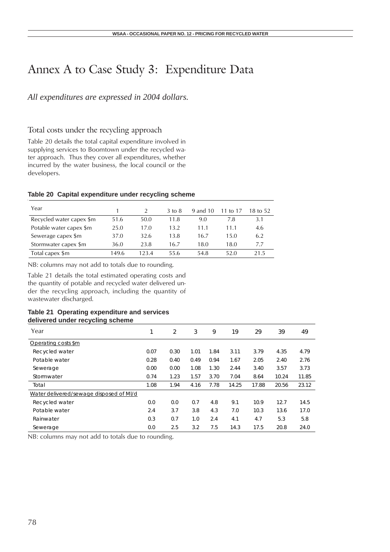## Annex A to Case Study 3: Expenditure Data

### *All expenditures are expressed in 2004 dollars.*

## Total costs under the recycling approach

Table 20 details the total capital expenditure involved in supplying services to Boomtown under the recycled water approach. Thus they cover all expenditures, whether incurred by the water business, the local council or the developers.

### **Table 20 Capital expenditure under recycling scheme**

| Year                     |       |      | $3 \text{ to } 8$ | 9 and 10 | 11 to 17 | 18 to 52. |
|--------------------------|-------|------|-------------------|----------|----------|-----------|
| Recycled water capex \$m | 51.6  | 50.0 | 11.8              | 9.0      | 7.8      | 3.1       |
| Potable water capex \$m  | 25.0  | 17.0 | 13.2              | 11.1     | 11.1     | 4.6       |
| Sewerage capex \$m       | 37.0  | 32.6 | 13.8              | 16.7     | 15.0     | 6.2       |
| Stormwater capex \$m     | 36.0  | 23.8 | 16.7              | 18.0     | 18.0     | 77        |
| Total capex \$m          | 149.6 | 1234 | 55.6              | 54.8     | 52.0     | 21.5      |

NB: columns may not add to totals due to rounding.

Table 21 details the total estimated operating costs and the quantity of potable and recycled water delivered under the recycling approach, including the quantity of wastewater discharged.

### **Table 21 Operating expenditure and services delivered under recycling scheme**

| Year                                    | 1    | $\overline{2}$ | 3    | 9    | 19    | 29    | 39    | 49    |
|-----------------------------------------|------|----------------|------|------|-------|-------|-------|-------|
| Operating costs \$m                     |      |                |      |      |       |       |       |       |
| Recycled water                          | 0.07 | 0.30           | 1.01 | 1.84 | 3.11  | 3.79  | 4.35  | 4.79  |
| Potable water                           | 0.28 | 0.40           | 0.49 | 0.94 | 1.67  | 2.05  | 2.40  | 2.76  |
| Sewerage                                | 0.00 | 0.00           | 1.08 | 1.30 | 2.44  | 3.40  | 3.57  | 3.73  |
| Stormwater                              | 0.74 | 1.23           | 1.57 | 3.70 | 7.04  | 8.64  | 10.24 | 11.85 |
| Total                                   | 1.08 | 1.94           | 4.16 | 7.78 | 14.25 | 17.88 | 20.56 | 23.12 |
| Water delivered/sewage disposed of MI/d |      |                |      |      |       |       |       |       |
| Recycled water                          | 0.0  | 0.0            | 0.7  | 4.8  | 9.1   | 10.9  | 12.7  | 14.5  |
| Potable water                           | 2.4  | 3.7            | 3.8  | 4.3  | 7.0   | 10.3  | 13.6  | 17.0  |
| Rainwater                               | 0.3  | 0.7            | 1.0  | 2.4  | 4.1   | 4.7   | 5.3   | 5.8   |
| Sewerage                                | 0.0  | 2.5            | 3.2  | 7.5  | 14.3  | 17.5  | 20.8  | 24.0  |

NB: columns may not add to totals due to rounding.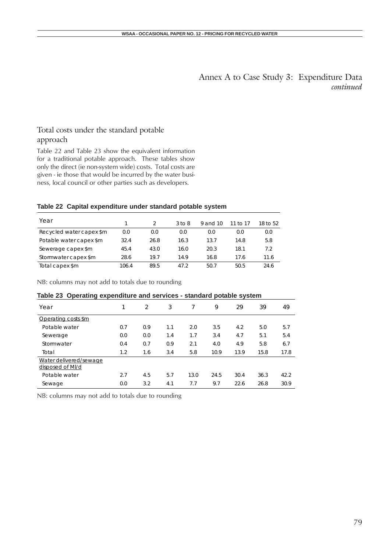Annex A to Case Study 3: Expenditure Data *continued*

### Total costs under the standard potable approach

Table 22 and Table 23 show the equivalent information for a traditional potable approach. These tables show only the direct (ie non-system wide) costs. Total costs are given - ie those that would be incurred by the water business, local council or other parties such as developers.

### **Table 22 Capital expenditure under standard potable system**

| Year                     |       |      | $3$ to $8$ | 9 and 10 | 11 to 17 | 18 to 52 |
|--------------------------|-------|------|------------|----------|----------|----------|
| Recycled water capex \$m | 0.0   | 0.0  | 0.0        | 0.0      | 0.0      | 0.0      |
| Potable water capex \$m  | 32.4  | 26.8 | 16.3       | 13.7     | 14.8     | 5.8      |
| Sewerage capex \$m       | 45.4  | 43.0 | 16.0       | 20.3     | 18.1     | 7.2      |
| Stormwater capex \$m     | 28.6  | 19.7 | 14.9       | 16.8     | 17.6     | 11.6     |
| Total capex \$m          | 106.4 | 89.5 | 47.2       | 50.7     | 50.5     | 24.6     |

NB: columns may not add to totals due to rounding

| Table 23 Operating expenditure and services - standard potable system |     |               |     |      |      |      |      |      |
|-----------------------------------------------------------------------|-----|---------------|-----|------|------|------|------|------|
| Year                                                                  |     | $\mathcal{L}$ | 3   |      | 9    | 29   | 39   | 49   |
| Operating costs \$m                                                   |     |               |     |      |      |      |      |      |
| Potable water                                                         | 0.7 | 0.9           | 1.1 | 2.0  | 3.5  | 4.2  | 5.0  | 5.7  |
| Sewerage                                                              | 0.0 | 0.0           | 1.4 | 1.7  | 3.4  | 4.7  | 5.1  | 5.4  |
| Stormwater                                                            | 0.4 | 0.7           | 0.9 | 2.1  | 4.0  | 4.9  | 5.8  | 6.7  |
| Total                                                                 | 1.2 | 1.6           | 3.4 | 5.8  | 10.9 | 13.9 | 15.8 | 17.8 |
| Water delivered/sewage<br>disposed of MI/d                            |     |               |     |      |      |      |      |      |
| Potable water                                                         | 2.7 | 4.5           | 5.7 | 13.0 | 24.5 | 30.4 | 36.3 | 42.2 |
| Sewage                                                                | 0.0 | 3.2           | 4.1 | 7.7  | 9.7  | 22.6 | 26.8 | 30.9 |

NB: columns may not add to totals due to rounding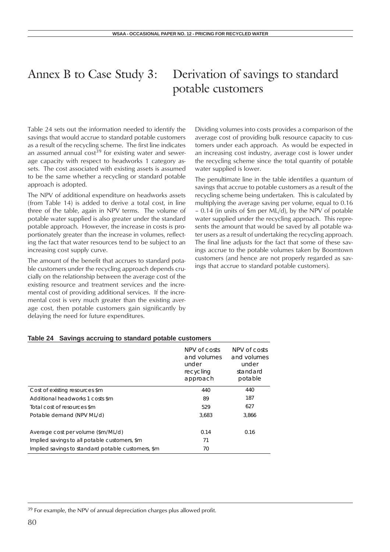## Annex B to Case Study 3: Derivation of savings to standard potable customers

Table 24 sets out the information needed to identify the savings that would accrue to standard potable customers as a result of the recycling scheme. The first line indicates an assumed annual  $cost^{39}$  for existing water and sewerage capacity with respect to headworks 1 category assets. The cost associated with existing assets is assumed to be the same whether a recycling or standard potable approach is adopted.

The NPV of additional expenditure on headworks assets (from Table 14) is added to derive a total cost, in line three of the table, again in NPV terms. The volume of potable water supplied is also greater under the standard potable approach. However, the increase in costs is proportionately greater than the increase in volumes, reflecting the fact that water resources tend to be subject to an increasing cost supply curve.

The amount of the benefit that accrues to standard potable customers under the recycling approach depends crucially on the relationship between the average cost of the existing resource and treatment services and the incremental cost of providing additional services. If the incremental cost is very much greater than the existing average cost, then potable customers gain significantly by delaying the need for future expenditures.

Dividing volumes into costs provides a comparison of the average cost of providing bulk resource capacity to customers under each approach. As would be expected in an increasing cost industry, average cost is lower under the recycling scheme since the total quantity of potable water supplied is lower.

The penultimate line in the table identifies a quantum of savings that accrue to potable customers as a result of the recycling scheme being undertaken. This is calculated by multiplying the average saving per volume, equal to 0.16 – 0.14 (in units of \$m per ML/d), by the NPV of potable water supplied under the recycling approach. This represents the amount that would be saved by all potable water users as a result of undertaking the recycling approach. The final line adjusts for the fact that some of these savings accrue to the potable volumes taken by Boomtown customers (and hence are not properly regarded as savings that accrue to standard potable customers).

|                                                    | NPV of costs<br>and volumes<br>under<br>recycling<br>approach | NPV of costs<br>and volumes<br>under<br>standard<br>potable |
|----------------------------------------------------|---------------------------------------------------------------|-------------------------------------------------------------|
| Cost of existing resources \$m                     | 440                                                           | 440                                                         |
| Additional headworks 1 costs \$m                   | 89                                                            | 187                                                         |
| Total cost of resources \$m                        | 529                                                           | 627                                                         |
| Potable demand (NPV ML/d)                          | 3.683                                                         | 3.866                                                       |
|                                                    |                                                               |                                                             |
| Average cost per volume (\$m/ML/d)                 | 0.14                                                          | 0.16                                                        |
| Implied savings to all potable customers, \$m      | 71                                                            |                                                             |
| Implied savings to standard potable customers, \$m | 70                                                            |                                                             |

#### **Table 24 Savings accruing to standard potable customers**

<sup>39</sup> For example, the NPV of annual depreciation charges plus allowed profit.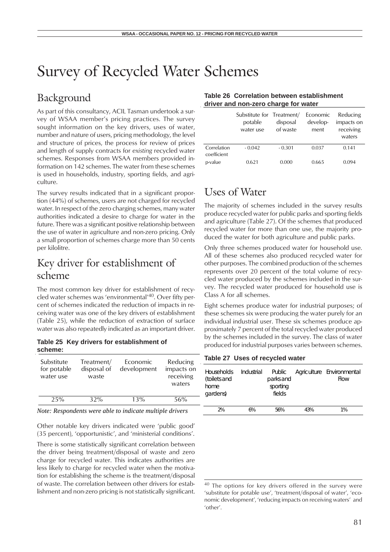## Survey of Recycled Water Schemes

## Background

As part of this consultancy, ACIL Tasman undertook a survey of WSAA member's pricing practices. The survey sought information on the key drivers, uses of water, number and nature of users, pricing methodology, the level and structure of prices, the process for review of prices and length of supply contracts for *existing* recycled water schemes. Responses from WSAA members provided information on 142 schemes. The water from these schemes is used in households, industry, sporting fields, and agriculture.

The survey results indicated that in a significant proportion (44%) of schemes, users are not charged for recycled water. In respect of the zero charging schemes, many water authorities indicated a desire to charge for water in the future. There was a significant positive relationship between the use of water in agriculture and non-zero pricing. Only a small proportion of schemes charge more than 50 cents per kilolitre.

## Key driver for establishment of scheme

The most common key driver for establishment of recycled water schemes was 'environmental'40. Over fifty percent of schemes indicated the reduction of impacts in receiving water was one of the key drivers of establishment (Table 25), while the reduction of extraction of surface water was also repeatedly indicated as an important driver.

**Table 25 Key drivers for establishment of scheme:**

| Substitute<br>for potable<br>water use | Treatment/<br>disposal of<br>waste | Economic<br>development | Reducing<br>impacts on<br>receiving<br>waters |
|----------------------------------------|------------------------------------|-------------------------|-----------------------------------------------|
| 25%                                    | 32%                                | 13%                     | 56%                                           |

*Note: Respondents were able to indicate multiple drivers*

Other notable key drivers indicated were 'public good' (35 percent), 'opportunistic', and 'ministerial conditions'.

There is some statistically significant correlation between the driver being treatment/disposal of waste and zero charge for recycled water. This indicates authorities are less likely to charge for recycled water when the motivation for establishing the scheme is the treatment/disposal of waste. The correlation between other drivers for establishment and non-zero pricing is not statistically significant.

### **Table 26 Correlation between establishment driver and non-zero charge for water**

|                            | Substitute for Treatment/<br>potable<br>water use | disposal<br>of waste | Economic<br>develop-<br>ment | Reducing<br>impacts on<br>receiving<br>waters |
|----------------------------|---------------------------------------------------|----------------------|------------------------------|-----------------------------------------------|
| Correlation<br>coefficient | $-0.042$                                          | $-0.301$             | 0.037                        | 0.141                                         |
| p-value                    | 0.621                                             | 0.000                | 0.665                        | 0.094                                         |

## Uses of Water

The majority of schemes included in the survey results produce recycled water for public parks and sporting fields and agriculture (Table 27). Of the schemes that produced recycled water for more than one use, the majority produced the water for both agriculture and public parks.

Only three schemes produced water for household use. All of these schemes also produced recycled water for other purposes. The combined production of the schemes represents over 20 percent of the total volume of recycled water produced by the schemes included in the survey. The recycled water produced for household use is Class A for all schemes.

Eight schemes produce water for industrial purposes; of these schemes six were producing the water purely for an individual industrial user. These six schemes produce approximately 7 percent of the total recycled water produced by the schemes included in the survey. The class of water produced for industrial purposes varies between schemes.

### **Table 27 Uses of recycled water**

| <b>Households</b><br>(toilets and<br>home<br>gardens) | Industrial | parks and<br>sporting<br>fields |     | Public Agriculture Environmental<br>Flow |
|-------------------------------------------------------|------------|---------------------------------|-----|------------------------------------------|
| 2%                                                    | 6%         | 56%                             | 43% | 1%                                       |

<sup>&</sup>lt;sup>40</sup> The options for key drivers offered in the survey were 'substitute for potable use', 'treatment/disposal of water', 'economic development', 'reducing impacts on receiving waters' and 'other'.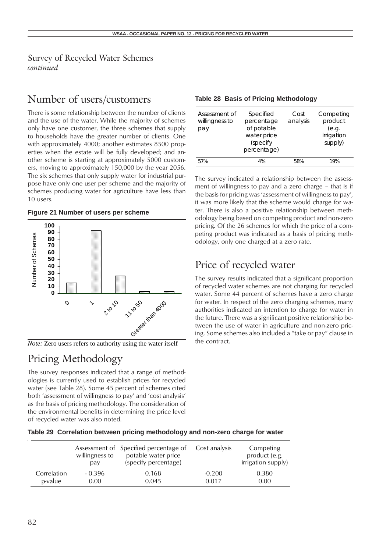### Survey of Recycled Water Schemes *continued*

## Number of users/customers

There is some relationship between the number of clients and the use of the water. While the majority of schemes only have one customer, the three schemes that supply to households have the greater number of clients. One with approximately 4000; another estimates 8500 properties when the estate will be fully developed; and another scheme is starting at approximately 5000 customers, moving to approximately 150,000 by the year 2056. The six schemes that only supply water for industrial purpose have only one user per scheme and the majority of schemes producing water for agriculture have less than 10 users.

### **Figure 21 Number of users per scheme**



*Note:* Zero users refers to authority using the water itself the contract.

## Pricing Methodology

The survey responses indicated that a range of methodologies is currently used to establish prices for recycled water (see Table 28). Some 45 percent of schemes cited both 'assessment of willingness to pay' and 'cost analysis' as the basis of pricing methodology. The consideration of the environmental benefits in determining the price level of recycled water was also noted.

| Assessment of<br>willingness to<br>pay | Specified<br>percentage<br>of potable<br>water price<br>(specify<br>percentage) | Cost<br>analysis | Competing<br>product<br>(e.g.<br>irrigation<br>supply) |
|----------------------------------------|---------------------------------------------------------------------------------|------------------|--------------------------------------------------------|
| 57%                                    | 4%                                                                              | 58%              | 19%                                                    |

**Table 28 Basis of Pricing Methodology**

The survey indicated a relationship between the assessment of willingness to pay and a zero charge – that is if the basis for pricing was 'assessment of willingness to pay', it was more likely that the scheme would charge for water. There is also a positive relationship between methodology being based on competing product and non-zero pricing. Of the 26 schemes for which the price of a competing product was indicated as a basis of pricing methodology, only one charged at a zero rate.

## Price of recycled water

The survey results indicated that a significant proportion of recycled water schemes are not charging for recycled water. Some 44 percent of schemes have a zero charge for water. In respect of the zero charging schemes, many authorities indicated an intention to charge for water in the future. There was a significant positive relationship between the use of water in agriculture and non-zero pricing. Some schemes also included a "take or pay" clause in

|  |  |  |  |  |  | Table 29 Correlation between pricing methodology and non-zero charge for water |
|--|--|--|--|--|--|--------------------------------------------------------------------------------|
|--|--|--|--|--|--|--------------------------------------------------------------------------------|

|             | willingness to<br>pay | Assessment of Specified percentage of<br>potable water price<br>(specify percentage) | Cost analysis | Competing<br>product (e.g.<br>irrigation supply) |
|-------------|-----------------------|--------------------------------------------------------------------------------------|---------------|--------------------------------------------------|
| Correlation | - 0.396               | 0.168                                                                                | $-0.200$      | 0.380                                            |
| p-value     | 0.00                  | 0.045                                                                                | 0.017         | 0.00                                             |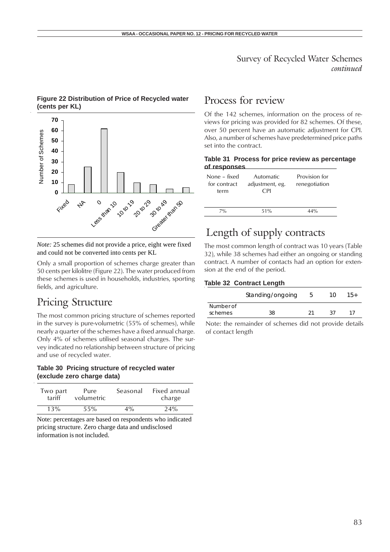### Survey of Recycled Water Schemes *continued*

## **Figure 22 Distribution of Price of Recycled water** Process for review<br>(cents per KL)



*Note:* 25 schemes did not provide a price, eight were fixed and could not be converted into cents per KL

Only a small proportion of schemes charge greater than 50 cents per kilolitre (Figure 22). The water produced from these schemes is used in households, industries, sporting fields, and agriculture.

## Pricing Structure

The most common pricing structure of schemes reported in the survey is pure-volumetric (55% of schemes), while nearly a quarter of the schemes have a fixed annual charge. Only 4% of schemes utilised seasonal charges. The survey indicated no relationship between structure of pricing and use of recycled water.

### **Table 30 Pricing structure of recycled water (exclude zero charge data)**

| Two part | Pure       | Seasonal | Fixed annual |
|----------|------------|----------|--------------|
| tariff   | volumetric |          | charge       |
| 13%      | 55%        | $4\%$    | 24%          |

Note: percentages are based on respondents who indicated pricing structure. Zero charge data and undisclosed information is not included.

Of the 142 schemes, information on the process of reviews for pricing was provided for 82 schemes. Of these, over 50 percent have an automatic adjustment for CPI. Also, a number of schemes have predetermined price paths set into the contract.

### **Table 31 Process for price review as percentage of responses**

| None – fixed<br>for contract<br>term | Automatic<br>adjustment, eg.<br>CPI | Provision for<br>renegotiation |
|--------------------------------------|-------------------------------------|--------------------------------|
| $7\%$                                | 51%                                 | 44%                            |

## Length of supply contracts

The most common length of contract was 10 years (Table 32), while 38 schemes had either an ongoing or standing contract. A number of contacts had an option for extension at the end of the period.

### **Table 32 Contract Length**

|                      | Standing/ongoing | 10  | $15+$ |
|----------------------|------------------|-----|-------|
| Number of<br>schemes | 38               | -27 |       |

Note: the remainder of schemes did not provide details of contact length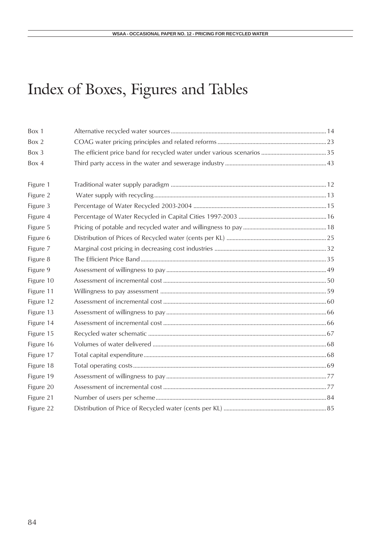# Index of Boxes, Figures and Tables

| Box 1     |  |
|-----------|--|
| Box 2     |  |
| Box 3     |  |
| Box 4     |  |
|           |  |
| Figure 1  |  |
| Figure 2  |  |
| Figure 3  |  |
| Figure 4  |  |
| Figure 5  |  |
| Figure 6  |  |
| Figure 7  |  |
| Figure 8  |  |
| Figure 9  |  |
| Figure 10 |  |
| Figure 11 |  |
| Figure 12 |  |
| Figure 13 |  |
| Figure 14 |  |
| Figure 15 |  |
| Figure 16 |  |
| Figure 17 |  |
| Figure 18 |  |
| Figure 19 |  |
| Figure 20 |  |
| Figure 21 |  |
| Figure 22 |  |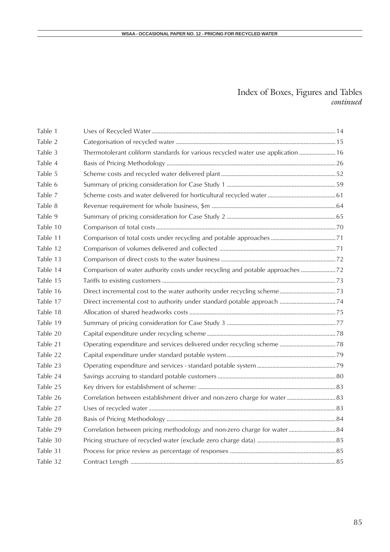### Index of Boxes, Figures and Tables *continued*

| Table 1  |                                                                                  |  |
|----------|----------------------------------------------------------------------------------|--|
| Table 2  |                                                                                  |  |
| Table 3  | Thermotolerant coliform standards for various recycled water use application  16 |  |
| Table 4  |                                                                                  |  |
| Table 5  |                                                                                  |  |
| Table 6  |                                                                                  |  |
| Table 7  |                                                                                  |  |
| Table 8  |                                                                                  |  |
| Table 9  |                                                                                  |  |
| Table 10 |                                                                                  |  |
| Table 11 |                                                                                  |  |
| Table 12 |                                                                                  |  |
| Table 13 |                                                                                  |  |
| Table 14 | Comparison of water authority costs under recycling and potable approaches  72   |  |
| Table 15 |                                                                                  |  |
| Table 16 |                                                                                  |  |
| Table 17 |                                                                                  |  |
| Table 18 |                                                                                  |  |
| Table 19 |                                                                                  |  |
| Table 20 |                                                                                  |  |
| Table 21 |                                                                                  |  |
| Table 22 |                                                                                  |  |
| Table 23 |                                                                                  |  |
| Table 24 |                                                                                  |  |
| Table 25 |                                                                                  |  |
| Table 26 | Correlation between establishment driver and non-zero charge for water  83       |  |
| Table 27 |                                                                                  |  |
| Table 28 |                                                                                  |  |
| Table 29 | Correlation between pricing methodology and non-zero charge for water 84         |  |
| Table 30 |                                                                                  |  |
| Table 31 |                                                                                  |  |
| Table 32 |                                                                                  |  |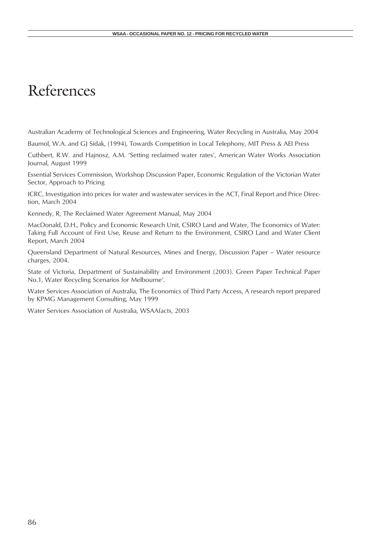## References

Australian Academy of Technological Sciences and Engineering, Water Recycling in Australia, May 2004

Baumol, W.A. and GJ Sidak, (1994), Towards Competition in Local Telephony, MIT Press & AEI Press

Cuthbert, R.W. and Hajnosz, A.M. 'Setting reclaimed water rates', American Water Works Association Journal, August 1999

Essential Services Commission, Workshop Discussion Paper, Economic Regulation of the Victorian Water Sector, Approach to Pricing

ICRC, Investigation into prices for water and wastewater services in the ACT, Final Report and Price Direction, March 2004

Kennedy, R, The Reclaimed Water Agreement Manual, May 2004

MacDonald, D.H., Policy and Economic Research Unit, CSIRO Land and Water, The Economics of Water: Taking Full Account of First Use, Reuse and Return to the Environment, CSIRO Land and Water Client Report, March 2004

Queensland Department of Natural Resources, Mines and Energy, Discussion Paper – Water resource charges, 2004.

State of Victoria, Department of Sustainability and Environment (2003). Green Paper Technical Paper No.1, Water Recycling Scenarios for Melbourne'.

Water Services Association of Australia, The Economics of Third Party Access, A research report prepared by KPMG Management Consulting, May 1999

Water Services Association of Australia, WSAAfacts, 2003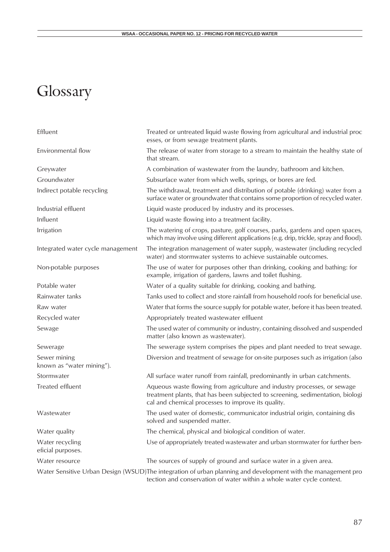# Glossary

| Effluent                                  | Treated or untreated liquid waste flowing from agricultural and industrial proc<br>esses, or from sewage treatment plants.                                                                                       |
|-------------------------------------------|------------------------------------------------------------------------------------------------------------------------------------------------------------------------------------------------------------------|
| Environmental flow                        | The release of water from storage to a stream to maintain the healthy state of<br>that stream.                                                                                                                   |
| Greywater                                 | A combination of wastewater from the laundry, bathroom and kitchen.                                                                                                                                              |
| Groundwater                               | Subsurface water from which wells, springs, or bores are fed.                                                                                                                                                    |
| Indirect potable recycling                | The withdrawal, treatment and distribution of potable (drinking) water from a<br>surface water or groundwater that contains some proportion of recycled water.                                                   |
| Industrial effluent                       | Liquid waste produced by industry and its processes.                                                                                                                                                             |
| Influent                                  | Liquid waste flowing into a treatment facility.                                                                                                                                                                  |
| Irrigation                                | The watering of crops, pasture, golf courses, parks, gardens and open spaces,<br>which may involve using different applications (e.g. drip, trickle, spray and flood).                                           |
| Integrated water cycle management         | The integration management of water supply, wastewater (including recycled<br>water) and stormwater systems to achieve sustainable outcomes.                                                                     |
| Non-potable purposes                      | The use of water for purposes other than drinking, cooking and bathing: for<br>example, irrigation of gardens, lawns and toilet flushing.                                                                        |
| Potable water                             | Water of a quality suitable for drinking, cooking and bathing.                                                                                                                                                   |
| Rainwater tanks                           | Tanks used to collect and store rainfall from household roofs for beneficial use.                                                                                                                                |
| Raw water                                 | Water that forms the source supply for potable water, before it has been treated.                                                                                                                                |
| Recycled water                            | Appropriately treated wastewater effluent                                                                                                                                                                        |
| Sewage                                    | The used water of community or industry, containing dissolved and suspended<br>matter (also known as wastewater).                                                                                                |
| Sewerage                                  | The sewerage system comprises the pipes and plant needed to treat sewage.                                                                                                                                        |
| Sewer mining<br>known as "water mining"). | Diversion and treatment of sewage for on-site purposes such as irrigation (also                                                                                                                                  |
| Stormwater                                | All surface water runoff from rainfall, predominantly in urban catchments.                                                                                                                                       |
| Treated effluent                          | Aqueous waste flowing from agriculture and industry processes, or sewage<br>treatment plants, that has been subjected to screening, sedimentation, biologi<br>cal and chemical processes to improve its quality. |
| Wastewater                                | The used water of domestic, communicator industrial origin, containing dis<br>solved and suspended matter.                                                                                                       |
| Water quality                             | The chemical, physical and biological condition of water.                                                                                                                                                        |
| Water recycling<br>eficial purposes.      | Use of appropriately treated wastewater and urban stormwater for further ben-                                                                                                                                    |
| Water resource                            | The sources of supply of ground and surface water in a given area.                                                                                                                                               |
|                                           | Water Sensitive Urban Design (WSUD)The integration of urban planning and development with the management pro<br>tection and conservation of water within a whole water cycle context.                            |